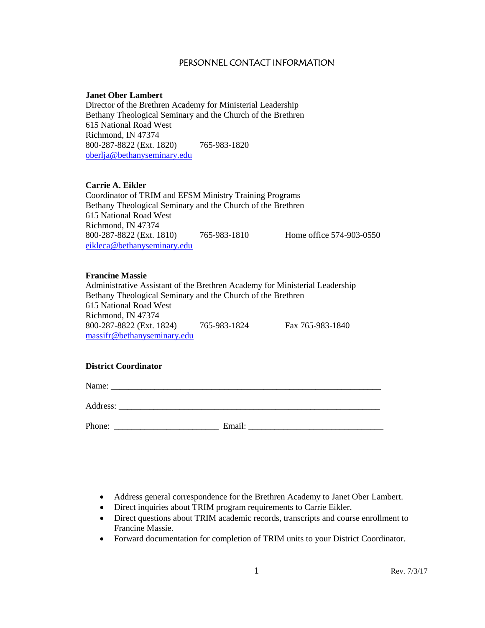#### PERSONNEL CONTACT INFORMATION

#### **Janet Ober Lambert**

Director of the Brethren Academy for Ministerial Leadership Bethany Theological Seminary and the Church of the Brethren 615 National Road West Richmond, IN 47374 800-287-8822 (Ext. 1820) 765-983-1820 [oberlja@bethanyseminary.edu](mailto:oberlja@bethanyseminary.edu)

#### **Carrie A. Eikler**

Coordinator of TRIM and EFSM Ministry Training Programs Bethany Theological Seminary and the Church of the Brethren 615 National Road West Richmond, IN 47374 800-287-8822 (Ext. 1810) 765-983-1810 Home office 574-903-0550 [eikleca@bethanyseminary.edu](mailto:eikleca@bethanyseminary.edu)

#### **Francine Massie**

Administrative Assistant of the Brethren Academy for Ministerial Leadership Bethany Theological Seminary and the Church of the Brethren 615 National Road West Richmond, IN 47374 800-287-8822 (Ext. 1824) 765-983-1824 Fax 765-983-1840 massifr@bethanyseminary.edu

## **District Coordinator**

Name: \_\_\_\_\_\_\_\_\_\_\_\_\_\_\_\_\_\_\_\_\_\_\_\_\_\_\_\_\_\_\_\_\_\_\_\_\_\_\_\_\_\_\_\_\_\_\_\_\_\_\_\_\_\_\_\_\_\_\_\_\_\_

Address:

Phone: \_\_\_\_\_\_\_\_\_\_\_\_\_\_\_\_\_\_\_\_\_\_\_\_ Email: \_\_\_\_\_\_\_\_\_\_\_\_\_\_\_\_\_\_\_\_\_\_\_\_\_\_\_\_\_\_\_

- Address general correspondence for the Brethren Academy to Janet Ober Lambert.
- Direct inquiries about TRIM program requirements to Carrie Eikler.
- Direct questions about TRIM academic records, transcripts and course enrollment to Francine Massie.
- Forward documentation for completion of TRIM units to your District Coordinator.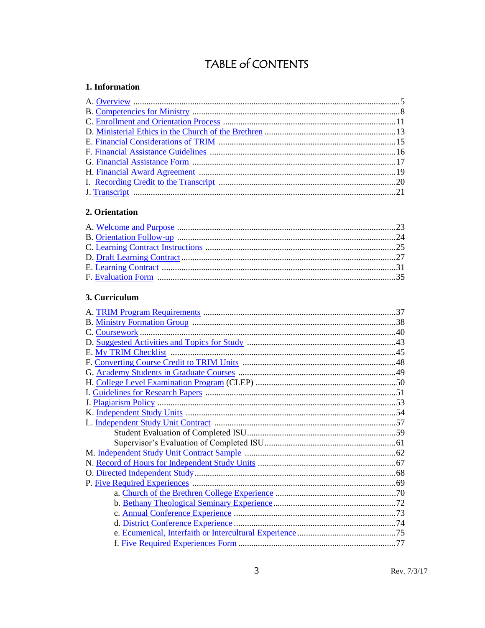## TABLE of CONTENTS

## <span id="page-2-0"></span>1. Information

## <span id="page-2-1"></span>2. Orientation

## 3. Curriculum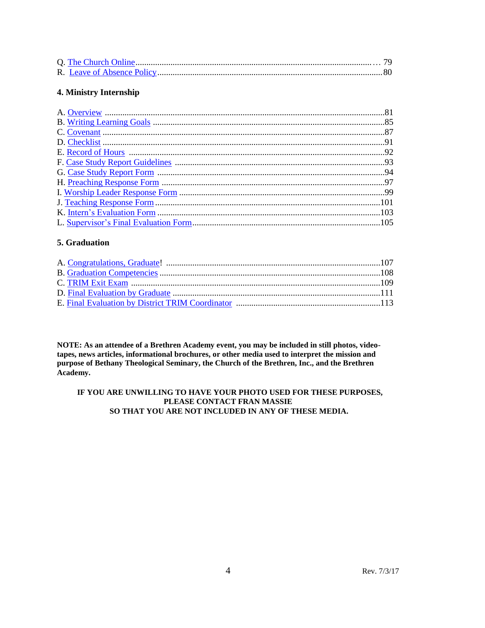## 4. Ministry Internship

## 5. Graduation

NOTE: As an attendee of a Brethren Academy event, you may be included in still photos, videotapes, news articles, informational brochures, or other media used to interpret the mission and purpose of Bethany Theological Seminary, the Church of the Brethren, Inc., and the Brethren Academy.

#### IF YOU ARE UNWILLING TO HAVE YOUR PHOTO USED FOR THESE PURPOSES, PLEASE CONTACT FRAN MASSIE SO THAT YOU ARE NOT INCLUDED IN ANY OF THESE MEDIA.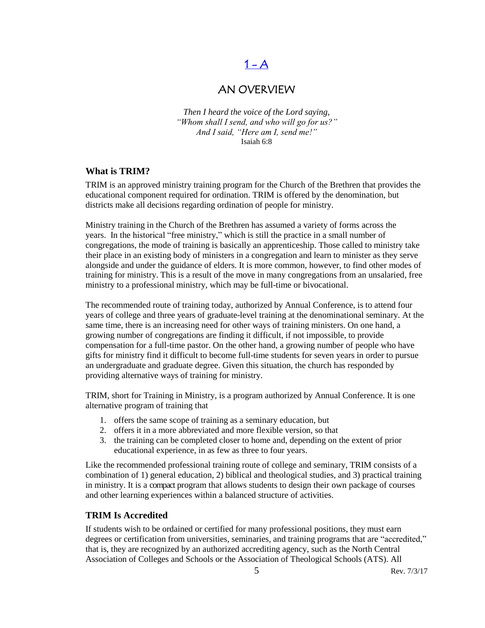## $1 - A$

## AN OVERVIEW

<span id="page-4-0"></span>*Then I heard the voice of the Lord saying, "Whom shall I send, and who will go for us?" And I said, "Here am I, send me!"* Isaiah 6:8

## **What is TRIM?**

TRIM is an approved ministry training program for the Church of the Brethren that provides the educational component required for ordination. TRIM is offered by the denomination, but districts make all decisions regarding ordination of people for ministry.

Ministry training in the Church of the Brethren has assumed a variety of forms across the years. In the historical "free ministry," which is still the practice in a small number of congregations, the mode of training is basically an apprenticeship. Those called to ministry take their place in an existing body of ministers in a congregation and learn to minister as they serve alongside and under the guidance of elders. It is more common, however, to find other modes of training for ministry. This is a result of the move in many congregations from an unsalaried, free ministry to a professional ministry, which may be full-time or bivocational.

The recommended route of training today, authorized by Annual Conference, is to attend four years of college and three years of graduate-level training at the denominational seminary. At the same time, there is an increasing need for other ways of training ministers. On one hand, a growing number of congregations are finding it difficult, if not impossible, to provide compensation for a full-time pastor. On the other hand, a growing number of people who have gifts for ministry find it difficult to become full-time students for seven years in order to pursue an undergraduate and graduate degree. Given this situation, the church has responded by providing alternative ways of training for ministry.

TRIM, short for Training in Ministry, is a program authorized by Annual Conference. It is one alternative program of training that

- 1. offers the same scope of training as a seminary education, but
- 2. offers it in a more abbreviated and more flexible version, so that
- 3. the training can be completed closer to home and, depending on the extent of prior educational experience, in as few as three to four years.

Like the recommended professional training route of college and seminary, TRIM consists of a combination of 1) general education, 2) biblical and theological studies, and 3) practical training in ministry. It is a compact program that allows students to design their own package of courses and other learning experiences within a balanced structure of activities.

## **TRIM Is Accredited**

If students wish to be ordained or certified for many professional positions, they must earn degrees or certification from universities, seminaries, and training programs that are "accredited," that is, they are recognized by an authorized accrediting agency, such as the North Central Association of Colleges and Schools or the Association of Theological Schools (ATS). All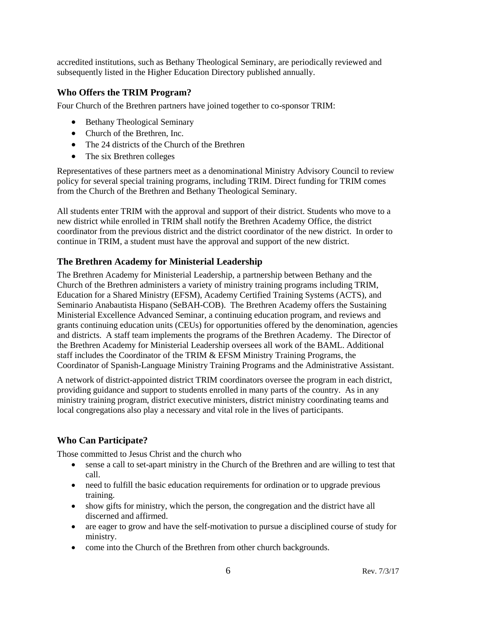accredited institutions, such as Bethany Theological Seminary, are periodically reviewed and subsequently listed in the Higher Education Directory published annually.

## **Who Offers the TRIM Program?**

Four Church of the Brethren partners have joined together to co-sponsor TRIM:

- Bethany Theological Seminary
- Church of the Brethren, Inc.
- The 24 districts of the Church of the Brethren
- The six Brethren colleges

Representatives of these partners meet as a denominational Ministry Advisory Council to review policy for several special training programs, including TRIM. Direct funding for TRIM comes from the Church of the Brethren and Bethany Theological Seminary.

All students enter TRIM with the approval and support of their district. Students who move to a new district while enrolled in TRIM shall notify the Brethren Academy Office, the district coordinator from the previous district and the district coordinator of the new district. In order to continue in TRIM, a student must have the approval and support of the new district.

## **The Brethren Academy for Ministerial Leadership**

The Brethren Academy for Ministerial Leadership, a partnership between Bethany and the Church of the Brethren administers a variety of ministry training programs including TRIM, Education for a Shared Ministry (EFSM), Academy Certified Training Systems (ACTS), and Seminario Anabautista Hispano (SeBAH-COB). The Brethren Academy offers the Sustaining Ministerial Excellence Advanced Seminar, a continuing education program, and reviews and grants continuing education units (CEUs) for opportunities offered by the denomination, agencies and districts. A staff team implements the programs of the Brethren Academy. The Director of the Brethren Academy for Ministerial Leadership oversees all work of the BAML. Additional staff includes the Coordinator of the TRIM & EFSM Ministry Training Programs, the Coordinator of Spanish-Language Ministry Training Programs and the Administrative Assistant.

A network of district-appointed district TRIM coordinators oversee the program in each district, providing guidance and support to students enrolled in many parts of the country. As in any ministry training program, district executive ministers, district ministry coordinating teams and local congregations also play a necessary and vital role in the lives of participants.

## **Who Can Participate?**

Those committed to Jesus Christ and the church who

- sense a call to set-apart ministry in the Church of the Brethren and are willing to test that call.
- need to fulfill the basic education requirements for ordination or to upgrade previous training.
- show gifts for ministry, which the person, the congregation and the district have all discerned and affirmed.
- are eager to grow and have the self-motivation to pursue a disciplined course of study for ministry.
- come into the Church of the Brethren from other church backgrounds.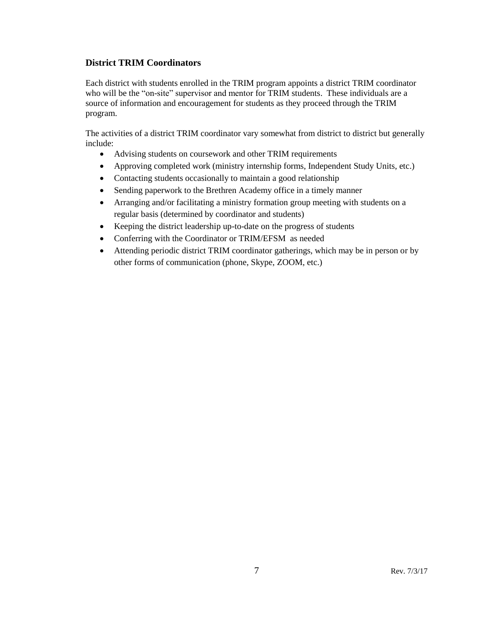## **District TRIM Coordinators**

Each district with students enrolled in the TRIM program appoints a district TRIM coordinator who will be the "on-site" supervisor and mentor for TRIM students. These individuals are a source of information and encouragement for students as they proceed through the TRIM program.

The activities of a district TRIM coordinator vary somewhat from district to district but generally include:

- Advising students on coursework and other TRIM requirements
- Approving completed work (ministry internship forms, Independent Study Units, etc.)
- Contacting students occasionally to maintain a good relationship
- Sending paperwork to the Brethren Academy office in a timely manner
- Arranging and/or facilitating a ministry formation group meeting with students on a regular basis (determined by coordinator and students)
- Keeping the district leadership up-to-date on the progress of students
- Conferring with the Coordinator or TRIM/EFSM as needed
- Attending periodic district TRIM coordinator gatherings, which may be in person or by other forms of communication (phone, Skype, ZOOM, etc.)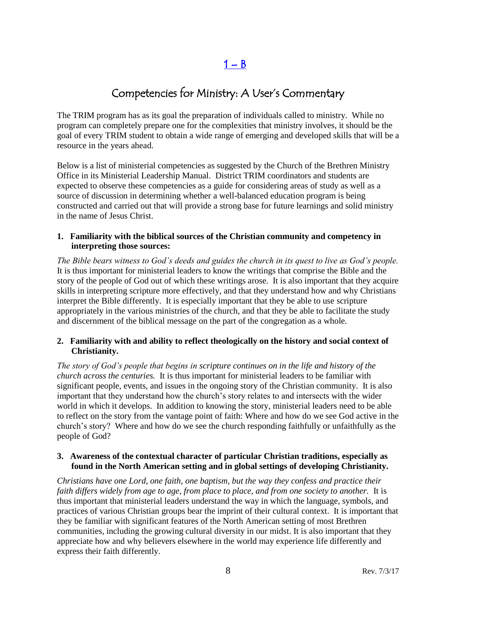$1 - B$  $1 - B$ 

## Competencies for Ministry: A User's Commentary

<span id="page-7-0"></span>The TRIM program has as its goal the preparation of individuals called to ministry. While no program can completely prepare one for the complexities that ministry involves, it should be the goal of every TRIM student to obtain a wide range of emerging and developed skills that will be a resource in the years ahead.

Below is a list of ministerial competencies as suggested by the Church of the Brethren Ministry Office in its Ministerial Leadership Manual. District TRIM coordinators and students are expected to observe these competencies as a guide for considering areas of study as well as a source of discussion in determining whether a well-balanced education program is being constructed and carried out that will provide a strong base for future learnings and solid ministry in the name of Jesus Christ.

#### **1. Familiarity with the biblical sources of the Christian community and competency in interpreting those sources:**

*The Bible bears witness to God's deeds and guides the church in its quest to live as God's people.* It is thus important for ministerial leaders to know the writings that comprise the Bible and the story of the people of God out of which these writings arose. It is also important that they acquire skills in interpreting scripture more effectively, and that they understand how and why Christians interpret the Bible differently. It is especially important that they be able to use scripture appropriately in the various ministries of the church, and that they be able to facilitate the study and discernment of the biblical message on the part of the congregation as a whole.

#### **2. Familiarity with and ability to reflect theologically on the history and social context of Christianity.**

*The story of God's people that begins in scripture continues on in the life and history of the church across the centuries.* It is thus important for ministerial leaders to be familiar with significant people, events, and issues in the ongoing story of the Christian community. It is also important that they understand how the church's story relates to and intersects with the wider world in which it develops. In addition to knowing the story, ministerial leaders need to be able to reflect on the story from the vantage point of faith: Where and how do we see God active in the church's story? Where and how do we see the church responding faithfully or unfaithfully as the people of God?

## **3. Awareness of the contextual character of particular Christian traditions, especially as found in the North American setting and in global settings of developing Christianity.**

*Christians have one Lord, one faith, one baptism, but the way they confess and practice their faith differs widely from age to age, from place to place, and from one society to another.* It is thus important that ministerial leaders understand the way in which the language, symbols, and practices of various Christian groups bear the imprint of their cultural context. It is important that they be familiar with significant features of the North American setting of most Brethren communities, including the growing cultural diversity in our midst. It is also important that they appreciate how and why believers elsewhere in the world may experience life differently and express their faith differently.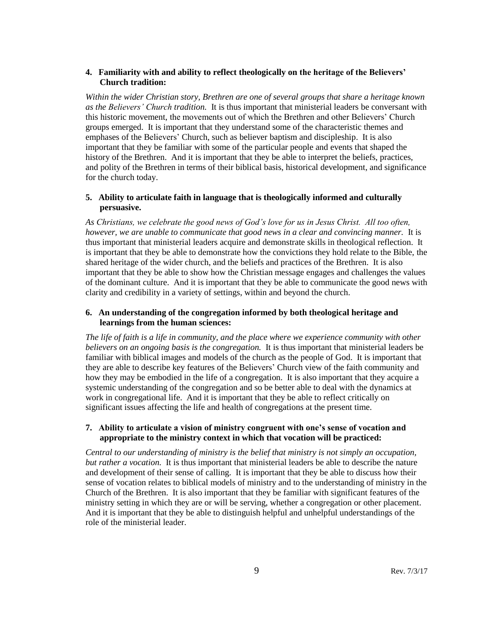#### **4. Familiarity with and ability to reflect theologically on the heritage of the Believers' Church tradition:**

*Within the wider Christian story, Brethren are one of several groups that share a heritage known as the Believers' Church tradition.* It is thus important that ministerial leaders be conversant with this historic movement, the movements out of which the Brethren and other Believers' Church groups emerged. It is important that they understand some of the characteristic themes and emphases of the Believers' Church, such as believer baptism and discipleship. It is also important that they be familiar with some of the particular people and events that shaped the history of the Brethren. And it is important that they be able to interpret the beliefs, practices, and polity of the Brethren in terms of their biblical basis, historical development, and significance for the church today.

## **5. Ability to articulate faith in language that is theologically informed and culturally persuasive.**

*As Christians, we celebrate the good news of God's love for us in Jesus Christ. All too often, however, we are unable to communicate that good news in a clear and convincing manner.* It is thus important that ministerial leaders acquire and demonstrate skills in theological reflection. It is important that they be able to demonstrate how the convictions they hold relate to the Bible, the shared heritage of the wider church, and the beliefs and practices of the Brethren. It is also important that they be able to show how the Christian message engages and challenges the values of the dominant culture. And it is important that they be able to communicate the good news with clarity and credibility in a variety of settings, within and beyond the church.

## **6. An understanding of the congregation informed by both theological heritage and learnings from the human sciences:**

*The life of faith is a life in community, and the place where we experience community with other believers on an ongoing basis is the congregation.* It is thus important that ministerial leaders be familiar with biblical images and models of the church as the people of God. It is important that they are able to describe key features of the Believers' Church view of the faith community and how they may be embodied in the life of a congregation. It is also important that they acquire a systemic understanding of the congregation and so be better able to deal with the dynamics at work in congregational life. And it is important that they be able to reflect critically on significant issues affecting the life and health of congregations at the present time.

#### **7. Ability to articulate a vision of ministry congruent with one's sense of vocation and appropriate to the ministry context in which that vocation will be practiced:**

*Central to our understanding of ministry is the belief that ministry is not simply an occupation, but rather a vocation.* It is thus important that ministerial leaders be able to describe the nature and development of their sense of calling. It is important that they be able to discuss how their sense of vocation relates to biblical models of ministry and to the understanding of ministry in the Church of the Brethren. It is also important that they be familiar with significant features of the ministry setting in which they are or will be serving, whether a congregation or other placement. And it is important that they be able to distinguish helpful and unhelpful understandings of the role of the ministerial leader.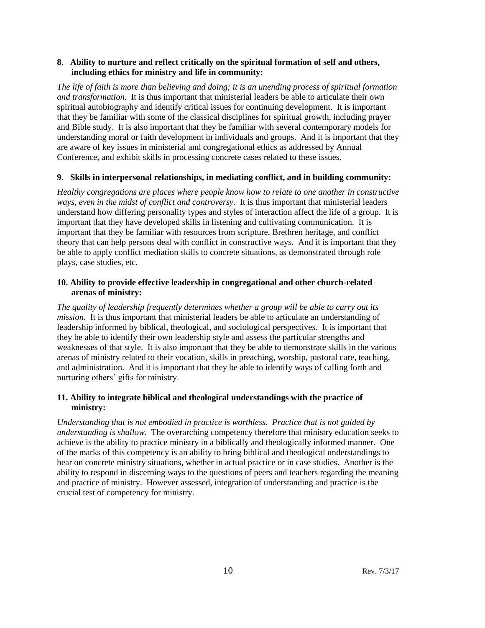#### **8. Ability to nurture and reflect critically on the spiritual formation of self and others, including ethics for ministry and life in community:**

*The life of faith is more than believing and doing; it is an unending process of spiritual formation and transformation.* It is thus important that ministerial leaders be able to articulate their own spiritual autobiography and identify critical issues for continuing development. It is important that they be familiar with some of the classical disciplines for spiritual growth, including prayer and Bible study. It is also important that they be familiar with several contemporary models for understanding moral or faith development in individuals and groups. And it is important that they are aware of key issues in ministerial and congregational ethics as addressed by Annual Conference, and exhibit skills in processing concrete cases related to these issues.

#### **9. Skills in interpersonal relationships, in mediating conflict, and in building community:**

*Healthy congregations are places where people know how to relate to one another in constructive ways, even in the midst of conflict and controversy.* It is thus important that ministerial leaders understand how differing personality types and styles of interaction affect the life of a group. It is important that they have developed skills in listening and cultivating communication. It is important that they be familiar with resources from scripture, Brethren heritage, and conflict theory that can help persons deal with conflict in constructive ways. And it is important that they be able to apply conflict mediation skills to concrete situations, as demonstrated through role plays, case studies, etc.

#### **10. Ability to provide effective leadership in congregational and other church-related arenas of ministry:**

*The quality of leadership frequently determines whether a group will be able to carry out its mission.* It is thus important that ministerial leaders be able to articulate an understanding of leadership informed by biblical, theological, and sociological perspectives. It is important that they be able to identify their own leadership style and assess the particular strengths and weaknesses of that style. It is also important that they be able to demonstrate skills in the various arenas of ministry related to their vocation, skills in preaching, worship, pastoral care, teaching, and administration. And it is important that they be able to identify ways of calling forth and nurturing others' gifts for ministry.

## **11. Ability to integrate biblical and theological understandings with the practice of ministry:**

*Understanding that is not embodied in practice is worthless. Practice that is not guided by understanding is shallow.* The overarching competency therefore that ministry education seeks to achieve is the ability to practice ministry in a biblically and theologically informed manner. One of the marks of this competency is an ability to bring biblical and theological understandings to bear on concrete ministry situations, whether in actual practice or in case studies. Another is the ability to respond in discerning ways to the questions of peers and teachers regarding the meaning and practice of ministry. However assessed, integration of understanding and practice is the crucial test of competency for ministry.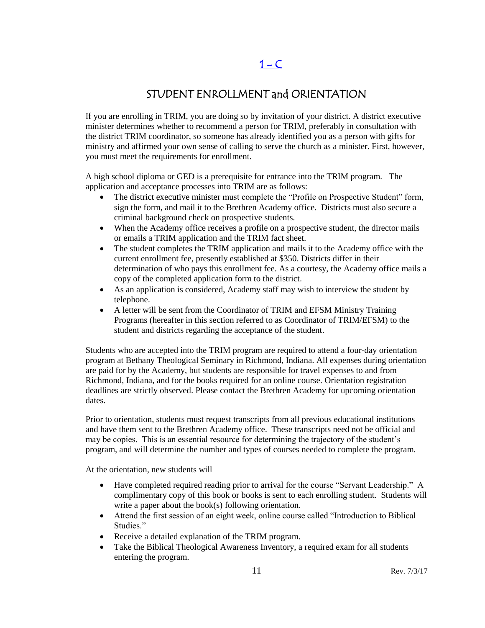## $1 - C$

## STUDENT ENROLLMENT and ORIENTATION

<span id="page-10-0"></span>If you are enrolling in TRIM, you are doing so by invitation of your district. A district executive minister determines whether to recommend a person for TRIM, preferably in consultation with the district TRIM coordinator, so someone has already identified you as a person with gifts for ministry and affirmed your own sense of calling to serve the church as a minister. First, however, you must meet the requirements for enrollment.

A high school diploma or GED is a prerequisite for entrance into the TRIM program. The application and acceptance processes into TRIM are as follows:

- The district executive minister must complete the "Profile on Prospective Student" form, sign the form, and mail it to the Brethren Academy office. Districts must also secure a criminal background check on prospective students.
- When the Academy office receives a profile on a prospective student, the director mails or emails a TRIM application and the TRIM fact sheet.
- The student completes the TRIM application and mails it to the Academy office with the current enrollment fee, presently established at \$350. Districts differ in their determination of who pays this enrollment fee. As a courtesy, the Academy office mails a copy of the completed application form to the district.
- As an application is considered, Academy staff may wish to interview the student by telephone.
- A letter will be sent from the Coordinator of TRIM and EFSM Ministry Training Programs (hereafter in this section referred to as Coordinator of TRIM/EFSM) to the student and districts regarding the acceptance of the student.

Students who are accepted into the TRIM program are required to attend a four-day orientation program at Bethany Theological Seminary in Richmond, Indiana. All expenses during orientation are paid for by the Academy, but students are responsible for travel expenses to and from Richmond, Indiana, and for the books required for an online course. Orientation registration deadlines are strictly observed. Please contact the Brethren Academy for upcoming orientation dates.

Prior to orientation, students must request transcripts from all previous educational institutions and have them sent to the Brethren Academy office. These transcripts need not be official and may be copies. This is an essential resource for determining the trajectory of the student's program, and will determine the number and types of courses needed to complete the program.

At the orientation, new students will

- Have completed required reading prior to arrival for the course "Servant Leadership." A complimentary copy of this book or books is sent to each enrolling student. Students will write a paper about the book(s) following orientation.
- Attend the first session of an eight week, online course called "Introduction to Biblical Studies."
- Receive a detailed explanation of the TRIM program.
- Take the Biblical Theological Awareness Inventory, a required exam for all students entering the program.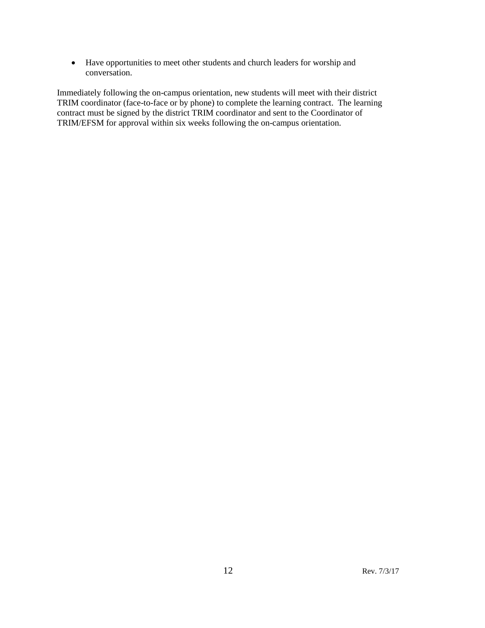Have opportunities to meet other students and church leaders for worship and conversation.

Immediately following the on-campus orientation, new students will meet with their district TRIM coordinator (face-to-face or by phone) to complete the learning contract. The learning contract must be signed by the district TRIM coordinator and sent to the Coordinator of TRIM/EFSM for approval within six weeks following the on-campus orientation.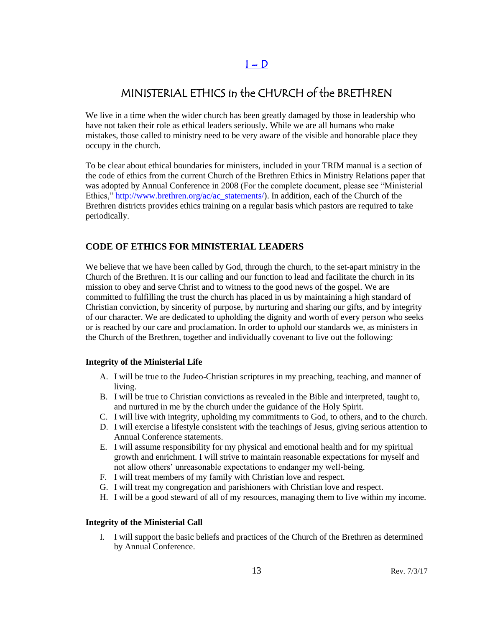## $I - D$

## <span id="page-12-0"></span>MINISTERIAL ETHICS in the CHURCH of the BRETHREN

We live in a time when the wider church has been greatly damaged by those in leadership who have not taken their role as ethical leaders seriously. While we are all humans who make mistakes, those called to ministry need to be very aware of the visible and honorable place they occupy in the church.

To be clear about ethical boundaries for ministers, included in your TRIM manual is a section of the code of ethics from the current Church of the Brethren Ethics in Ministry Relations paper that was adopted by Annual Conference in 2008 (For the complete document, please see "Ministerial Ethics," [http://www.brethren.org/ac/ac\\_statements/\)](http://www.brethren.org/ac/ac_statements/). In addition, each of the Church of the Brethren districts provides ethics training on a regular basis which pastors are required to take periodically.

## **CODE OF ETHICS FOR MINISTERIAL LEADERS**

We believe that we have been called by God, through the church, to the set-apart ministry in the Church of the Brethren. It is our calling and our function to lead and facilitate the church in its mission to obey and serve Christ and to witness to the good news of the gospel. We are committed to fulfilling the trust the church has placed in us by maintaining a high standard of Christian conviction, by sincerity of purpose, by nurturing and sharing our gifts, and by integrity of our character. We are dedicated to upholding the dignity and worth of every person who seeks or is reached by our care and proclamation. In order to uphold our standards we, as ministers in the Church of the Brethren, together and individually covenant to live out the following:

#### **Integrity of the Ministerial Life**

- A. I will be true to the Judeo-Christian scriptures in my preaching, teaching, and manner of living.
- B. I will be true to Christian convictions as revealed in the Bible and interpreted, taught to, and nurtured in me by the church under the guidance of the Holy Spirit.
- C. I will live with integrity, upholding my commitments to God, to others, and to the church.
- D. I will exercise a lifestyle consistent with the teachings of Jesus, giving serious attention to Annual Conference statements.
- E. I will assume responsibility for my physical and emotional health and for my spiritual growth and enrichment. I will strive to maintain reasonable expectations for myself and not allow others' unreasonable expectations to endanger my well-being.
- F. I will treat members of my family with Christian love and respect.
- G. I will treat my congregation and parishioners with Christian love and respect.
- H. I will be a good steward of all of my resources, managing them to live within my income.

#### **Integrity of the Ministerial Call**

I. I will support the basic beliefs and practices of the Church of the Brethren as determined by Annual Conference.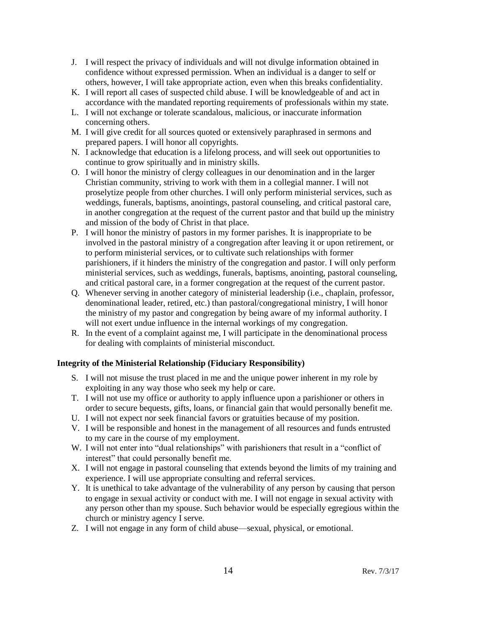- J. I will respect the privacy of individuals and will not divulge information obtained in confidence without expressed permission. When an individual is a danger to self or others, however, I will take appropriate action, even when this breaks confidentiality.
- K. I will report all cases of suspected child abuse. I will be knowledgeable of and act in accordance with the mandated reporting requirements of professionals within my state.
- L. I will not exchange or tolerate scandalous, malicious, or inaccurate information concerning others.
- M. I will give credit for all sources quoted or extensively paraphrased in sermons and prepared papers. I will honor all copyrights.
- N. I acknowledge that education is a lifelong process, and will seek out opportunities to continue to grow spiritually and in ministry skills.
- O. I will honor the ministry of clergy colleagues in our denomination and in the larger Christian community, striving to work with them in a collegial manner. I will not proselytize people from other churches. I will only perform ministerial services, such as weddings, funerals, baptisms, anointings, pastoral counseling, and critical pastoral care, in another congregation at the request of the current pastor and that build up the ministry and mission of the body of Christ in that place.
- P. I will honor the ministry of pastors in my former parishes. It is inappropriate to be involved in the pastoral ministry of a congregation after leaving it or upon retirement, or to perform ministerial services, or to cultivate such relationships with former parishioners, if it hinders the ministry of the congregation and pastor. I will only perform ministerial services, such as weddings, funerals, baptisms, anointing, pastoral counseling, and critical pastoral care, in a former congregation at the request of the current pastor.
- Q. Whenever serving in another category of ministerial leadership (i.e., chaplain, professor, denominational leader, retired, etc.) than pastoral/congregational ministry, I will honor the ministry of my pastor and congregation by being aware of my informal authority. I will not exert undue influence in the internal workings of my congregation.
- R. In the event of a complaint against me, I will participate in the denominational process for dealing with complaints of ministerial misconduct.

#### **Integrity of the Ministerial Relationship (Fiduciary Responsibility)**

- S. I will not misuse the trust placed in me and the unique power inherent in my role by exploiting in any way those who seek my help or care.
- T. I will not use my office or authority to apply influence upon a parishioner or others in order to secure bequests, gifts, loans, or financial gain that would personally benefit me.
- U. I will not expect nor seek financial favors or gratuities because of my position.
- V. I will be responsible and honest in the management of all resources and funds entrusted to my care in the course of my employment.
- W. I will not enter into "dual relationships" with parishioners that result in a "conflict of interest" that could personally benefit me.
- X. I will not engage in pastoral counseling that extends beyond the limits of my training and experience. I will use appropriate consulting and referral services.
- Y. It is unethical to take advantage of the vulnerability of any person by causing that person to engage in sexual activity or conduct with me. I will not engage in sexual activity with any person other than my spouse. Such behavior would be especially egregious within the church or ministry agency I serve.
- Z. I will not engage in any form of child abuse—sexual, physical, or emotional.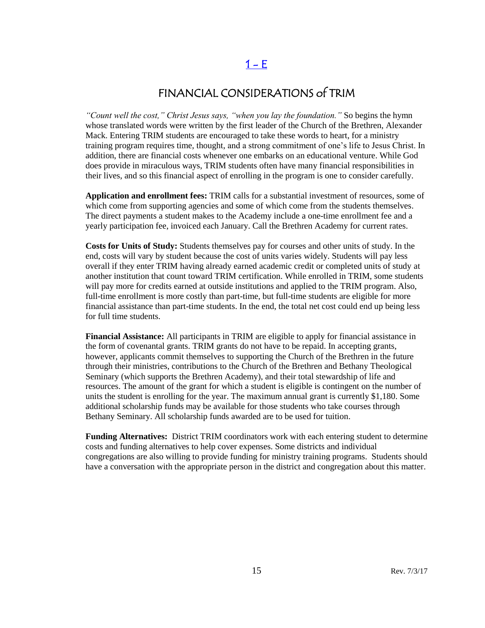## $1 - E$

## FINANCIAL CONSIDERATIONS of TRIM

<span id="page-14-0"></span>*"Count well the cost," Christ Jesus says, "when you lay the foundation."* So begins the hymn whose translated words were written by the first leader of the Church of the Brethren, Alexander Mack. Entering TRIM students are encouraged to take these words to heart, for a ministry training program requires time, thought, and a strong commitment of one's life to Jesus Christ. In addition, there are financial costs whenever one embarks on an educational venture. While God does provide in miraculous ways, TRIM students often have many financial responsibilities in their lives, and so this financial aspect of enrolling in the program is one to consider carefully.

**Application and enrollment fees:** TRIM calls for a substantial investment of resources, some of which come from supporting agencies and some of which come from the students themselves. The direct payments a student makes to the Academy include a one-time enrollment fee and a yearly participation fee, invoiced each January. Call the Brethren Academy for current rates.

**Costs for Units of Study:** Students themselves pay for courses and other units of study. In the end, costs will vary by student because the cost of units varies widely. Students will pay less overall if they enter TRIM having already earned academic credit or completed units of study at another institution that count toward TRIM certification. While enrolled in TRIM, some students will pay more for credits earned at outside institutions and applied to the TRIM program. Also, full-time enrollment is more costly than part-time, but full-time students are eligible for more financial assistance than part-time students. In the end, the total net cost could end up being less for full time students.

**Financial Assistance:** All participants in TRIM are eligible to apply for financial assistance in the form of covenantal grants. TRIM grants do not have to be repaid. In accepting grants, however, applicants commit themselves to supporting the Church of the Brethren in the future through their ministries, contributions to the Church of the Brethren and Bethany Theological Seminary (which supports the Brethren Academy), and their total stewardship of life and resources. The amount of the grant for which a student is eligible is contingent on the number of units the student is enrolling for the year. The maximum annual grant is currently \$1,180. Some additional scholarship funds may be available for those students who take courses through Bethany Seminary. All scholarship funds awarded are to be used for tuition.

**Funding Alternatives:** District TRIM coordinators work with each entering student to determine costs and funding alternatives to help cover expenses. Some districts and individual congregations are also willing to provide funding for ministry training programs. Students should have a conversation with the appropriate person in the district and congregation about this matter.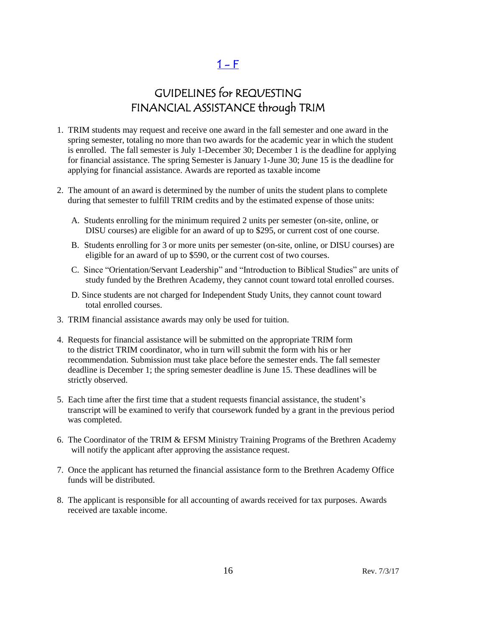$1 - F$ 

## GUIDELINES for REQUESTING FINANCIAL ASSISTANCE through TRIM

- <span id="page-15-0"></span>1. TRIM students may request and receive one award in the fall semester and one award in the spring semester, totaling no more than two awards for the academic year in which the student is enrolled. The fall semester is July 1-December 30; December 1 is the deadline for applying for financial assistance. The spring Semester is January 1-June 30; June 15 is the deadline for applying for financial assistance. Awards are reported as taxable income
- 2. The amount of an award is determined by the number of units the student plans to complete during that semester to fulfill TRIM credits and by the estimated expense of those units:
	- A. Students enrolling for the minimum required 2 units per semester (on-site, online, or DISU courses) are eligible for an award of up to \$295, or current cost of one course.
	- B. Students enrolling for 3 or more units per semester (on-site, online, or DISU courses) are eligible for an award of up to \$590, or the current cost of two courses.
	- C. Since "Orientation/Servant Leadership" and "Introduction to Biblical Studies" are units of study funded by the Brethren Academy, they cannot count toward total enrolled courses.
	- D. Since students are not charged for Independent Study Units, they cannot count toward total enrolled courses.
- 3. TRIM financial assistance awards may only be used for tuition.
- 4. Requests for financial assistance will be submitted on the appropriate TRIM form to the district TRIM coordinator, who in turn will submit the form with his or her recommendation. Submission must take place before the semester ends. The fall semester deadline is December 1; the spring semester deadline is June 15. These deadlines will be strictly observed.
- 5. Each time after the first time that a student requests financial assistance, the student's transcript will be examined to verify that coursework funded by a grant in the previous period was completed.
- 6. The Coordinator of the TRIM & EFSM Ministry Training Programs of the Brethren Academy will notify the applicant after approving the assistance request.
- 7. Once the applicant has returned the financial assistance form to the Brethren Academy Office funds will be distributed.
- 8. The applicant is responsible for all accounting of awards received for tax purposes. Awards received are taxable income.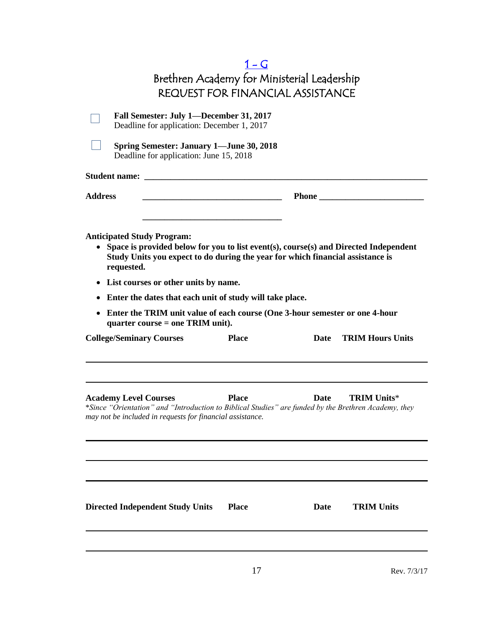<span id="page-16-0"></span>

|                                                                                                                                                                                                                                                                                                   | 1 – G<br>Brethren Academy for Ministerial Leadership<br><b>REQUEST FOR FINANCIAL ASSISTANCE</b> |      |                         |
|---------------------------------------------------------------------------------------------------------------------------------------------------------------------------------------------------------------------------------------------------------------------------------------------------|-------------------------------------------------------------------------------------------------|------|-------------------------|
| Fall Semester: July 1—December 31, 2017<br>Deadline for application: December 1, 2017                                                                                                                                                                                                             |                                                                                                 |      |                         |
| <b>Spring Semester: January 1—June 30, 2018</b><br>Deadline for application: June 15, 2018                                                                                                                                                                                                        |                                                                                                 |      |                         |
| Student name: _____                                                                                                                                                                                                                                                                               |                                                                                                 |      |                         |
| <b>Address</b>                                                                                                                                                                                                                                                                                    |                                                                                                 |      | Phone                   |
| Study Units you expect to do during the year for which financial assistance is<br>requested.<br>List courses or other units by name.<br>$\bullet$<br>Enter the dates that each unit of study will take place.<br>٠<br>Enter the TRIM unit value of each course (One 3-hour semester or one 4-hour |                                                                                                 |      |                         |
| quarter course $=$ one TRIM unit).<br><b>College/Seminary Courses</b>                                                                                                                                                                                                                             | <b>Place</b>                                                                                    | Date | <b>TRIM Hours Units</b> |
| <b>Academy Level Courses</b><br>*Since "Orientation" and "Introduction to Biblical Studies" are funded by the Brethren Academy, they<br>may not be included in requests for financial assistance.                                                                                                 | <b>Place</b>                                                                                    | Date | <b>TRIM Units*</b>      |
| <b>Directed Independent Study Units</b>                                                                                                                                                                                                                                                           | <b>Place</b>                                                                                    | Date | <b>TRIM Units</b>       |
|                                                                                                                                                                                                                                                                                                   | 17                                                                                              |      | Rev. 7/3/17             |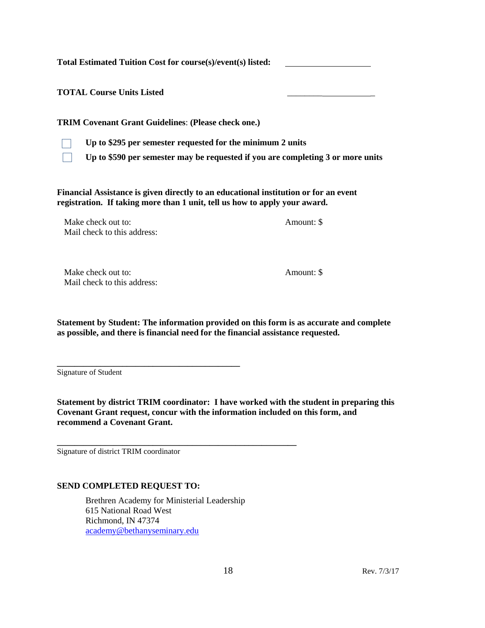**Total Estimated Tuition Cost for course(s)/event(s) listed:** 

**TOTAL Course Units Listed** \_\_\_\_\_\_\_\_ \_

**TRIM Covenant Grant Guidelines**: **(Please check one.)**



**Up to \$295 per semester requested for the minimum 2 units**

**Up to \$590 per semester may be requested if you are completing 3 or more units**

**Financial Assistance is given directly to an educational institution or for an event registration. If taking more than 1 unit, tell us how to apply your award.**

Make check out to:  $\blacksquare$ Mail check to this address:

Make check out to:  $\blacksquare$ Mail check to this address:

**Statement by Student: The information provided on this form is as accurate and complete as possible, and there is financial need for the financial assistance requested.**

Signature of Student

**Statement by district TRIM coordinator: I have worked with the student in preparing this Covenant Grant request, concur with the information included on this form, and recommend a Covenant Grant.**

Signature of district TRIM coordinator

#### **SEND COMPLETED REQUEST TO:**

**\_\_\_\_\_\_\_\_\_\_\_\_\_\_\_\_\_\_\_\_\_\_\_\_\_\_\_\_\_\_\_\_\_\_\_\_\_\_\_\_\_\_**

Brethren Academy for Ministerial Leadership 615 National Road West Richmond, IN 47374 [academy@bethanyseminary.edu](mailto:academy@bethanyseminary.edu)

**\_\_\_\_\_\_\_\_\_\_\_\_\_\_\_\_\_\_\_\_\_\_\_\_\_\_\_\_\_\_\_\_\_\_\_\_\_\_\_\_\_\_\_\_\_\_\_\_\_\_\_\_\_\_\_**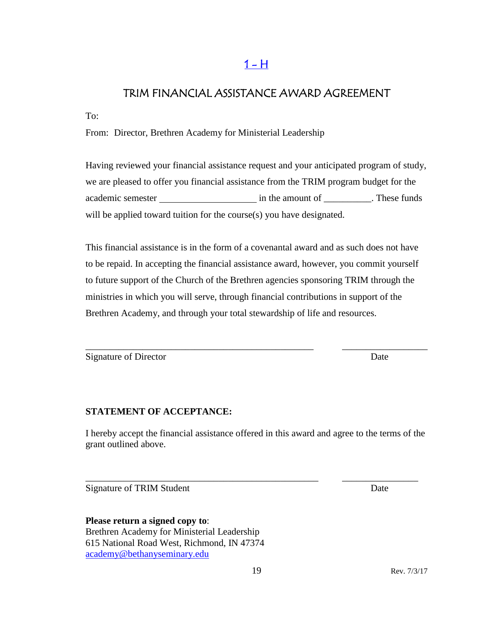## $1 - H$

## <span id="page-18-0"></span>TRIM FINANCIAL ASSISTANCE AWARD AGREEMENT

To:

From: Director, Brethren Academy for Ministerial Leadership

Having reviewed your financial assistance request and your anticipated program of study, we are pleased to offer you financial assistance from the TRIM program budget for the academic semester in the amount of \_\_\_\_\_\_\_\_\_\_. These funds will be applied toward tuition for the course(s) you have designated.

This financial assistance is in the form of a covenantal award and as such does not have to be repaid. In accepting the financial assistance award, however, you commit yourself to future support of the Church of the Brethren agencies sponsoring TRIM through the ministries in which you will serve, through financial contributions in support of the Brethren Academy, and through your total stewardship of life and resources.

\_\_\_\_\_\_\_\_\_\_\_\_\_\_\_\_\_\_\_\_\_\_\_\_\_\_\_\_\_\_\_\_\_\_\_\_\_\_\_\_\_\_\_\_\_\_\_\_ \_\_\_\_\_\_\_\_\_\_\_\_\_\_\_\_\_\_

Signature of Director Date

## **STATEMENT OF ACCEPTANCE:**

I hereby accept the financial assistance offered in this award and agree to the terms of the grant outlined above.

\_\_\_\_\_\_\_\_\_\_\_\_\_\_\_\_\_\_\_\_\_\_\_\_\_\_\_\_\_\_\_\_\_\_\_\_\_\_\_\_\_\_\_\_\_\_\_\_\_ \_\_\_\_\_\_\_\_\_\_\_\_\_\_\_\_

Signature of TRIM Student Date

**Please return a signed copy to**: Brethren Academy for Ministerial Leadership 615 National Road West, Richmond, IN 47374 [academy@bethanyseminary.edu](mailto:academy@bethanyseminary.edu)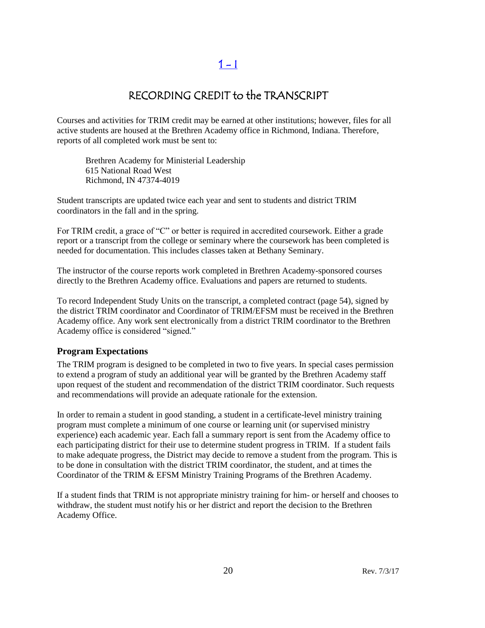## $1 - 1$

## RECORDING CREDIT to the TRANSCRIPT

<span id="page-19-0"></span>Courses and activities for TRIM credit may be earned at other institutions; however, files for all active students are housed at the Brethren Academy office in Richmond, Indiana. Therefore, reports of all completed work must be sent to:

Brethren Academy for Ministerial Leadership 615 National Road West Richmond, IN 47374-4019

Student transcripts are updated twice each year and sent to students and district TRIM coordinators in the fall and in the spring.

For TRIM credit, a grace of "C" or better is required in accredited coursework. Either a grade report or a transcript from the college or seminary where the coursework has been completed is needed for documentation. This includes classes taken at Bethany Seminary.

The instructor of the course reports work completed in Brethren Academy-sponsored courses directly to the Brethren Academy office. Evaluations and papers are returned to students.

To record Independent Study Units on the transcript, a completed contract (page 54), signed by the district TRIM coordinator and Coordinator of TRIM/EFSM must be received in the Brethren Academy office. Any work sent electronically from a district TRIM coordinator to the Brethren Academy office is considered "signed."

#### **Program Expectations**

The TRIM program is designed to be completed in two to five years. In special cases permission to extend a program of study an additional year will be granted by the Brethren Academy staff upon request of the student and recommendation of the district TRIM coordinator. Such requests and recommendations will provide an adequate rationale for the extension.

In order to remain a student in good standing, a student in a certificate-level ministry training program must complete a minimum of one course or learning unit (or supervised ministry experience) each academic year. Each fall a summary report is sent from the Academy office to each participating district for their use to determine student progress in TRIM. If a student fails to make adequate progress, the District may decide to remove a student from the program. This is to be done in consultation with the district TRIM coordinator, the student, and at times the Coordinator of the TRIM & EFSM Ministry Training Programs of the Brethren Academy.

If a student finds that TRIM is not appropriate ministry training for him- or herself and chooses to withdraw, the student must notify his or her district and report the decision to the Brethren Academy Office.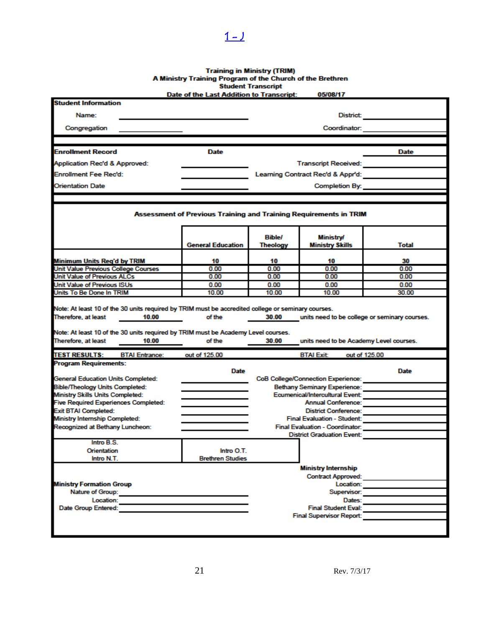# Training in Ministry (TRIM)<br>A Ministry Training Program of the Church of the Brethren<br>Student Transcript<br>Date of the Last Addition to Transcript: 05/08/17

<span id="page-20-0"></span> $1 - 1$ 

|                                                                                                                   | Date of the Last Addition to Transcript:                          |                                  | <b>US/08/17</b>                                              |              |
|-------------------------------------------------------------------------------------------------------------------|-------------------------------------------------------------------|----------------------------------|--------------------------------------------------------------|--------------|
| <b>Student Information</b>                                                                                        |                                                                   |                                  |                                                              |              |
| Name:                                                                                                             | District                                                          |                                  |                                                              |              |
| Congregation                                                                                                      |                                                                   | Coordinator:                     |                                                              |              |
|                                                                                                                   |                                                                   |                                  |                                                              |              |
| <b>Enrollment Record</b>                                                                                          | <b>Date</b>                                                       |                                  |                                                              | Date         |
| Application Rec'd & Approved:                                                                                     |                                                                   |                                  |                                                              |              |
| <b>Enrollment Fee Rec'd:</b>                                                                                      |                                                                   |                                  |                                                              |              |
| <b>Orientation Date</b>                                                                                           |                                                                   |                                  | Completion By:                                               |              |
|                                                                                                                   |                                                                   |                                  |                                                              |              |
|                                                                                                                   |                                                                   |                                  |                                                              |              |
|                                                                                                                   | Assessment of Previous Training and Training Requirements in TRIM |                                  |                                                              |              |
|                                                                                                                   | <b>General Education</b>                                          | <b>Bible/</b><br><b>Theology</b> | <b>Ministry/</b><br><b>Ministry Skills</b>                   | Total        |
|                                                                                                                   |                                                                   |                                  |                                                              |              |
| Minimum Units Reg'd by TRIM                                                                                       | 10                                                                | 10                               | 10                                                           | 30           |
| Unit Value Previous College Courses                                                                               | 0.00<br>0.00                                                      | 0.00<br>0.00                     | 0.00<br>0.00                                                 | 0.00<br>0.00 |
| Unit Value of Previous ALCs<br>Unit Value of Previous ISUs                                                        | 0.00                                                              | 0.00                             | 0.00                                                         | 0.00         |
| Units To Be Done In TRIM                                                                                          | 10.00                                                             | 10.00                            | 10.00                                                        | 30.00        |
| Note: At least 10 of the 30 units required by TRIM must be Academy Level courses.<br>Therefore, at least<br>10.00 | of the                                                            | 30.00                            | units need to be Academy Level courses.                      |              |
| <b>TEST RESULTS:</b><br><b>BTAI Entrance:</b>                                                                     | out of 125.00                                                     |                                  | out of 125.00<br><b>BTAI Exit</b>                            |              |
| <b>Program Requirements:</b>                                                                                      |                                                                   |                                  |                                                              |              |
|                                                                                                                   | Date                                                              |                                  |                                                              | Date         |
| <b>General Education Units Completed:</b>                                                                         |                                                                   |                                  | <b>CoB College/Connection Experience:</b>                    |              |
| <b>Bible/Theology Units Completed:</b>                                                                            |                                                                   |                                  | <b>Bethany Seminary Experience:</b>                          |              |
| Ministry Skills Units Completed:<br><b>Five Required Experiences Completed:</b>                                   |                                                                   |                                  | Ecumenical/Intercultural Event:<br><b>Annual Conference:</b> |              |
| <b>Exit BTAI Completed:</b>                                                                                       |                                                                   |                                  | <b>District Conference:</b>                                  |              |
| <b>Ministry Internship Completed:</b>                                                                             |                                                                   |                                  | <b>Final Evaluation - Student:</b>                           |              |
| Recognized at Bethany Luncheon:                                                                                   |                                                                   |                                  | Final Evaluation - Coordinator:                              |              |
|                                                                                                                   |                                                                   |                                  | <b>District Graduation Event:</b>                            |              |
| Intro B.S.                                                                                                        |                                                                   |                                  |                                                              |              |
| Orientation                                                                                                       | Intro O.T.                                                        |                                  |                                                              |              |
| Intro N.T.                                                                                                        | <b>Brethren Studies</b>                                           |                                  |                                                              |              |
|                                                                                                                   |                                                                   |                                  | <b>Ministry Internship</b>                                   |              |
|                                                                                                                   |                                                                   | <b>Contract Approved:</b>        |                                                              |              |
| <b>Ministry Formation Group</b>                                                                                   |                                                                   |                                  | Location:                                                    |              |
| Nature of Group:<br>Location:                                                                                     |                                                                   |                                  | Supervisor:                                                  |              |
| Date Group Entered:                                                                                               |                                                                   |                                  | Dates:<br><b>Final Student Eval:</b>                         |              |
|                                                                                                                   |                                                                   |                                  | <b>Final Supervisor Report:</b>                              |              |
|                                                                                                                   |                                                                   |                                  |                                                              |              |
|                                                                                                                   |                                                                   |                                  |                                                              |              |
|                                                                                                                   |                                                                   |                                  |                                                              |              |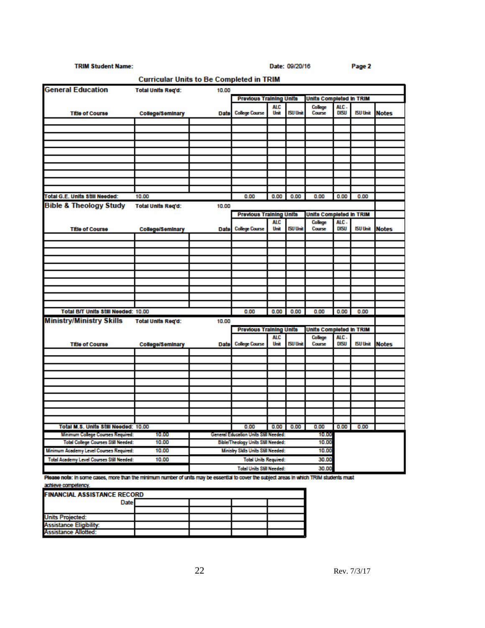#### **TRIM Student Name:**

Date: 09/20/16

Page 2

| <b>Total Units Reg'd:</b><br>10.00<br><b>Previous Training Units</b><br>Units Completed in TRIM<br><b>ALC</b><br>ALC.<br>College<br><b>ISU Unit</b><br>DISU<br><b>ISU Unit</b><br><b>College Course</b><br>Unit<br>Course<br><b>Notes</b><br><b>Title of Course</b><br><b>College/Seminary</b><br>Date<br>Total G.E. Units Still Needed:<br>0.00<br>0.00<br>10.00<br>0.00<br>0.00<br>0.00<br>0.00<br><b>Bible &amp; Theology Study</b><br><b>Total Units Reg'd:</b><br>10.00<br><b>Previous Training Units</b><br>Units Completed in TRIM<br><b>ALC</b><br>College<br>ALC-<br><b>ISU Unit</b><br><b>DISU</b><br><b>ISU Unit</b><br><b>College Course</b><br>Unit<br>Course<br>Notes<br><b>Title of Course</b><br>College/Seminary<br><b>Date</b><br>Total B/T Units Still Needed: 10.00<br>0.00<br>0.00<br>0.00<br>0.00<br>0.00<br>0.00<br><b>Ministry/Ministry Skills</b><br><b>Total Units Reg'd:</b><br>10.00<br><b>Previous Training Units</b><br>Units Completed in TRIM<br><b>ALC</b><br>College<br>ALC.<br><b>ISU Unit</b><br>DISU<br><b>ISU Unit</b><br><b>College Course</b><br><b>Notes</b><br>Unit<br>Course<br><b>Title of Course</b><br><b>College/Seminary</b><br>Date<br>Total M.S. Units Still Needed: 10.00<br>0.00<br>0.00<br>0.00<br>0.00<br>0.00<br>0.00<br>Minimum College Courses Required:<br>General Education Units Still Needed:<br>10.00<br>10.00<br>Total College Courses Still Needed:<br>Bible/Theology Units Still Needed:<br>10.00<br>10.00<br>Minimum Academy Level Courses Required:<br>10.00<br>Ministry Sklls Units Still Needed:<br>10.00<br><b>Total Academy Level Courses Still Needed:</b><br>10.00<br><b>Total Units Required:</b><br>30.00<br><b>Total Units Still Needed:</b> | <b>Curricular Units to Be Completed in TRIM</b> |  |  |  |  |  |       |  |  |  |
|--------------------------------------------------------------------------------------------------------------------------------------------------------------------------------------------------------------------------------------------------------------------------------------------------------------------------------------------------------------------------------------------------------------------------------------------------------------------------------------------------------------------------------------------------------------------------------------------------------------------------------------------------------------------------------------------------------------------------------------------------------------------------------------------------------------------------------------------------------------------------------------------------------------------------------------------------------------------------------------------------------------------------------------------------------------------------------------------------------------------------------------------------------------------------------------------------------------------------------------------------------------------------------------------------------------------------------------------------------------------------------------------------------------------------------------------------------------------------------------------------------------------------------------------------------------------------------------------------------------------------------------------------------------------------------------------------------------------------|-------------------------------------------------|--|--|--|--|--|-------|--|--|--|
|                                                                                                                                                                                                                                                                                                                                                                                                                                                                                                                                                                                                                                                                                                                                                                                                                                                                                                                                                                                                                                                                                                                                                                                                                                                                                                                                                                                                                                                                                                                                                                                                                                                                                                                          | <b>General Education</b>                        |  |  |  |  |  |       |  |  |  |
|                                                                                                                                                                                                                                                                                                                                                                                                                                                                                                                                                                                                                                                                                                                                                                                                                                                                                                                                                                                                                                                                                                                                                                                                                                                                                                                                                                                                                                                                                                                                                                                                                                                                                                                          |                                                 |  |  |  |  |  |       |  |  |  |
|                                                                                                                                                                                                                                                                                                                                                                                                                                                                                                                                                                                                                                                                                                                                                                                                                                                                                                                                                                                                                                                                                                                                                                                                                                                                                                                                                                                                                                                                                                                                                                                                                                                                                                                          |                                                 |  |  |  |  |  |       |  |  |  |
|                                                                                                                                                                                                                                                                                                                                                                                                                                                                                                                                                                                                                                                                                                                                                                                                                                                                                                                                                                                                                                                                                                                                                                                                                                                                                                                                                                                                                                                                                                                                                                                                                                                                                                                          |                                                 |  |  |  |  |  |       |  |  |  |
|                                                                                                                                                                                                                                                                                                                                                                                                                                                                                                                                                                                                                                                                                                                                                                                                                                                                                                                                                                                                                                                                                                                                                                                                                                                                                                                                                                                                                                                                                                                                                                                                                                                                                                                          |                                                 |  |  |  |  |  |       |  |  |  |
|                                                                                                                                                                                                                                                                                                                                                                                                                                                                                                                                                                                                                                                                                                                                                                                                                                                                                                                                                                                                                                                                                                                                                                                                                                                                                                                                                                                                                                                                                                                                                                                                                                                                                                                          |                                                 |  |  |  |  |  |       |  |  |  |
|                                                                                                                                                                                                                                                                                                                                                                                                                                                                                                                                                                                                                                                                                                                                                                                                                                                                                                                                                                                                                                                                                                                                                                                                                                                                                                                                                                                                                                                                                                                                                                                                                                                                                                                          |                                                 |  |  |  |  |  |       |  |  |  |
|                                                                                                                                                                                                                                                                                                                                                                                                                                                                                                                                                                                                                                                                                                                                                                                                                                                                                                                                                                                                                                                                                                                                                                                                                                                                                                                                                                                                                                                                                                                                                                                                                                                                                                                          |                                                 |  |  |  |  |  |       |  |  |  |
|                                                                                                                                                                                                                                                                                                                                                                                                                                                                                                                                                                                                                                                                                                                                                                                                                                                                                                                                                                                                                                                                                                                                                                                                                                                                                                                                                                                                                                                                                                                                                                                                                                                                                                                          |                                                 |  |  |  |  |  |       |  |  |  |
|                                                                                                                                                                                                                                                                                                                                                                                                                                                                                                                                                                                                                                                                                                                                                                                                                                                                                                                                                                                                                                                                                                                                                                                                                                                                                                                                                                                                                                                                                                                                                                                                                                                                                                                          |                                                 |  |  |  |  |  |       |  |  |  |
|                                                                                                                                                                                                                                                                                                                                                                                                                                                                                                                                                                                                                                                                                                                                                                                                                                                                                                                                                                                                                                                                                                                                                                                                                                                                                                                                                                                                                                                                                                                                                                                                                                                                                                                          |                                                 |  |  |  |  |  |       |  |  |  |
|                                                                                                                                                                                                                                                                                                                                                                                                                                                                                                                                                                                                                                                                                                                                                                                                                                                                                                                                                                                                                                                                                                                                                                                                                                                                                                                                                                                                                                                                                                                                                                                                                                                                                                                          |                                                 |  |  |  |  |  |       |  |  |  |
|                                                                                                                                                                                                                                                                                                                                                                                                                                                                                                                                                                                                                                                                                                                                                                                                                                                                                                                                                                                                                                                                                                                                                                                                                                                                                                                                                                                                                                                                                                                                                                                                                                                                                                                          |                                                 |  |  |  |  |  |       |  |  |  |
|                                                                                                                                                                                                                                                                                                                                                                                                                                                                                                                                                                                                                                                                                                                                                                                                                                                                                                                                                                                                                                                                                                                                                                                                                                                                                                                                                                                                                                                                                                                                                                                                                                                                                                                          |                                                 |  |  |  |  |  |       |  |  |  |
|                                                                                                                                                                                                                                                                                                                                                                                                                                                                                                                                                                                                                                                                                                                                                                                                                                                                                                                                                                                                                                                                                                                                                                                                                                                                                                                                                                                                                                                                                                                                                                                                                                                                                                                          |                                                 |  |  |  |  |  |       |  |  |  |
|                                                                                                                                                                                                                                                                                                                                                                                                                                                                                                                                                                                                                                                                                                                                                                                                                                                                                                                                                                                                                                                                                                                                                                                                                                                                                                                                                                                                                                                                                                                                                                                                                                                                                                                          |                                                 |  |  |  |  |  |       |  |  |  |
|                                                                                                                                                                                                                                                                                                                                                                                                                                                                                                                                                                                                                                                                                                                                                                                                                                                                                                                                                                                                                                                                                                                                                                                                                                                                                                                                                                                                                                                                                                                                                                                                                                                                                                                          |                                                 |  |  |  |  |  |       |  |  |  |
|                                                                                                                                                                                                                                                                                                                                                                                                                                                                                                                                                                                                                                                                                                                                                                                                                                                                                                                                                                                                                                                                                                                                                                                                                                                                                                                                                                                                                                                                                                                                                                                                                                                                                                                          |                                                 |  |  |  |  |  |       |  |  |  |
|                                                                                                                                                                                                                                                                                                                                                                                                                                                                                                                                                                                                                                                                                                                                                                                                                                                                                                                                                                                                                                                                                                                                                                                                                                                                                                                                                                                                                                                                                                                                                                                                                                                                                                                          |                                                 |  |  |  |  |  |       |  |  |  |
|                                                                                                                                                                                                                                                                                                                                                                                                                                                                                                                                                                                                                                                                                                                                                                                                                                                                                                                                                                                                                                                                                                                                                                                                                                                                                                                                                                                                                                                                                                                                                                                                                                                                                                                          |                                                 |  |  |  |  |  |       |  |  |  |
|                                                                                                                                                                                                                                                                                                                                                                                                                                                                                                                                                                                                                                                                                                                                                                                                                                                                                                                                                                                                                                                                                                                                                                                                                                                                                                                                                                                                                                                                                                                                                                                                                                                                                                                          |                                                 |  |  |  |  |  |       |  |  |  |
|                                                                                                                                                                                                                                                                                                                                                                                                                                                                                                                                                                                                                                                                                                                                                                                                                                                                                                                                                                                                                                                                                                                                                                                                                                                                                                                                                                                                                                                                                                                                                                                                                                                                                                                          |                                                 |  |  |  |  |  |       |  |  |  |
|                                                                                                                                                                                                                                                                                                                                                                                                                                                                                                                                                                                                                                                                                                                                                                                                                                                                                                                                                                                                                                                                                                                                                                                                                                                                                                                                                                                                                                                                                                                                                                                                                                                                                                                          |                                                 |  |  |  |  |  |       |  |  |  |
|                                                                                                                                                                                                                                                                                                                                                                                                                                                                                                                                                                                                                                                                                                                                                                                                                                                                                                                                                                                                                                                                                                                                                                                                                                                                                                                                                                                                                                                                                                                                                                                                                                                                                                                          |                                                 |  |  |  |  |  |       |  |  |  |
|                                                                                                                                                                                                                                                                                                                                                                                                                                                                                                                                                                                                                                                                                                                                                                                                                                                                                                                                                                                                                                                                                                                                                                                                                                                                                                                                                                                                                                                                                                                                                                                                                                                                                                                          |                                                 |  |  |  |  |  |       |  |  |  |
|                                                                                                                                                                                                                                                                                                                                                                                                                                                                                                                                                                                                                                                                                                                                                                                                                                                                                                                                                                                                                                                                                                                                                                                                                                                                                                                                                                                                                                                                                                                                                                                                                                                                                                                          |                                                 |  |  |  |  |  |       |  |  |  |
|                                                                                                                                                                                                                                                                                                                                                                                                                                                                                                                                                                                                                                                                                                                                                                                                                                                                                                                                                                                                                                                                                                                                                                                                                                                                                                                                                                                                                                                                                                                                                                                                                                                                                                                          |                                                 |  |  |  |  |  |       |  |  |  |
|                                                                                                                                                                                                                                                                                                                                                                                                                                                                                                                                                                                                                                                                                                                                                                                                                                                                                                                                                                                                                                                                                                                                                                                                                                                                                                                                                                                                                                                                                                                                                                                                                                                                                                                          |                                                 |  |  |  |  |  |       |  |  |  |
|                                                                                                                                                                                                                                                                                                                                                                                                                                                                                                                                                                                                                                                                                                                                                                                                                                                                                                                                                                                                                                                                                                                                                                                                                                                                                                                                                                                                                                                                                                                                                                                                                                                                                                                          |                                                 |  |  |  |  |  |       |  |  |  |
|                                                                                                                                                                                                                                                                                                                                                                                                                                                                                                                                                                                                                                                                                                                                                                                                                                                                                                                                                                                                                                                                                                                                                                                                                                                                                                                                                                                                                                                                                                                                                                                                                                                                                                                          |                                                 |  |  |  |  |  |       |  |  |  |
|                                                                                                                                                                                                                                                                                                                                                                                                                                                                                                                                                                                                                                                                                                                                                                                                                                                                                                                                                                                                                                                                                                                                                                                                                                                                                                                                                                                                                                                                                                                                                                                                                                                                                                                          |                                                 |  |  |  |  |  |       |  |  |  |
|                                                                                                                                                                                                                                                                                                                                                                                                                                                                                                                                                                                                                                                                                                                                                                                                                                                                                                                                                                                                                                                                                                                                                                                                                                                                                                                                                                                                                                                                                                                                                                                                                                                                                                                          |                                                 |  |  |  |  |  |       |  |  |  |
|                                                                                                                                                                                                                                                                                                                                                                                                                                                                                                                                                                                                                                                                                                                                                                                                                                                                                                                                                                                                                                                                                                                                                                                                                                                                                                                                                                                                                                                                                                                                                                                                                                                                                                                          |                                                 |  |  |  |  |  |       |  |  |  |
|                                                                                                                                                                                                                                                                                                                                                                                                                                                                                                                                                                                                                                                                                                                                                                                                                                                                                                                                                                                                                                                                                                                                                                                                                                                                                                                                                                                                                                                                                                                                                                                                                                                                                                                          |                                                 |  |  |  |  |  |       |  |  |  |
|                                                                                                                                                                                                                                                                                                                                                                                                                                                                                                                                                                                                                                                                                                                                                                                                                                                                                                                                                                                                                                                                                                                                                                                                                                                                                                                                                                                                                                                                                                                                                                                                                                                                                                                          |                                                 |  |  |  |  |  |       |  |  |  |
|                                                                                                                                                                                                                                                                                                                                                                                                                                                                                                                                                                                                                                                                                                                                                                                                                                                                                                                                                                                                                                                                                                                                                                                                                                                                                                                                                                                                                                                                                                                                                                                                                                                                                                                          |                                                 |  |  |  |  |  |       |  |  |  |
|                                                                                                                                                                                                                                                                                                                                                                                                                                                                                                                                                                                                                                                                                                                                                                                                                                                                                                                                                                                                                                                                                                                                                                                                                                                                                                                                                                                                                                                                                                                                                                                                                                                                                                                          |                                                 |  |  |  |  |  |       |  |  |  |
|                                                                                                                                                                                                                                                                                                                                                                                                                                                                                                                                                                                                                                                                                                                                                                                                                                                                                                                                                                                                                                                                                                                                                                                                                                                                                                                                                                                                                                                                                                                                                                                                                                                                                                                          |                                                 |  |  |  |  |  |       |  |  |  |
|                                                                                                                                                                                                                                                                                                                                                                                                                                                                                                                                                                                                                                                                                                                                                                                                                                                                                                                                                                                                                                                                                                                                                                                                                                                                                                                                                                                                                                                                                                                                                                                                                                                                                                                          |                                                 |  |  |  |  |  |       |  |  |  |
|                                                                                                                                                                                                                                                                                                                                                                                                                                                                                                                                                                                                                                                                                                                                                                                                                                                                                                                                                                                                                                                                                                                                                                                                                                                                                                                                                                                                                                                                                                                                                                                                                                                                                                                          |                                                 |  |  |  |  |  |       |  |  |  |
|                                                                                                                                                                                                                                                                                                                                                                                                                                                                                                                                                                                                                                                                                                                                                                                                                                                                                                                                                                                                                                                                                                                                                                                                                                                                                                                                                                                                                                                                                                                                                                                                                                                                                                                          |                                                 |  |  |  |  |  |       |  |  |  |
|                                                                                                                                                                                                                                                                                                                                                                                                                                                                                                                                                                                                                                                                                                                                                                                                                                                                                                                                                                                                                                                                                                                                                                                                                                                                                                                                                                                                                                                                                                                                                                                                                                                                                                                          |                                                 |  |  |  |  |  | 30.00 |  |  |  |

Please note: in some cases, more than the minimum number of units may be essential to cover the subject areas in which TRIM students must achieve competency.

| <b>FINANCIAL ASSISTANCE RECORD</b> |  |  |  |  |  |
|------------------------------------|--|--|--|--|--|
| <b>Date</b>                        |  |  |  |  |  |
|                                    |  |  |  |  |  |
| <b>Units Projected:</b>            |  |  |  |  |  |
| <b>Assistance Eligibility:</b>     |  |  |  |  |  |
| Assistance Allotted:               |  |  |  |  |  |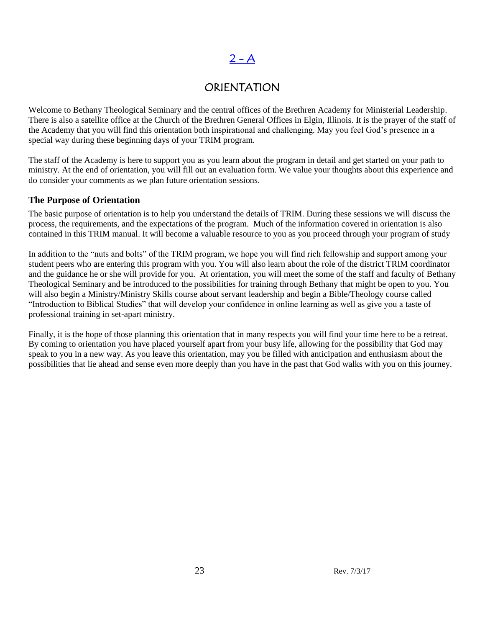## $2 - A$

## **ORIENTATION**

<span id="page-22-0"></span>Welcome to Bethany Theological Seminary and the central offices of the Brethren Academy for Ministerial Leadership. There is also a satellite office at the Church of the Brethren General Offices in Elgin, Illinois. It is the prayer of the staff of the Academy that you will find this orientation both inspirational and challenging. May you feel God's presence in a special way during these beginning days of your TRIM program.

The staff of the Academy is here to support you as you learn about the program in detail and get started on your path to ministry. At the end of orientation, you will fill out an evaluation form. We value your thoughts about this experience and do consider your comments as we plan future orientation sessions.

## **The Purpose of Orientation**

The basic purpose of orientation is to help you understand the details of TRIM. During these sessions we will discuss the process, the requirements, and the expectations of the program. Much of the information covered in orientation is also contained in this TRIM manual. It will become a valuable resource to you as you proceed through your program of study

In addition to the "nuts and bolts" of the TRIM program, we hope you will find rich fellowship and support among your student peers who are entering this program with you. You will also learn about the role of the district TRIM coordinator and the guidance he or she will provide for you. At orientation, you will meet the some of the staff and faculty of Bethany Theological Seminary and be introduced to the possibilities for training through Bethany that might be open to you. You will also begin a Ministry/Ministry Skills course about servant leadership and begin a Bible/Theology course called "Introduction to Biblical Studies" that will develop your confidence in online learning as well as give you a taste of professional training in set-apart ministry.

Finally, it is the hope of those planning this orientation that in many respects you will find your time here to be a retreat. By coming to orientation you have placed yourself apart from your busy life, allowing for the possibility that God may speak to you in a new way. As you leave this orientation, may you be filled with anticipation and enthusiasm about the possibilities that lie ahead and sense even more deeply than you have in the past that God walks with you on this journey.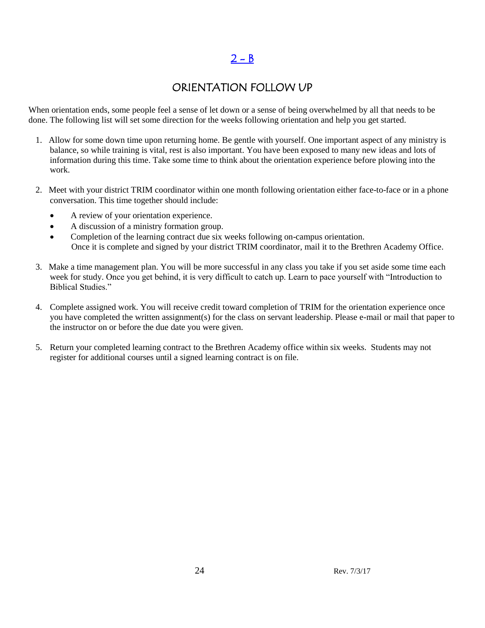## $2 - B$

## ORIENTATION FOLLOW UP

<span id="page-23-0"></span>When orientation ends, some people feel a sense of let down or a sense of being overwhelmed by all that needs to be done. The following list will set some direction for the weeks following orientation and help you get started.

- 1. Allow for some down time upon returning home. Be gentle with yourself. One important aspect of any ministry is balance, so while training is vital, rest is also important. You have been exposed to many new ideas and lots of information during this time. Take some time to think about the orientation experience before plowing into the work.
- 2. Meet with your district TRIM coordinator within one month following orientation either face-to-face or in a phone conversation. This time together should include:
	- A review of your orientation experience.
	- A discussion of a ministry formation group.
	- Completion of the learning contract due six weeks following on-campus orientation. Once it is complete and signed by your district TRIM coordinator, mail it to the Brethren Academy Office.
- 3. Make a time management plan. You will be more successful in any class you take if you set aside some time each week for study. Once you get behind, it is very difficult to catch up. Learn to pace yourself with "Introduction to Biblical Studies."
- 4. Complete assigned work. You will receive credit toward completion of TRIM for the orientation experience once you have completed the written assignment(s) for the class on servant leadership. Please e-mail or mail that paper to the instructor on or before the due date you were given.
- 5. Return your completed learning contract to the Brethren Academy office within six weeks. Students may not register for additional courses until a signed learning contract is on file.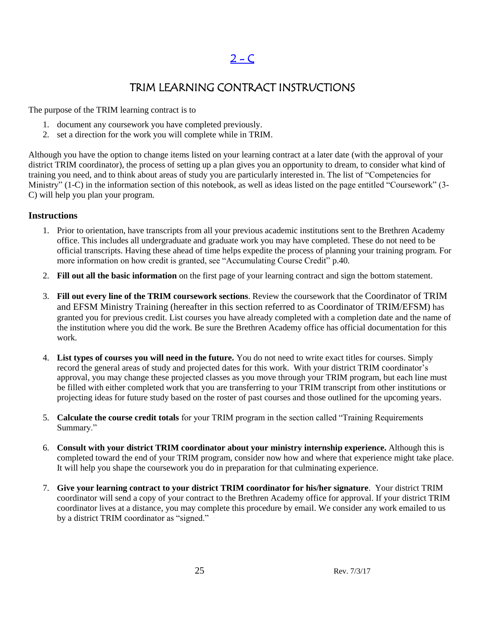## TRIM LEARNING CONTRACT INSTRUCTIONS

<span id="page-24-0"></span>The purpose of the TRIM learning contract is to

- 1. document any coursework you have completed previously.
- 2. set a direction for the work you will complete while in TRIM.

Although you have the option to change items listed on your learning contract at a later date (with the approval of your district TRIM coordinator), the process of setting up a plan gives you an opportunity to dream, to consider what kind of training you need, and to think about areas of study you are particularly interested in. The list of "Competencies for Ministry" (1-C) in the information section of this notebook, as well as ideas listed on the page entitled "Coursework" (3- C) will help you plan your program.

## **Instructions**

- 1. Prior to orientation, have transcripts from all your previous academic institutions sent to the Brethren Academy office. This includes all undergraduate and graduate work you may have completed. These do not need to be official transcripts. Having these ahead of time helps expedite the process of planning your training program. For more information on how credit is granted, see "Accumulating Course Credit" p.40.
- 2. **Fill out all the basic information** on the first page of your learning contract and sign the bottom statement.
- 3. **Fill out every line of the TRIM coursework sections**. Review the coursework that the Coordinator of TRIM and EFSM Ministry Training (hereafter in this section referred to as Coordinator of TRIM/EFSM) has granted you for previous credit. List courses you have already completed with a completion date and the name of the institution where you did the work. Be sure the Brethren Academy office has official documentation for this work.
- 4. **List types of courses you will need in the future.** You do not need to write exact titles for courses. Simply record the general areas of study and projected dates for this work. With your district TRIM coordinator's approval, you may change these projected classes as you move through your TRIM program, but each line must be filled with either completed work that you are transferring to your TRIM transcript from other institutions or projecting ideas for future study based on the roster of past courses and those outlined for the upcoming years.
- 5. **Calculate the course credit totals** for your TRIM program in the section called "Training Requirements Summary."
- 6. **Consult with your district TRIM coordinator about your ministry internship experience.** Although this is completed toward the end of your TRIM program, consider now how and where that experience might take place. It will help you shape the coursework you do in preparation for that culminating experience.
- 7. **Give your learning contract to your district TRIM coordinator for his/her signature**. Your district TRIM coordinator will send a copy of your contract to the Brethren Academy office for approval. If your district TRIM coordinator lives at a distance, you may complete this procedure by email. We consider any work emailed to us by a district TRIM coordinator as "signed."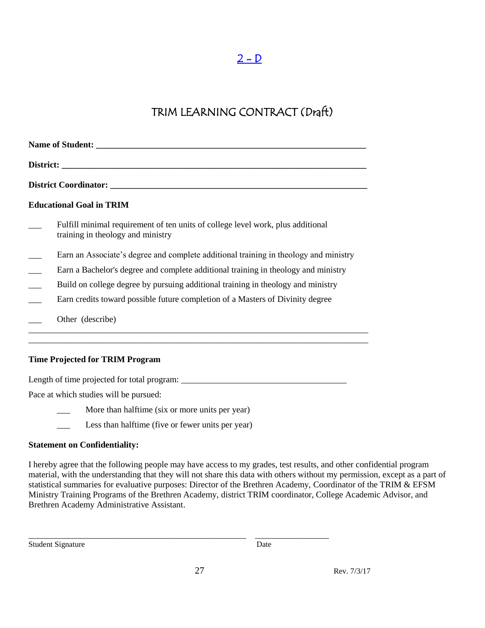## $2 - D$

## TRIM LEARNING CONTRACT (Draft)

<span id="page-26-0"></span>

| <b>Educational Goal in TRIM</b>                                                                                      |
|----------------------------------------------------------------------------------------------------------------------|
| Fulfill minimal requirement of ten units of college level work, plus additional<br>training in theology and ministry |
| Earn an Associate's degree and complete additional training in theology and ministry                                 |
| Earn a Bachelor's degree and complete additional training in theology and ministry                                   |
| Build on college degree by pursuing additional training in theology and ministry                                     |
| Earn credits toward possible future completion of a Masters of Divinity degree                                       |
| Other (describe)                                                                                                     |
| <b>Time Projected for TRIM Program</b>                                                                               |

Length of time projected for total program: \_\_\_\_\_\_\_\_\_\_\_\_\_\_\_\_\_\_\_\_\_\_\_\_\_\_\_\_\_\_\_\_\_\_\_\_\_\_

Pace at which studies will be pursued:

More than halftime (six or more units per year)

Less than halftime (five or fewer units per year)

#### **Statement on Confidentiality:**

I hereby agree that the following people may have access to my grades, test results, and other confidential program material, with the understanding that they will not share this data with others without my permission, except as a part of statistical summaries for evaluative purposes: Director of the Brethren Academy, Coordinator of the TRIM & EFSM Ministry Training Programs of the Brethren Academy, district TRIM coordinator, College Academic Advisor, and Brethren Academy Administrative Assistant.

Student Signature Date

\_\_\_\_\_\_\_\_\_\_\_\_\_\_\_\_\_\_\_\_\_\_\_\_\_\_\_\_\_\_\_\_\_\_\_\_\_\_\_\_\_\_\_\_\_\_\_\_\_\_ \_\_\_\_\_\_\_\_\_\_\_\_\_\_\_\_\_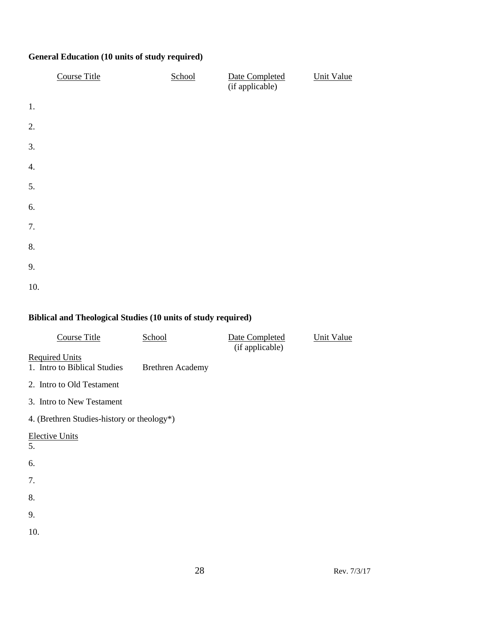## **General Education (10 units of study required)**

|     | <b>Course Title</b> | School | Date Completed<br>(if applicable) | <b>Unit Value</b> |
|-----|---------------------|--------|-----------------------------------|-------------------|
| 1.  |                     |        |                                   |                   |
| 2.  |                     |        |                                   |                   |
| 3.  |                     |        |                                   |                   |
| 4.  |                     |        |                                   |                   |
| 5.  |                     |        |                                   |                   |
| 6.  |                     |        |                                   |                   |
| 7.  |                     |        |                                   |                   |
| 8.  |                     |        |                                   |                   |
| 9.  |                     |        |                                   |                   |
| 10. |                     |        |                                   |                   |

## **Biblical and Theological Studies (10 units of study required)**

| <b>Course Title</b>                                   | School                  | Date Completed<br>(if applicable) | <b>Unit Value</b> |
|-------------------------------------------------------|-------------------------|-----------------------------------|-------------------|
| <b>Required Units</b><br>1. Intro to Biblical Studies | <b>Brethren Academy</b> |                                   |                   |
| 2. Intro to Old Testament                             |                         |                                   |                   |
| 3. Intro to New Testament                             |                         |                                   |                   |
| 4. (Brethren Studies-history or theology*)            |                         |                                   |                   |
| <b>Elective Units</b><br>5.                           |                         |                                   |                   |
| 6.                                                    |                         |                                   |                   |
| 7.                                                    |                         |                                   |                   |
| 8.                                                    |                         |                                   |                   |
| 9.                                                    |                         |                                   |                   |
| 10.                                                   |                         |                                   |                   |
|                                                       |                         |                                   |                   |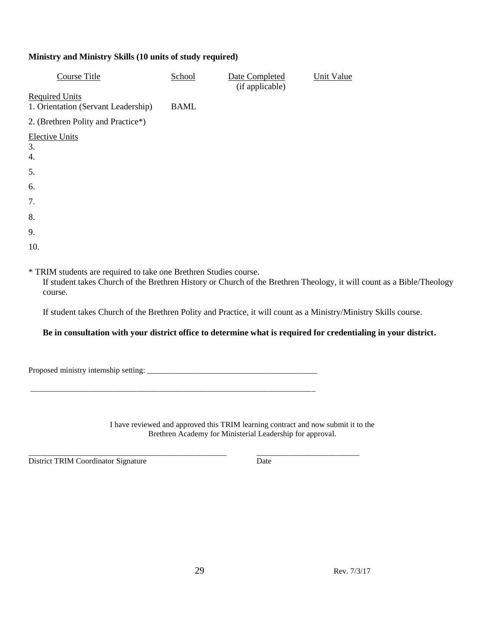## **Ministry and Ministry Skills (10 units of study required)**

| <b>Course Title</b>                                                          | School      | Date Completed<br>(if applicable) | <b>Unit Value</b>                                                                                                     |
|------------------------------------------------------------------------------|-------------|-----------------------------------|-----------------------------------------------------------------------------------------------------------------------|
| <b>Required Units</b>                                                        |             |                                   |                                                                                                                       |
| 1. Orientation (Servant Leadership)                                          | <b>BAML</b> |                                   |                                                                                                                       |
| 2. (Brethren Polity and Practice*)                                           |             |                                   |                                                                                                                       |
| <b>Elective Units</b><br>3.<br>4.                                            |             |                                   |                                                                                                                       |
| 5.                                                                           |             |                                   |                                                                                                                       |
| 6.                                                                           |             |                                   |                                                                                                                       |
| 7.                                                                           |             |                                   |                                                                                                                       |
| 8.                                                                           |             |                                   |                                                                                                                       |
| 9.                                                                           |             |                                   |                                                                                                                       |
| 10.                                                                          |             |                                   |                                                                                                                       |
| * TRIM students are required to take one Brethren Studies course.<br>course. |             |                                   | If student takes Church of the Brethren History or Church of the Brethren Theology, it will count as a Bible/Theology |

If student takes Church of the Brethren Polity and Practice, it will count as a Ministry/Ministry Skills course.

## **Be in consultation with your district office to determine what is required for credentialing in your district.**

|  | Proposed ministry internship setting: |  |
|--|---------------------------------------|--|
|--|---------------------------------------|--|

\_\_\_\_\_\_\_\_\_\_\_\_\_\_\_\_\_\_\_\_\_\_\_\_\_\_\_\_\_\_\_\_\_\_\_\_\_\_\_\_\_\_\_\_\_\_\_\_\_\_\_\_\_\_\_\_\_\_\_\_\_\_\_\_\_\_\_\_\_\_\_\_

| I have reviewed and approved this TRIM learning contract and now submit it to the |
|-----------------------------------------------------------------------------------|
| Brethren Academy for Ministerial Leadership for approval.                         |

District TRIM Coordinator Signature Date

*\_\_\_\_\_\_\_\_\_\_\_\_\_\_\_\_\_\_\_\_\_\_\_\_\_\_\_\_\_\_\_\_\_\_\_\_\_\_\_\_\_\_\_\_\_\_\_\_\_\_ \_\_\_\_\_\_\_\_\_\_\_\_\_\_\_\_\_\_\_\_\_\_\_\_\_\_*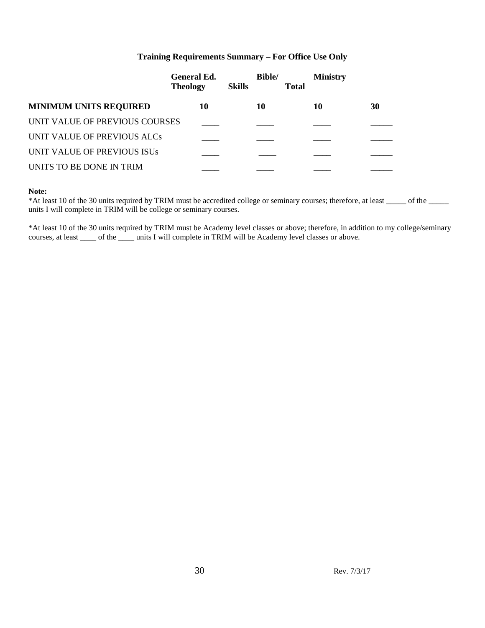## **Training Requirements Summary – For Office Use Only**

|                                | <b>General Ed.</b><br><b>Theology</b> | <b>Skills</b> | <b>Bible/</b> | <b>Ministry</b><br><b>Total</b> |    |
|--------------------------------|---------------------------------------|---------------|---------------|---------------------------------|----|
| <b>MINIMUM UNITS REQUIRED</b>  | 10                                    |               | 10            | 10                              | 30 |
| UNIT VALUE OF PREVIOUS COURSES |                                       |               |               |                                 |    |
| UNIT VALUE OF PREVIOUS ALCs    |                                       |               |               |                                 |    |
| UNIT VALUE OF PREVIOUS ISUS    |                                       |               |               |                                 |    |
| UNITS TO BE DONE IN TRIM       |                                       |               |               |                                 |    |

#### **Note:**

\*At least 10 of the 30 units required by TRIM must be accredited college or seminary courses; therefore, at least \_\_\_\_\_ of the \_\_\_\_\_ units I will complete in TRIM will be college or seminary courses.

\*At least 10 of the 30 units required by TRIM must be Academy level classes or above; therefore, in addition to my college/seminary courses, at least \_\_\_\_ of the \_\_\_\_ units I will complete in TRIM will be Academy level classes or above.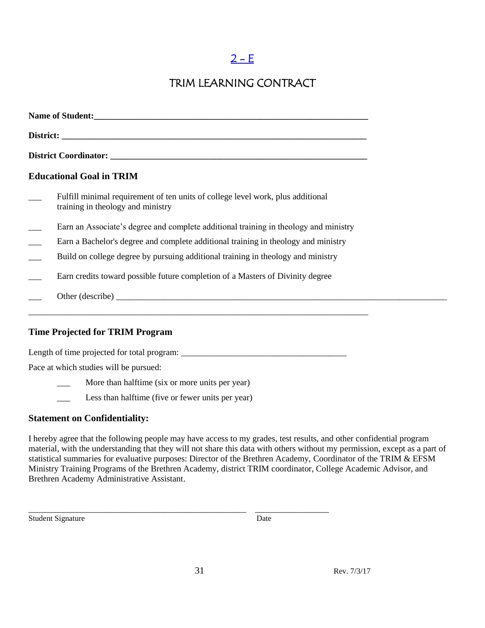## $2 - E$

## TRIM LEARNING CONTRACT

<span id="page-30-0"></span>

| <b>Educational Goal in TRIM</b>                                                                                            |
|----------------------------------------------------------------------------------------------------------------------------|
| Fulfill minimal requirement of ten units of college level work, plus additional<br>training in theology and ministry       |
| Earn an Associate's degree and complete additional training in theology and ministry                                       |
| Earn a Bachelor's degree and complete additional training in theology and ministry                                         |
| Build on college degree by pursuing additional training in theology and ministry                                           |
| Earn credits toward possible future completion of a Masters of Divinity degree                                             |
|                                                                                                                            |
| ,我们也不能在这里的人,我们也不能在这里的人,我们也不能在这里的人,我们也不能在这里的人,我们也不能在这里的人,我们也不能在这里的人,我们也不能在这里的人,我们<br><b>Time Projected for TRIM Program</b> |
|                                                                                                                            |
| Pace at which studies will be pursued:                                                                                     |

More than halftime (six or more units per year)

\_\_\_ Less than halftime (five or fewer units per year)

## **Statement on Confidentiality:**

I hereby agree that the following people may have access to my grades, test results, and other confidential program material, with the understanding that they will not share this data with others without my permission, except as a part of statistical summaries for evaluative purposes: Director of the Brethren Academy, Coordinator of the TRIM & EFSM Ministry Training Programs of the Brethren Academy, district TRIM coordinator, College Academic Advisor, and Brethren Academy Administrative Assistant.

Student Signature Date

\_\_\_\_\_\_\_\_\_\_\_\_\_\_\_\_\_\_\_\_\_\_\_\_\_\_\_\_\_\_\_\_\_\_\_\_\_\_\_\_\_\_\_\_\_\_\_\_\_\_ \_\_\_\_\_\_\_\_\_\_\_\_\_\_\_\_\_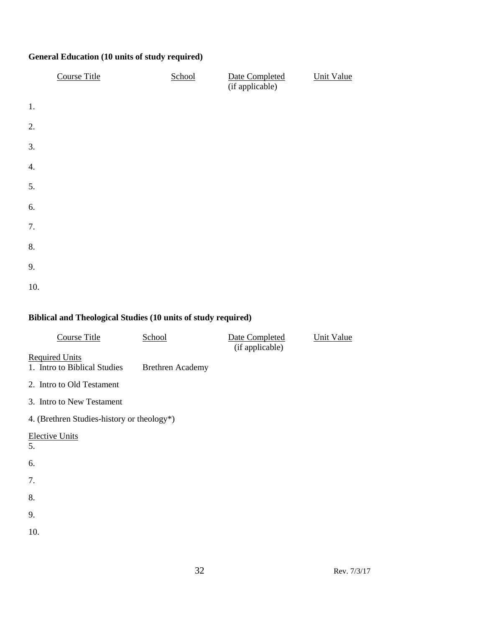## **General Education (10 units of study required)**

|     | <b>Course Title</b> | School | Date Completed<br>(if applicable) | <b>Unit Value</b> |
|-----|---------------------|--------|-----------------------------------|-------------------|
| 1.  |                     |        |                                   |                   |
| 2.  |                     |        |                                   |                   |
| 3.  |                     |        |                                   |                   |
| 4.  |                     |        |                                   |                   |
| 5.  |                     |        |                                   |                   |
| 6.  |                     |        |                                   |                   |
| 7.  |                     |        |                                   |                   |
| 8.  |                     |        |                                   |                   |
| 9.  |                     |        |                                   |                   |
| 10. |                     |        |                                   |                   |

## **Biblical and Theological Studies (10 units of study required)**

| <b>Course Title</b>                                   | School                  | Date Completed<br>(if applicable) | <b>Unit Value</b> |
|-------------------------------------------------------|-------------------------|-----------------------------------|-------------------|
| <b>Required Units</b><br>1. Intro to Biblical Studies | <b>Brethren Academy</b> |                                   |                   |
| 2. Intro to Old Testament                             |                         |                                   |                   |
| 3. Intro to New Testament                             |                         |                                   |                   |
| 4. (Brethren Studies-history or theology*)            |                         |                                   |                   |
| <b>Elective Units</b><br>5.                           |                         |                                   |                   |
| 6.                                                    |                         |                                   |                   |
| 7.                                                    |                         |                                   |                   |
| 8.                                                    |                         |                                   |                   |
| 9.                                                    |                         |                                   |                   |
| 10.                                                   |                         |                                   |                   |
|                                                       |                         |                                   |                   |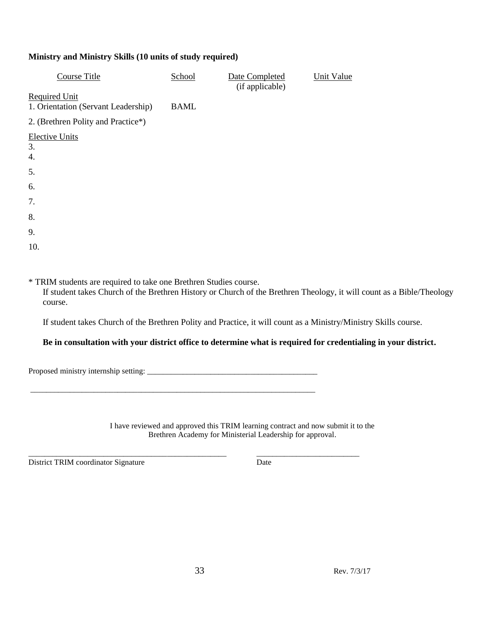## **Ministry and Ministry Skills (10 units of study required)**

| Course Title                        | School      | Date Completed<br>(if applicable) | Unit Value |
|-------------------------------------|-------------|-----------------------------------|------------|
| <b>Required Unit</b>                |             |                                   |            |
| 1. Orientation (Servant Leadership) | <b>BAML</b> |                                   |            |
| 2. (Brethren Polity and Practice*)  |             |                                   |            |
| <b>Elective Units</b>               |             |                                   |            |
| 3.                                  |             |                                   |            |
| 4.                                  |             |                                   |            |
| 5.                                  |             |                                   |            |
| 6.                                  |             |                                   |            |
| 7.                                  |             |                                   |            |
| 8.                                  |             |                                   |            |
| 9.                                  |             |                                   |            |
| 10.                                 |             |                                   |            |

\* TRIM students are required to take one Brethren Studies course.

\_\_\_\_\_\_\_\_\_\_\_\_\_\_\_\_\_\_\_\_\_\_\_\_\_\_\_\_\_\_\_\_\_\_\_\_\_\_\_\_\_\_\_\_\_\_\_\_\_\_\_\_\_\_\_\_\_\_\_\_\_\_\_\_\_\_\_\_\_\_\_\_

If student takes Church of the Brethren History or Church of the Brethren Theology, it will count as a Bible/Theology course.

If student takes Church of the Brethren Polity and Practice, it will count as a Ministry/Ministry Skills course.

## **Be in consultation with your district office to determine what is required for credentialing in your district.**

Proposed ministry internship setting: \_\_\_\_\_\_\_\_\_\_\_\_\_\_\_\_\_\_\_\_\_\_\_\_\_\_\_\_\_\_\_\_\_\_\_\_\_\_\_\_\_\_\_

I have reviewed and approved this TRIM learning contract and now submit it to the Brethren Academy for Ministerial Leadership for approval.

District TRIM coordinator Signature Date

*\_\_\_\_\_\_\_\_\_\_\_\_\_\_\_\_\_\_\_\_\_\_\_\_\_\_\_\_\_\_\_\_\_\_\_\_\_\_\_\_\_\_\_\_\_\_\_\_\_\_ \_\_\_\_\_\_\_\_\_\_\_\_\_\_\_\_\_\_\_\_\_\_\_\_\_\_*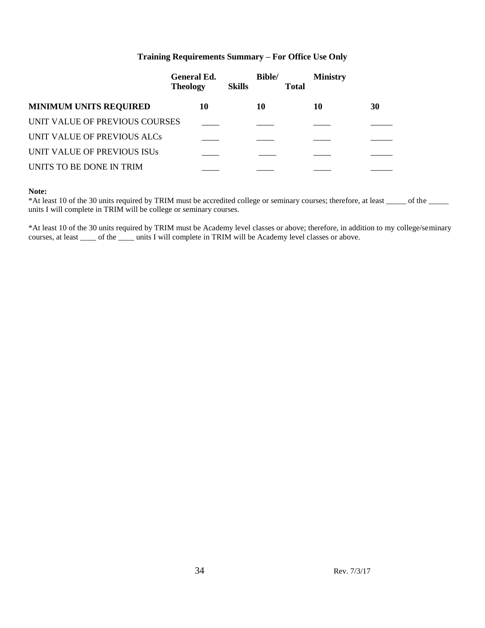#### **Training Requirements Summary – For Office Use Only**

|                                | <b>General Ed.</b><br><b>Theology</b> | <b>Skills</b> | <b>Bible/</b> | <b>Total</b> | <b>Ministry</b> |    |
|--------------------------------|---------------------------------------|---------------|---------------|--------------|-----------------|----|
| <b>MINIMUM UNITS REQUIRED</b>  | 10                                    |               | 10            |              | 10              | 30 |
| UNIT VALUE OF PREVIOUS COURSES |                                       |               |               |              |                 |    |
| UNIT VALUE OF PREVIOUS ALCs    |                                       |               |               |              |                 |    |
| UNIT VALUE OF PREVIOUS ISUS    |                                       |               |               |              |                 |    |
| UNITS TO BE DONE IN TRIM       |                                       |               |               |              |                 |    |

#### **Note:**

\*At least 10 of the 30 units required by TRIM must be accredited college or seminary courses; therefore, at least \_\_\_\_\_ of the \_\_\_\_\_ units I will complete in TRIM will be college or seminary courses.

\*At least 10 of the 30 units required by TRIM must be Academy level classes or above; therefore, in addition to my college/seminary courses, at least \_\_\_\_ of the \_\_\_\_ units I will complete in TRIM will be Academy level classes or above.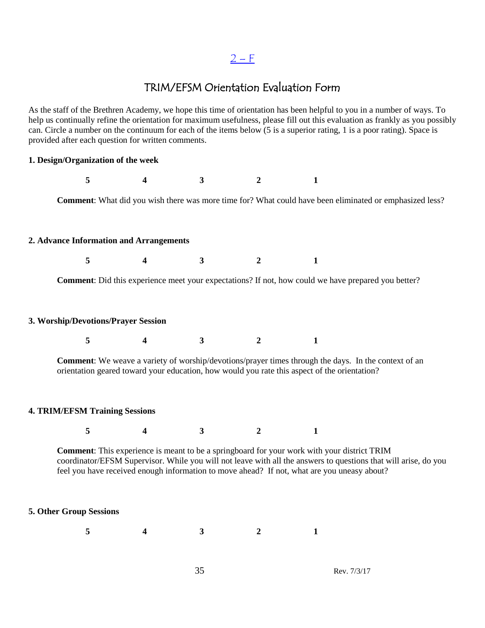## $2-F$

## TRIM/EFSM Orientation Evaluation Form

<span id="page-34-0"></span>As the staff of the Brethren Academy, we hope this time of orientation has been helpful to you in a number of ways. To help us continually refine the orientation for maximum usefulness, please fill out this evaluation as frankly as you possibly can. Circle a number on the continuum for each of the items below (5 is a superior rating, 1 is a poor rating). Space is provided after each question for written comments.

## **1. Design/Organization of the week 5 4 3 2 1 Comment**: What did you wish there was more time for? What could have been eliminated or emphasized less? **2. Advance Information and Arrangements 5 4 3 2 1 Comment**: Did this experience meet your expectations? If not, how could we have prepared you better? **3. Worship/Devotions/Prayer Session 5 4 3 2 1 Comment**: We weave a variety of worship/devotions/prayer times through the days. In the context of an orientation geared toward your education, how would you rate this aspect of the orientation? **4. TRIM/EFSM Training Sessions 5 4 3 2 1 Comment**: This experience is meant to be a springboard for your work with your district TRIM coordinator/EFSM Supervisor. While you will not leave with all the answers to questions that will arise, do you feel you have received enough information to move ahead? If not, what are you uneasy about? **5. Other Group Sessions 5 4 3 2 1**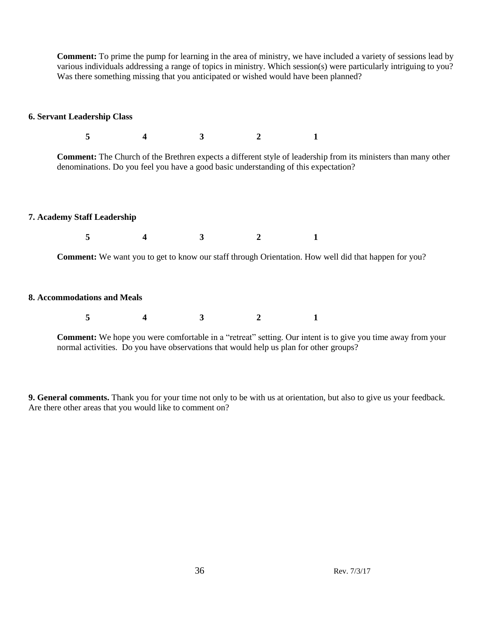**Comment:** To prime the pump for learning in the area of ministry, we have included a variety of sessions lead by various individuals addressing a range of topics in ministry. Which session(s) were particularly intriguing to you? Was there something missing that you anticipated or wished would have been planned?

#### **6. Servant Leadership Class**

| 5                                  |                  | 3 |                                                                                     |                                                                                                                       |
|------------------------------------|------------------|---|-------------------------------------------------------------------------------------|-----------------------------------------------------------------------------------------------------------------------|
|                                    |                  |   | denominations. Do you feel you have a good basic understanding of this expectation? | <b>Comment:</b> The Church of the Brethren expects a different style of leadership from its ministers than many other |
| <b>7. Academy Staff Leadership</b> |                  |   |                                                                                     |                                                                                                                       |
| 5                                  | $\boldsymbol{4}$ | 3 |                                                                                     |                                                                                                                       |
|                                    |                  |   |                                                                                     | <b>Comment:</b> We want you to get to know our staff through Orientation. How well did that happen for you?           |
| 8. Accommodations and Meals        |                  |   |                                                                                     |                                                                                                                       |

|--|

**Comment:** We hope you were comfortable in a "retreat" setting. Our intent is to give you time away from your normal activities. Do you have observations that would help us plan for other groups?

**9. General comments.** Thank you for your time not only to be with us at orientation, but also to give us your feedback. Are there other areas that you would like to comment on?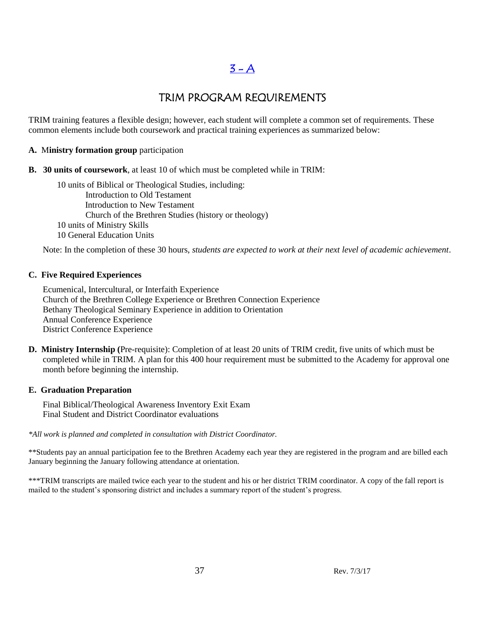### $3 - A$

### TRIM PROGRAM REQUIREMENTS

TRIM training features a flexible design; however, each student will complete a common set of requirements. These common elements include both coursework and practical training experiences as summarized below:

#### **A.** M**inistry formation group** participation

**B. 30 units of coursework**, at least 10 of which must be completed while in TRIM:

10 units of Biblical or Theological Studies, including: Introduction to Old Testament Introduction to New Testament Church of the Brethren Studies (history or theology) 10 units of Ministry Skills 10 General Education Units

Note: In the completion of these 30 hours, *students are expected to work at their next level of academic achievement*.

#### **C. Five Required Experiences**

Ecumenical, Intercultural, or Interfaith Experience Church of the Brethren College Experience or Brethren Connection Experience Bethany Theological Seminary Experience in addition to Orientation Annual Conference Experience District Conference Experience

**D. Ministry Internship (**Pre-requisite): Completion of at least 20 units of TRIM credit, five units of which must be completed while in TRIM. A plan for this 400 hour requirement must be submitted to the Academy for approval one month before beginning the internship.

#### **E. Graduation Preparation**

Final Biblical/Theological Awareness Inventory Exit Exam Final Student and District Coordinator evaluations

*\*All work is planned and completed in consultation with District Coordinator.*

\*\*Students pay an annual participation fee to the Brethren Academy each year they are registered in the program and are billed each January beginning the January following attendance at orientation.

\*\*\*TRIM transcripts are mailed twice each year to the student and his or her district TRIM coordinator. A copy of the fall report is mailed to the student's sponsoring district and includes a summary report of the student's progress.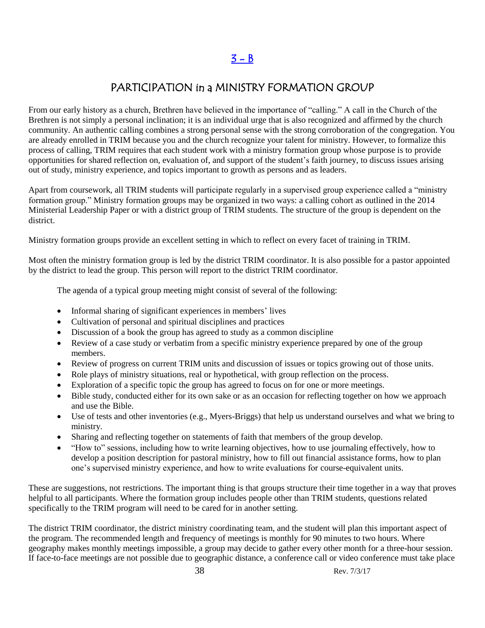### PARTICIPATION in a MINISTRY FORMATION GROUP

From our early history as a church, Brethren have believed in the importance of "calling." A call in the Church of the Brethren is not simply a personal inclination; it is an individual urge that is also recognized and affirmed by the church community. An authentic calling combines a strong personal sense with the strong corroboration of the congregation. You are already enrolled in TRIM because you and the church recognize your talent for ministry. However, to formalize this process of calling, TRIM requires that each student work with a ministry formation group whose purpose is to provide opportunities for shared reflection on, evaluation of, and support of the student's faith journey, to discuss issues arising out of study, ministry experience, and topics important to growth as persons and as leaders.

Apart from coursework, all TRIM students will participate regularly in a supervised group experience called a "ministry formation group." Ministry formation groups may be organized in two ways: a calling cohort as outlined in the 2014 Ministerial Leadership Paper or with a district group of TRIM students. The structure of the group is dependent on the district.

Ministry formation groups provide an excellent setting in which to reflect on every facet of training in TRIM.

Most often the ministry formation group is led by the district TRIM coordinator. It is also possible for a pastor appointed by the district to lead the group. This person will report to the district TRIM coordinator.

The agenda of a typical group meeting might consist of several of the following:

- Informal sharing of significant experiences in members' lives
- Cultivation of personal and spiritual disciplines and practices
- Discussion of a book the group has agreed to study as a common discipline
- Review of a case study or verbatim from a specific ministry experience prepared by one of the group members.
- Review of progress on current TRIM units and discussion of issues or topics growing out of those units.
- Role plays of ministry situations, real or hypothetical, with group reflection on the process.
- Exploration of a specific topic the group has agreed to focus on for one or more meetings.
- Bible study, conducted either for its own sake or as an occasion for reflecting together on how we approach and use the Bible.
- Use of tests and other inventories (e.g., Myers-Briggs) that help us understand ourselves and what we bring to ministry.
- Sharing and reflecting together on statements of faith that members of the group develop.
- "How to" sessions, including how to write learning objectives, how to use journaling effectively, how to develop a position description for pastoral ministry, how to fill out financial assistance forms, how to plan one's supervised ministry experience, and how to write evaluations for course-equivalent units.

These are suggestions, not restrictions. The important thing is that groups structure their time together in a way that proves helpful to all participants. Where the formation group includes people other than TRIM students, questions related specifically to the TRIM program will need to be cared for in another setting.

The district TRIM coordinator, the district ministry coordinating team, and the student will plan this important aspect of the program. The recommended length and frequency of meetings is monthly for 90 minutes to two hours. Where geography makes monthly meetings impossible, a group may decide to gather every other month for a three-hour session. If face-to-face meetings are not possible due to geographic distance, a conference call or video conference must take place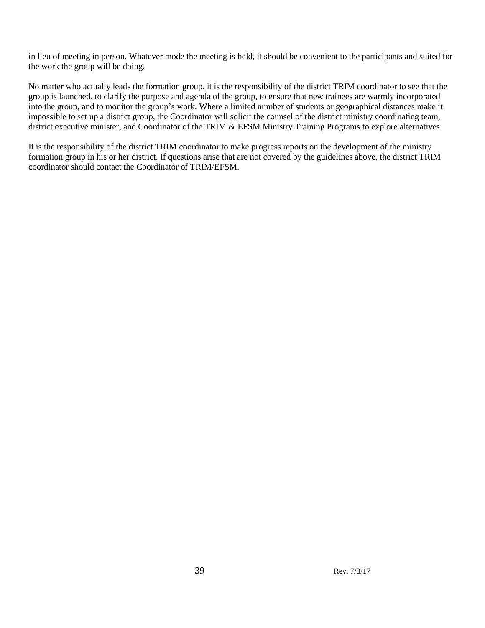in lieu of meeting in person. Whatever mode the meeting is held, it should be convenient to the participants and suited for the work the group will be doing.

No matter who actually leads the formation group, it is the responsibility of the district TRIM coordinator to see that the group is launched, to clarify the purpose and agenda of the group, to ensure that new trainees are warmly incorporated into the group, and to monitor the group's work. Where a limited number of students or geographical distances make it impossible to set up a district group, the Coordinator will solicit the counsel of the district ministry coordinating team, district executive minister, and Coordinator of the TRIM & EFSM Ministry Training Programs to explore alternatives.

It is the responsibility of the district TRIM coordinator to make progress reports on the development of the ministry formation group in his or her district. If questions arise that are not covered by the guidelines above, the district TRIM coordinator should contact the Coordinator of TRIM/EFSM.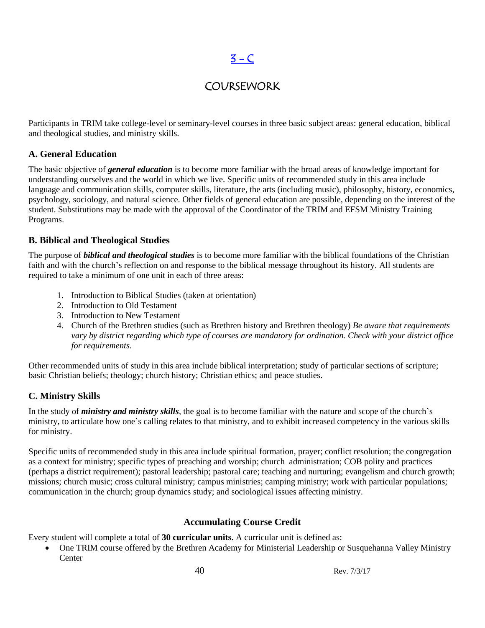### $3 - C$

### COURSEWORK

Participants in TRIM take college-level or seminary-level courses in three basic subject areas: general education, biblical and theological studies, and ministry skills.

### **A. General Education**

The basic objective of *general education* is to become more familiar with the broad areas of knowledge important for understanding ourselves and the world in which we live. Specific units of recommended study in this area include language and communication skills, computer skills, literature, the arts (including music), philosophy, history, economics, psychology, sociology, and natural science. Other fields of general education are possible, depending on the interest of the student. Substitutions may be made with the approval of the Coordinator of the TRIM and EFSM Ministry Training Programs.

### **B. Biblical and Theological Studies**

The purpose of *biblical and theological studies* is to become more familiar with the biblical foundations of the Christian faith and with the church's reflection on and response to the biblical message throughout its history. All students are required to take a minimum of one unit in each of three areas:

- 1. Introduction to Biblical Studies (taken at orientation)
- 2. Introduction to Old Testament
- 3. Introduction to New Testament
- 4. Church of the Brethren studies (such as Brethren history and Brethren theology) *Be aware that requirements vary by district regarding which type of courses are mandatory for ordination. Check with your district office for requirements.*

Other recommended units of study in this area include biblical interpretation; study of particular sections of scripture; basic Christian beliefs; theology; church history; Christian ethics; and peace studies.

### **C. Ministry Skills**

In the study of *ministry and ministry skills*, the goal is to become familiar with the nature and scope of the church's ministry, to articulate how one's calling relates to that ministry, and to exhibit increased competency in the various skills for ministry.

Specific units of recommended study in this area include spiritual formation, prayer; conflict resolution; the congregation as a context for ministry; specific types of preaching and worship; church administration; COB polity and practices (perhaps a district requirement); pastoral leadership; pastoral care; teaching and nurturing; evangelism and church growth; missions; church music; cross cultural ministry; campus ministries; camping ministry; work with particular populations; communication in the church; group dynamics study; and sociological issues affecting ministry.

### **Accumulating Course Credit**

Every student will complete a total of **30 curricular units.** A curricular unit is defined as:

 One TRIM course offered by the Brethren Academy for Ministerial Leadership or Susquehanna Valley Ministry **Center**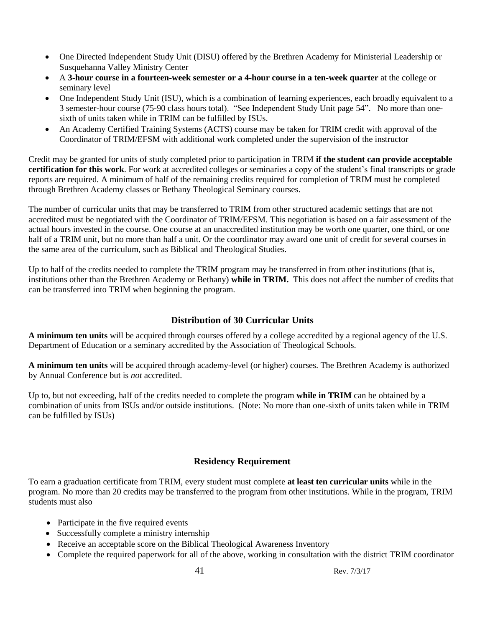- One Directed Independent Study Unit (DISU) offered by the Brethren Academy for Ministerial Leadership or Susquehanna Valley Ministry Center
- A **3-hour course in a fourteen-week semester or a 4-hour course in a ten-week quarter** at the college or seminary level
- One Independent Study Unit (ISU), which is a combination of learning experiences, each broadly equivalent to a 3 semester-hour course (75-90 class hours total). "See Independent Study Unit page 54". No more than onesixth of units taken while in TRIM can be fulfilled by ISUs.
- An Academy Certified Training Systems (ACTS) course may be taken for TRIM credit with approval of the Coordinator of TRIM/EFSM with additional work completed under the supervision of the instructor

Credit may be granted for units of study completed prior to participation in TRIM **if the student can provide acceptable certification for this work**. For work at accredited colleges or seminaries a copy of the student's final transcripts or grade reports are required. A minimum of half of the remaining credits required for completion of TRIM must be completed through Brethren Academy classes or Bethany Theological Seminary courses.

The number of curricular units that may be transferred to TRIM from other structured academic settings that are not accredited must be negotiated with the Coordinator of TRIM/EFSM. This negotiation is based on a fair assessment of the actual hours invested in the course. One course at an unaccredited institution may be worth one quarter, one third, or one half of a TRIM unit, but no more than half a unit. Or the coordinator may award one unit of credit for several courses in the same area of the curriculum, such as Biblical and Theological Studies.

Up to half of the credits needed to complete the TRIM program may be transferred in from other institutions (that is, institutions other than the Brethren Academy or Bethany) **while in TRIM.** This does not affect the number of credits that can be transferred into TRIM when beginning the program.

### **Distribution of 30 Curricular Units**

**A minimum ten units** will be acquired through courses offered by a college accredited by a regional agency of the U.S. Department of Education or a seminary accredited by the Association of Theological Schools.

**A minimum ten units** will be acquired through academy-level (or higher) courses. The Brethren Academy is authorized by Annual Conference but is *not* accredited.

Up to, but not exceeding, half of the credits needed to complete the program **while in TRIM** can be obtained by a combination of units from ISUs and/or outside institutions. (Note: No more than one-sixth of units taken while in TRIM can be fulfilled by ISUs)

### **Residency Requirement**

To earn a graduation certificate from TRIM, every student must complete **at least ten curricular units** while in the program. No more than 20 credits may be transferred to the program from other institutions. While in the program, TRIM students must also

- Participate in the five required events
- Successfully complete a ministry internship
- Receive an acceptable score on the Biblical Theological Awareness Inventory
- Complete the required paperwork for all of the above, working in consultation with the district TRIM coordinator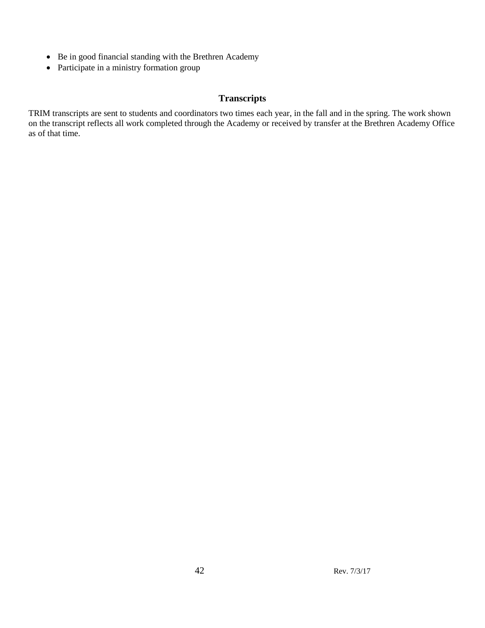- Be in good financial standing with the Brethren Academy
- Participate in a ministry formation group

### **Transcripts**

TRIM transcripts are sent to students and coordinators two times each year, in the fall and in the spring. The work shown on the transcript reflects all work completed through the Academy or received by transfer at the Brethren Academy Office as of that time.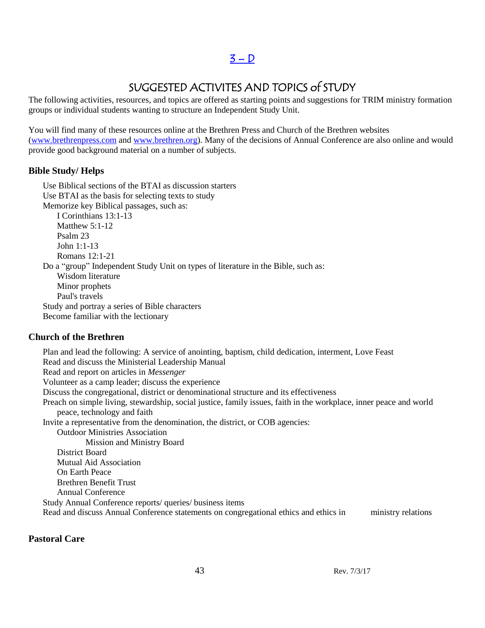### SUGGESTED ACTIVITES AND TOPICS of STUDY

The following activities, resources, and topics are offered as starting points and suggestions for TRIM ministry formation groups or individual students wanting to structure an Independent Study Unit.

You will find many of these resources online at the Brethren Press and Church of the Brethren websites [\(www.brethrenpress.com](http://www.brethrenpress.com/) and [www.brethren.org\)](http://www.brethren.org/). Many of the decisions of Annual Conference are also online and would provide good background material on a number of subjects.

### **Bible Study/ Helps**

Use Biblical sections of the BTAI as discussion starters Use BTAI as the basis for selecting texts to study Memorize key Biblical passages, such as: I Corinthians 13:1-13 Matthew 5:1-12 Psalm 23 John 1:1-13 Romans 12:1-21 Do a "group" Independent Study Unit on types of literature in the Bible, such as: Wisdom literature Minor prophets Paul's travels Study and portray a series of Bible characters Become familiar with the lectionary

### **Church of the Brethren**

Plan and lead the following: A service of anointing, baptism, child dedication, interment, Love Feast Read and discuss the Ministerial Leadership Manual Read and report on articles in *Messenger* Volunteer as a camp leader; discuss the experience Discuss the congregational, district or denominational structure and its effectiveness Preach on simple living, stewardship, social justice, family issues, faith in the workplace, inner peace and world peace, technology and faith Invite a representative from the denomination, the district, or COB agencies: Outdoor Ministries Association Mission and Ministry Board District Board Mutual Aid Association On Earth Peace Brethren Benefit Trust Annual Conference Study Annual Conference reports/ queries/ business items Read and discuss Annual Conference statements on congregational ethics and ethics in ministry relations

### **Pastoral Care**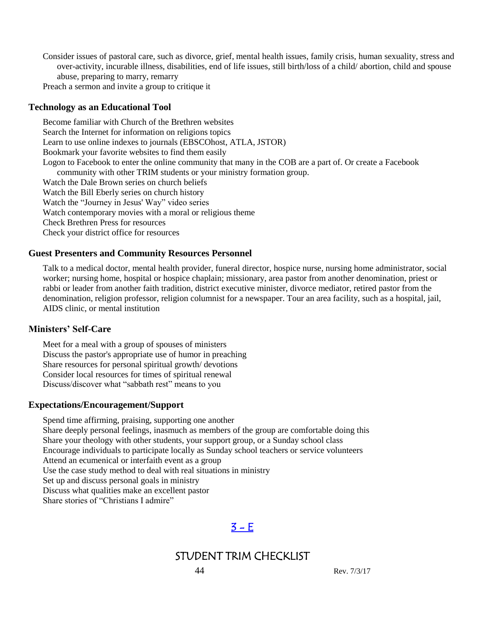Consider issues of pastoral care, such as divorce, grief, mental health issues, family crisis, human sexuality, stress and over-activity, incurable illness, disabilities, end of life issues, still birth/loss of a child/ abortion, child and spouse abuse, preparing to marry, remarry

Preach a sermon and invite a group to critique it

#### **Technology as an Educational Tool**

Become familiar with Church of the Brethren websites Search the Internet for information on religions topics Learn to use online indexes to journals (EBSCOhost, ATLA, JSTOR) Bookmark your favorite websites to find them easily Logon to Facebook to enter the online community that many in the COB are a part of. Or create a Facebook community with other TRIM students or your ministry formation group. Watch the Dale Brown series on church beliefs Watch the Bill Eberly series on church history Watch the "Journey in Jesus' Way" video series Watch contemporary movies with a moral or religious theme Check Brethren Press for resources Check your district office for resources

#### **Guest Presenters and Community Resources Personnel**

Talk to a medical doctor, mental health provider, funeral director, hospice nurse, nursing home administrator, social worker; nursing home, hospital or hospice chaplain; missionary, area pastor from another denomination, priest or rabbi or leader from another faith tradition, district executive minister, divorce mediator, retired pastor from the denomination, religion professor, religion columnist for a newspaper. Tour an area facility, such as a hospital, jail, AIDS clinic, or mental institution

#### **Ministers' Self-Care**

Meet for a meal with a group of spouses of ministers Discuss the pastor's appropriate use of humor in preaching Share resources for personal spiritual growth/ devotions Consider local resources for times of spiritual renewal Discuss/discover what "sabbath rest" means to you

#### **Expectations/Encouragement/Support**

Spend time affirming, praising, supporting one another Share deeply personal feelings, inasmuch as members of the group are comfortable doing this Share your theology with other students, your support group, or a Sunday school class Encourage individuals to participate locally as Sunday school teachers or service volunteers Attend an ecumenical or interfaith event as a group Use the case study method to deal with real situations in ministry Set up and discuss personal goals in ministry Discuss what qualities make an excellent pastor Share stories of "Christians I admire"

### $3 - E$

### STUDENT TRIM CHECKLIST

44 Rev. 7/3/17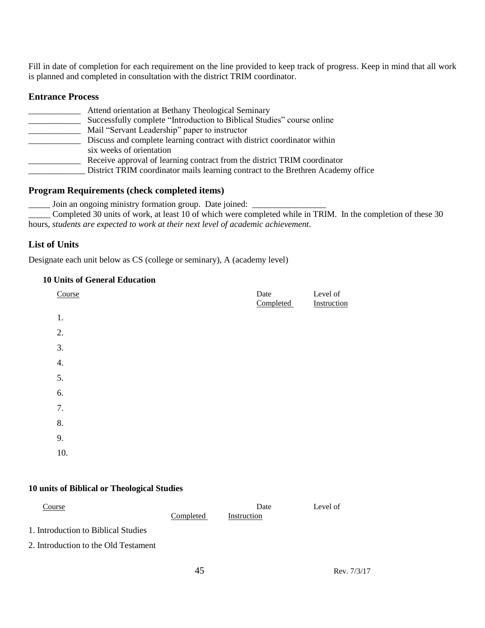Fill in date of completion for each requirement on the line provided to keep track of progress. Keep in mind that all work is planned and completed in consultation with the district TRIM coordinator.

#### **Entrance Process**

| Attend orientation at Bethany Theological Seminary                               |
|----------------------------------------------------------------------------------|
| Successfully complete "Introduction to Biblical Studies" course online           |
| Mail "Servant Leadership" paper to instructor                                    |
| Discuss and complete learning contract with district coordinator within          |
| six weeks of orientation                                                         |
| Receive approval of learning contract from the district TRIM coordinator         |
| District TRIM coordinator mails learning contract to the Brethren Academy office |

#### **Program Requirements (check completed items)**

\_\_\_\_\_ Join an ongoing ministry formation group. Date joined: \_\_\_\_\_\_\_\_\_\_\_\_\_\_\_\_\_

\_\_\_\_\_ Completed 30 units of work, at least 10 of which were completed while in TRIM. In the completion of these 30 hours, *students are expected to work at their next level of academic achievement*.

### **List of Units**

Designate each unit below as CS (college or seminary), A (academy level)

### **10 Units of General Education**

| Course           | Date<br>Completed | Level of<br>Instruction |
|------------------|-------------------|-------------------------|
| 1.               |                   |                         |
| 2.               |                   |                         |
| 3.               |                   |                         |
| $\overline{4}$ . |                   |                         |
| 5.               |                   |                         |
| 6.               |                   |                         |
| 7.               |                   |                         |
| 8.               |                   |                         |
| 9.               |                   |                         |
| 10.              |                   |                         |
|                  |                   |                         |

#### **10 units of Biblical or Theological Studies**

| Course                               |           | Date        | Level of |
|--------------------------------------|-----------|-------------|----------|
|                                      | Completed | Instruction |          |
| 1. Introduction to Biblical Studies  |           |             |          |
| 2. Introduction to the Old Testament |           |             |          |
|                                      |           |             |          |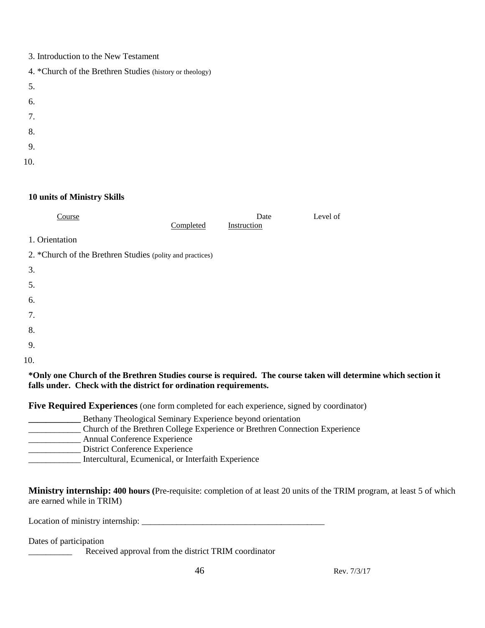| 3. Introduction to the New Testament |  |  |
|--------------------------------------|--|--|
|                                      |  |  |

- 4. \*Church of the Brethren Studies (history or theology)
- 5.
- 
- 6.
- 7.
- 8.
- 9.
- 
- 10.

### **10 units of Ministry Skills**

| Course                                                    | Completed | Date<br>Instruction | Level of |
|-----------------------------------------------------------|-----------|---------------------|----------|
| 1. Orientation                                            |           |                     |          |
| 2. *Church of the Brethren Studies (polity and practices) |           |                     |          |
| 3.                                                        |           |                     |          |
| 5.                                                        |           |                     |          |
| 6.                                                        |           |                     |          |
| 7.                                                        |           |                     |          |
| 8.                                                        |           |                     |          |
| 9.                                                        |           |                     |          |
| 10.                                                       |           |                     |          |
| . .                                                       |           |                     |          |

### **\*Only one Church of the Brethren Studies course is required. The course taken will determine which section it falls under. Check with the district for ordination requirements.**

**Five Required Experiences** (one form completed for each experience, signed by coordinator)

| Bethany Theological Seminary Experience beyond orientation                  |
|-----------------------------------------------------------------------------|
| Church of the Brethren College Experience or Brethren Connection Experience |
| Annual Conference Experience                                                |
| District Conference Experience                                              |
| Intercultural, Ecumenical, or Interfaith Experience                         |

**Ministry internship: 400 hours (**Pre-requisite: completion of at least 20 units of the TRIM program, at least 5 of which are earned while in TRIM)

Location of ministry internship: \_\_\_\_\_\_\_\_\_\_\_\_\_\_\_\_\_\_\_\_\_\_\_\_\_\_\_\_\_\_\_\_\_\_\_\_\_\_\_\_\_\_

Dates of participation

Received approval from the district TRIM coordinator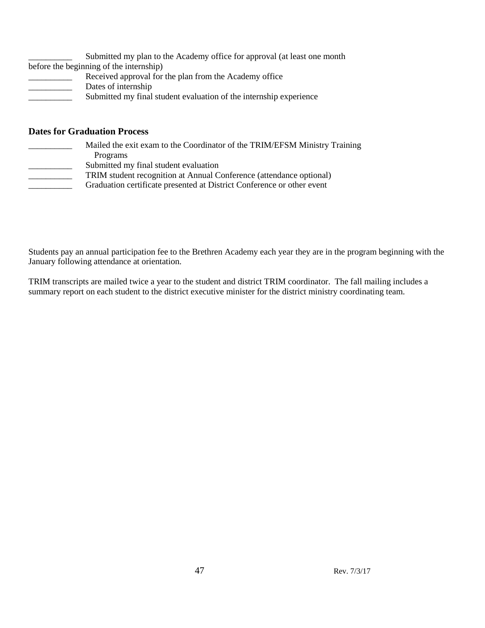| Submitted my plan to the Academy office for approval (at least one month |  |
|--------------------------------------------------------------------------|--|
| before the beginning of the internship)                                  |  |
| Received approval for the plan from the Academy office                   |  |
| Dates of internship                                                      |  |
| Submitted my final student evaluation of the internship experience       |  |

#### **Dates for Graduation Process**

- Mailed the exit exam to the Coordinator of the TRIM/EFSM Ministry Training Programs
- \_\_\_\_\_\_\_\_\_\_ Submitted my final student evaluation
	- \_\_\_\_\_\_\_\_\_\_ TRIM student recognition at Annual Conference (attendance optional)
- \_\_\_\_\_\_\_\_\_\_ Graduation certificate presented at District Conference or other event

Students pay an annual participation fee to the Brethren Academy each year they are in the program beginning with the January following attendance at orientation.

TRIM transcripts are mailed twice a year to the student and district TRIM coordinator. The fall mailing includes a summary report on each student to the district executive minister for the district ministry coordinating team.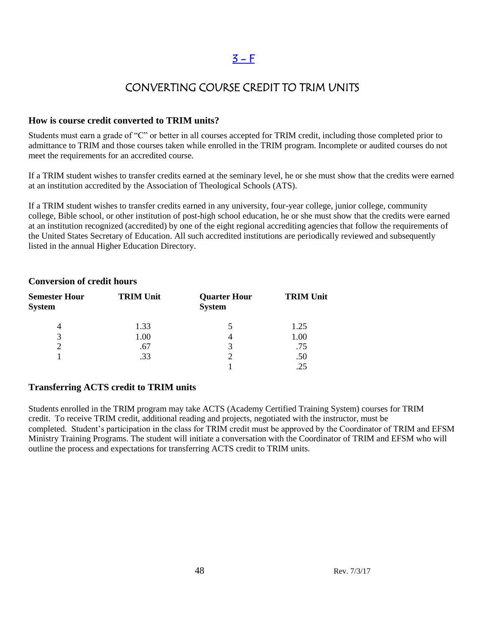### $3 - F$

### CONVERTING COURSE CREDIT TO TRIM UNITS

#### **How is course credit converted to TRIM units?**

Students must earn a grade of "C" or better in all courses accepted for TRIM credit, including those completed prior to admittance to TRIM and those courses taken while enrolled in the TRIM program. Incomplete or audited courses do not meet the requirements for an accredited course.

If a TRIM student wishes to transfer credits earned at the seminary level, he or she must show that the credits were earned at an institution accredited by the Association of Theological Schools (ATS).

If a TRIM student wishes to transfer credits earned in any university, four-year college, junior college, community college, Bible school, or other institution of post-high school education, he or she must show that the credits were earned at an institution recognized (accredited) by one of the eight regional accrediting agencies that follow the requirements of the United States Secretary of Education. All such accredited institutions are periodically reviewed and subsequently listed in the annual Higher Education Directory.

| <b>Semester Hour</b><br><b>System</b> | <b>TRIM Unit</b> | <b>Quarter Hour</b><br><b>System</b> | <b>TRIM Unit</b> |
|---------------------------------------|------------------|--------------------------------------|------------------|
| 4                                     | 1.33             |                                      | 1.25             |
| 3                                     | 1.00             |                                      | 1.00             |
|                                       | .67              | 3                                    | .75              |
|                                       | .33              | ∍                                    | .50              |
|                                       |                  |                                      |                  |

#### **Conversion of credit hours**

### **Transferring ACTS credit to TRIM units**

Students enrolled in the TRIM program may take ACTS (Academy Certified Training System) courses for TRIM credit. To receive TRIM credit, additional reading and projects, negotiated with the instructor, must be completed. Student's participation in the class for TRIM credit must be approved by the Coordinator of TRIM and EFSM Ministry Training Programs. The student will initiate a conversation with the Coordinator of TRIM and EFSM who will outline the process and expectations for transferring ACTS credit to TRIM units.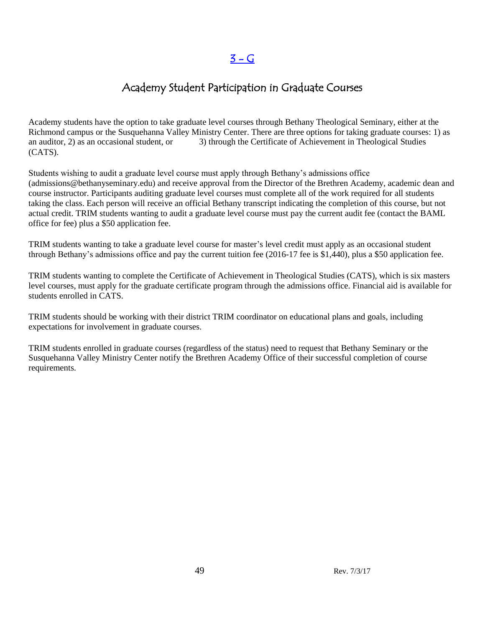### Academy Student Participation in Graduate Courses

Academy students have the option to take graduate level courses through Bethany Theological Seminary, either at the Richmond campus or the Susquehanna Valley Ministry Center. There are three options for taking graduate courses: 1) as an auditor, 2) as an occasional student, or 3) through the Certificate of Achievement in Theological Studies (CATS).

Students wishing to audit a graduate level course must apply through Bethany's admissions office (admissions@bethanyseminary.edu) and receive approval from the Director of the Brethren Academy, academic dean and course instructor. Participants auditing graduate level courses must complete all of the work required for all students taking the class. Each person will receive an official Bethany transcript indicating the completion of this course, but not actual credit. TRIM students wanting to audit a graduate level course must pay the current audit fee (contact the BAML office for fee) plus a \$50 application fee.

TRIM students wanting to take a graduate level course for master's level credit must apply as an occasional student through Bethany's admissions office and pay the current tuition fee (2016-17 fee is \$1,440), plus a \$50 application fee.

TRIM students wanting to complete the Certificate of Achievement in Theological Studies (CATS), which is six masters level courses, must apply for the graduate certificate program through the admissions office. Financial aid is available for students enrolled in CATS.

TRIM students should be working with their district TRIM coordinator on educational plans and goals, including expectations for involvement in graduate courses.

TRIM students enrolled in graduate courses (regardless of the status) need to request that Bethany Seminary or the Susquehanna Valley Ministry Center notify the Brethren Academy Office of their successful completion of course requirements.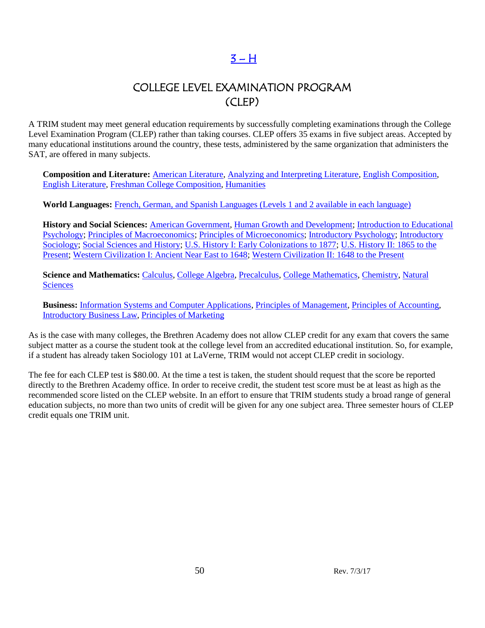### $3 - H$

### COLLEGE LEVEL EXAMINATION PROGRAM (CLEP)

A TRIM student may meet general education requirements by successfully completing examinations through the College Level Examination Program (CLEP) rather than taking courses. CLEP offers 35 exams in five subject areas. Accepted by many educational institutions around the country, these tests, administered by the same organization that administers the SAT, are offered in many subjects.

**Composition and Literature:** [American Literature,](http://www.collegeboard.com/student/testing/clep/ex_al.html) [Analyzing and Interpreting Literature,](http://www.collegeboard.com/student/testing/clep/ex_ail.html) [English Composition,](http://www.collegeboard.com/student/testing/clep/ex_ec.html) [English Literature,](http://www.collegeboard.com/student/testing/clep/ex_el.html) [Freshman College Composition,](http://www.collegeboard.com/student/testing/clep/ex_fcc.html) [Humanities](http://www.collegeboard.com/student/testing/clep/ex_hum.html)

**World Languages:** French, German, and Spanish Languages [\(Levels 1 and 2 available in each language\)](http://www.collegeboard.com/student/testing/clep/ex_clf.html)

**History and Social Sciences:** [American Government,](http://www.collegeboard.com/student/testing/clep/ex_ag.html) [Human Growth and Development;](http://www.collegeboard.com/student/testing/clep/ex_hgd.html) [Introduction to Educational](http://www.collegeboard.com/student/testing/clep/ex_iep.html)  [Psychology;](http://www.collegeboard.com/student/testing/clep/ex_iep.html) [Principles of Macroeconomics;](http://www.collegeboard.com/student/testing/clep/ex_pmac.html) [Principles of Microeconomics;](http://www.collegeboard.com/student/testing/clep/ex_pmic.html) [Introductory Psychology;](http://www.collegeboard.com/student/testing/clep/ex_ip.html) [Introductory](http://www.collegeboard.com/student/testing/clep/ex_is.html)  [Sociology;](http://www.collegeboard.com/student/testing/clep/ex_is.html) [Social Sciences and History;](http://www.collegeboard.com/student/testing/clep/ex_ssh.html) [U.S. History I: Early Colonizations to 1877;](http://www.collegeboard.com/student/testing/clep/ex_us1.html) U.S. History II: 1865 to the [Present;](http://www.collegeboard.com/student/testing/clep/ex_us2.html) [Western Civilization I: Ancient Near East to 1648;](http://www.collegeboard.com/student/testing/clep/ex_wc1.html) [Western Civilization II: 1648 to the Present](http://www.collegeboard.com/student/testing/clep/ex_wc2.html)

**Science and Mathematics:** [Calculus,](http://www.collegeboard.com/student/testing/clep/ex_calc.html) [College Algebra,](http://www.collegeboard.com/student/testing/clep/ex_ca.html) [Precalculus,](http://www.collegeboard.com/student/testing/clep/ex_pcal.html) [College Mathematics,](http://www.collegeboard.com/student/testing/clep/ex_cm.html) [Chemistry,](http://www.collegeboard.com/student/testing/clep/ex_chem.html) [Natural](http://www.collegeboard.com/student/testing/clep/ex_ns.html)  **[Sciences](http://www.collegeboard.com/student/testing/clep/ex_ns.html)** 

**Business:** [Information Systems and Computer Applications,](http://www.collegeboard.com/student/testing/clep/ex_isca.html) [Principles of Management,](http://www.collegeboard.com/student/testing/clep/ex_pman.html) [Principles of Accounting,](http://www.collegeboard.com/student/testing/clep/ex_pa.html) [Introductory Business Law,](http://www.collegeboard.com/student/testing/clep/ex_ibl.html) [Principles of Marketing](http://www.collegeboard.com/student/testing/clep/ex_pmark.html) 

As is the case with many colleges, the Brethren Academy does not allow CLEP credit for any exam that covers the same subject matter as a course the student took at the college level from an accredited educational institution. So, for example, if a student has already taken Sociology 101 at LaVerne, TRIM would not accept CLEP credit in sociology.

The fee for each CLEP test is \$80.00. At the time a test is taken, the student should request that the score be reported directly to the Brethren Academy office. In order to receive credit, the student test score must be at least as high as the recommended score listed on the CLEP website. In an effort to ensure that TRIM students study a broad range of general education subjects, no more than two units of credit will be given for any one subject area. Three semester hours of CLEP credit equals one TRIM unit.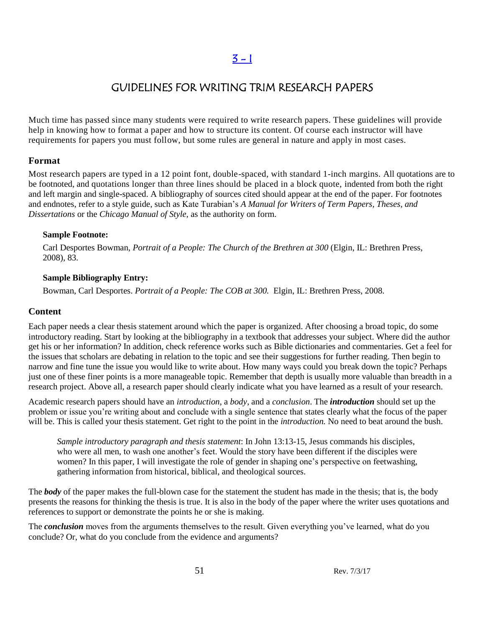### GUIDELINES FOR WRITING TRIM RESEARCH PAPERS

Much time has passed since many students were required to write research papers. These guidelines will provide help in knowing how to format a paper and how to structure its content. Of course each instructor will have requirements for papers you must follow, but some rules are general in nature and apply in most cases.

#### **Format**

Most research papers are typed in a 12 point font, double-spaced, with standard 1-inch margins. All quotations are to be footnoted, and quotations longer than three lines should be placed in a block quote, indented from both the right and left margin and single-spaced. A bibliography of sources cited should appear at the end of the paper. For footnotes and endnotes, refer to a style guide, such as Kate Turabian's *A Manual for Writers of Term Papers, Theses, and Dissertations* or the *Chicago Manual of Style,* as the authority on form.

#### **Sample Footnote:**

Carl Desportes Bowman, *Portrait of a People: The Church of the Brethren at 300* (Elgin, IL: Brethren Press, 2008), 83.

#### **Sample Bibliography Entry:**

Bowman, Carl Desportes. *Portrait of a People: The COB at 300.* Elgin, IL: Brethren Press, 2008.

#### **Content**

Each paper needs a clear thesis statement around which the paper is organized. After choosing a broad topic, do some introductory reading. Start by looking at the bibliography in a textbook that addresses your subject. Where did the author get his or her information? In addition, check reference works such as Bible dictionaries and commentaries. Get a feel for the issues that scholars are debating in relation to the topic and see their suggestions for further reading. Then begin to narrow and fine tune the issue you would like to write about. How many ways could you break down the topic? Perhaps just one of these finer points is a more manageable topic. Remember that depth is usually more valuable than breadth in a research project. Above all, a research paper should clearly indicate what you have learned as a result of your research.

Academic research papers should have an *introduction*, a *body*, and a *conclusion*. The *introduction* should set up the problem or issue you're writing about and conclude with a single sentence that states clearly what the focus of the paper will be. This is called your thesis statement. Get right to the point in the *introduction.* No need to beat around the bush.

*Sample introductory paragraph and thesis statement*: In John 13:13-15, Jesus commands his disciples, who were all men, to wash one another's feet. Would the story have been different if the disciples were women? In this paper, I will investigate the role of gender in shaping one's perspective on feetwashing, gathering information from historical, biblical, and theological sources.

The *body* of the paper makes the full-blown case for the statement the student has made in the thesis; that is, the body presents the reasons for thinking the thesis is true. It is also in the body of the paper where the writer uses quotations and references to support or demonstrate the points he or she is making.

The *conclusion* moves from the arguments themselves to the result. Given everything you've learned, what do you conclude? Or, what do you conclude from the evidence and arguments?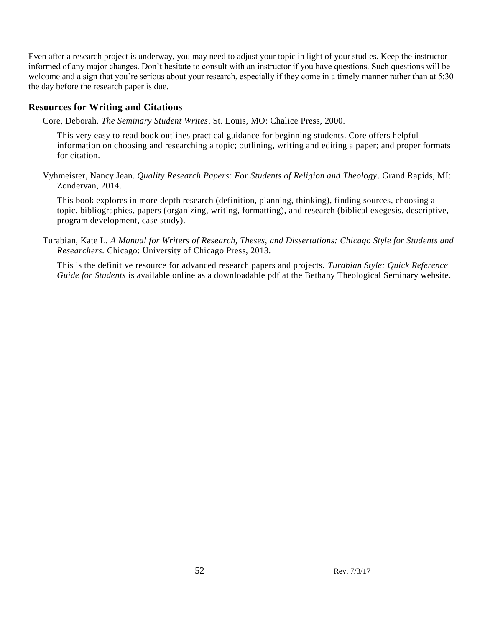Even after a research project is underway, you may need to adjust your topic in light of your studies. Keep the instructor informed of any major changes. Don't hesitate to consult with an instructor if you have questions. Such questions will be welcome and a sign that you're serious about your research, especially if they come in a timely manner rather than at 5:30 the day before the research paper is due.

#### **Resources for Writing and Citations**

Core, Deborah. *The Seminary Student Writes*. St. Louis, MO: Chalice Press, 2000.

This very easy to read book outlines practical guidance for beginning students. Core offers helpful information on choosing and researching a topic; outlining, writing and editing a paper; and proper formats for citation.

Vyhmeister, Nancy Jean. *Quality Research Papers: For Students of Religion and Theology*. Grand Rapids, MI: Zondervan, 2014.

This book explores in more depth research (definition, planning, thinking), finding sources, choosing a topic, bibliographies, papers (organizing, writing, formatting), and research (biblical exegesis, descriptive, program development, case study).

Turabian, Kate L. *A Manual for Writers of Research, Theses, and Dissertations: Chicago Style for Students and Researchers.* Chicago: University of Chicago Press, 2013.

This is the definitive resource for advanced research papers and projects. *Turabian Style: Quick Reference Guide for Students* is available online as a downloadable pdf at the Bethany Theological Seminary website.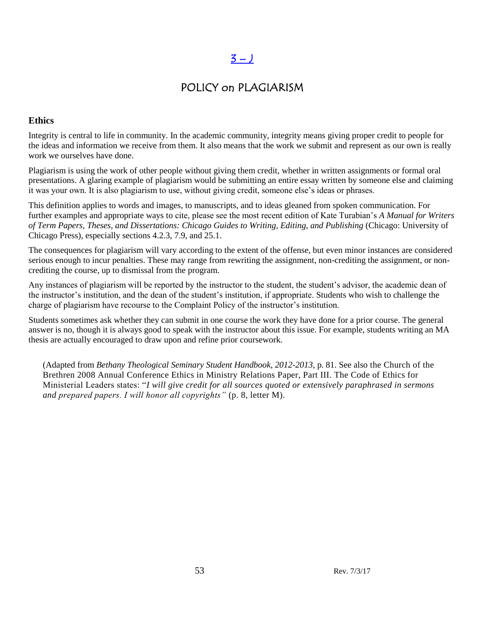### $3 - J$

### POLICY on PLAGIARISM

### **Ethics**

Integrity is central to life in community. In the academic community, integrity means giving proper credit to people for the ideas and information we receive from them. It also means that the work we submit and represent as our own is really work we ourselves have done.

Plagiarism is using the work of other people without giving them credit, whether in written assignments or formal oral presentations. A glaring example of plagiarism would be submitting an entire essay written by someone else and claiming it was your own. It is also plagiarism to use, without giving credit, someone else's ideas or phrases.

This definition applies to words and images, to manuscripts, and to ideas gleaned from spoken communication. For further examples and appropriate ways to cite, please see the most recent edition of Kate Turabian's *A Manual for Writers of Term Papers, Theses, and Dissertations: Chicago Guides to Writing, Editing, and Publishing* (Chicago: University of Chicago Press), especially sections 4.2.3, 7.9, and 25.1.

The consequences for plagiarism will vary according to the extent of the offense, but even minor instances are considered serious enough to incur penalties. These may range from rewriting the assignment, non-crediting the assignment, or noncrediting the course, up to dismissal from the program.

Any instances of plagiarism will be reported by the instructor to the student, the student's advisor, the academic dean of the instructor's institution, and the dean of the student's institution, if appropriate. Students who wish to challenge the charge of plagiarism have recourse to the Complaint Policy of the instructor's institution.

Students sometimes ask whether they can submit in one course the work they have done for a prior course. The general answer is no, though it is always good to speak with the instructor about this issue. For example, students writing an MA thesis are actually encouraged to draw upon and refine prior coursework.

(Adapted from *Bethany Theological Seminary Student Handbook, 2012-2013*, p. 81. See also the Church of the Brethren 2008 Annual Conference Ethics in Ministry Relations Paper, Part III. The Code of Ethics for Ministerial Leaders states: "*I will give credit for all sources quoted or extensively paraphrased in sermons and prepared papers. I will honor all copyrights"* (p. 8, letter M).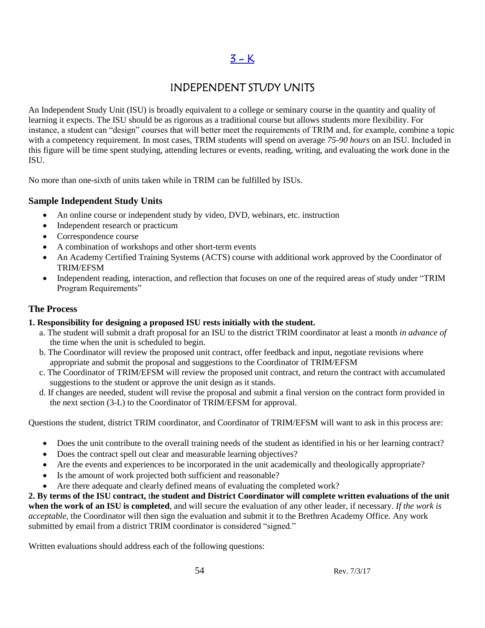### $3 - K$

### INDEPENDENT STUDY UNITS

An Independent Study Unit (ISU) is broadly equivalent to a college or seminary course in the quantity and quality of learning it expects. The ISU should be as rigorous as a traditional course but allows students more flexibility. For instance, a student can "design" courses that will better meet the requirements of TRIM and, for example, combine a topic with a competency requirement. In most cases, TRIM students will spend on average *75-90 hours* on an ISU. Included in this figure will be time spent studying, attending lectures or events, reading, writing, and evaluating the work done in the ISU.

No more than one-sixth of units taken while in TRIM can be fulfilled by ISUs.

### **Sample Independent Study Units**

- An online course or independent study by video, DVD, webinars, etc. instruction
- Independent research or practicum
- Correspondence course
- A combination of workshops and other short-term events
- An Academy Certified Training Systems (ACTS) course with additional work approved by the Coordinator of TRIM/EFSM
- Independent reading, interaction, and reflection that focuses on one of the required areas of study under "TRIM Program Requirements"

### **The Process**

### **1. Responsibility for designing a proposed ISU rests initially with the student.**

- a. The student will submit a draft proposal for an ISU to the district TRIM coordinator at least a month *in advance of*  the time when the unit is scheduled to begin.
- b. The Coordinator will review the proposed unit contract, offer feedback and input, negotiate revisions where appropriate and submit the proposal and suggestions to the Coordinator of TRIM/EFSM
- c. The Coordinator of TRIM/EFSM will review the proposed unit contract, and return the contract with accumulated suggestions to the student or approve the unit design as it stands.
- d. If changes are needed, student will revise the proposal and submit a final version on the contract form provided in the next section (3-L) to the Coordinator of TRIM/EFSM for approval.

Questions the student, district TRIM coordinator, and Coordinator of TRIM/EFSM will want to ask in this process are:

- Does the unit contribute to the overall training needs of the student as identified in his or her learning contract?
- Does the contract spell out clear and measurable learning objectives?
- Are the events and experiences to be incorporated in the unit academically and theologically appropriate?
- Is the amount of work projected both sufficient and reasonable?
- Are there adequate and clearly defined means of evaluating the completed work?

**2. By terms of the ISU contract,** t**he student and District Coordinator will complete written evaluations of the unit when the work of an ISU is completed**, and will secure the evaluation of any other leader, if necessary. *If the work is acceptable,* the Coordinator will then sign the evaluation and submit it to the Brethren Academy Office. Any work submitted by email from a district TRIM coordinator is considered "signed."

Written evaluations should address each of the following questions: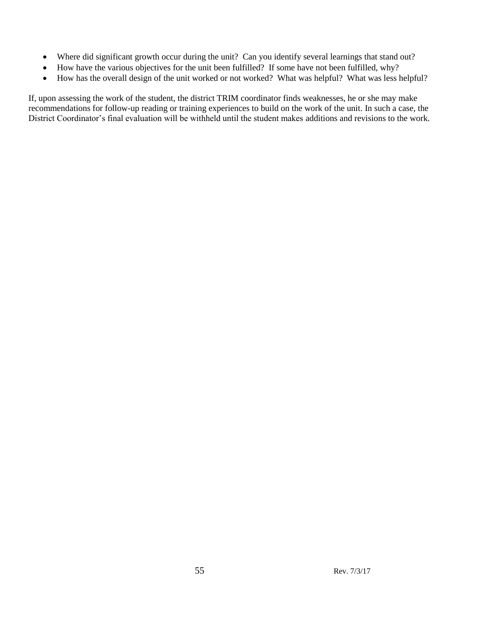- Where did significant growth occur during the unit? Can you identify several learnings that stand out?
- How have the various objectives for the unit been fulfilled? If some have not been fulfilled, why?
- How has the overall design of the unit worked or not worked? What was helpful? What was less helpful?

If, upon assessing the work of the student, the district TRIM coordinator finds weaknesses, he or she may make recommendations for follow-up reading or training experiences to build on the work of the unit. In such a case, the District Coordinator's final evaluation will be withheld until the student makes additions and revisions to the work.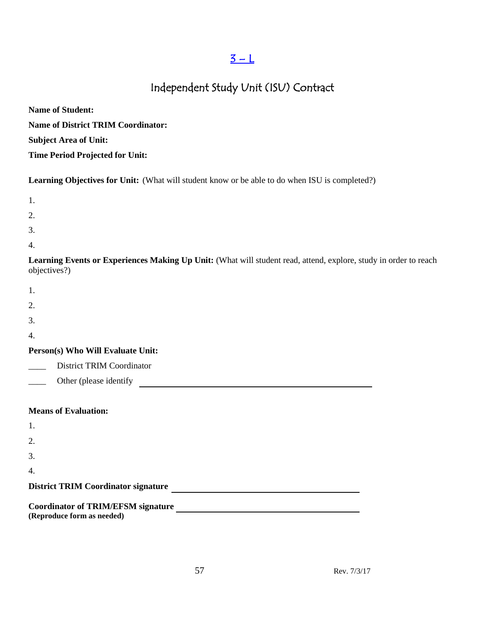### $3 - L$

## Independent Study Unit (ISU) Contract

| <b>Name of Student:</b>                   |
|-------------------------------------------|
| <b>Name of District TRIM Coordinator:</b> |
| <b>Subject Area of Unit:</b>              |
| <b>Time Period Projected for Unit:</b>    |

**Learning Objectives for Unit:** (What will student know or be able to do when ISU is completed?)

- 2.
- 
- 3.
- 4.

**Learning Events or Experiences Making Up Unit:** (What will student read, attend, explore, study in order to reach objectives?)

| ٧ |  |  |
|---|--|--|
|   |  |  |
|   |  |  |
|   |  |  |

- 
- 2.
- 3.
- 4.

### **Person(s) Who Will Evaluate Unit:**

- District TRIM Coordinator
- Other (please identify

### **Means of Evaluation:**

| 1.                                         |  |  |
|--------------------------------------------|--|--|
| 2.                                         |  |  |
| 3.                                         |  |  |
| $\overline{4}$                             |  |  |
| <b>District TRIM Coordinator signature</b> |  |  |
| <b>Coordinator of TRIM/EFSM signature</b>  |  |  |
| (Reproduce form as needed)                 |  |  |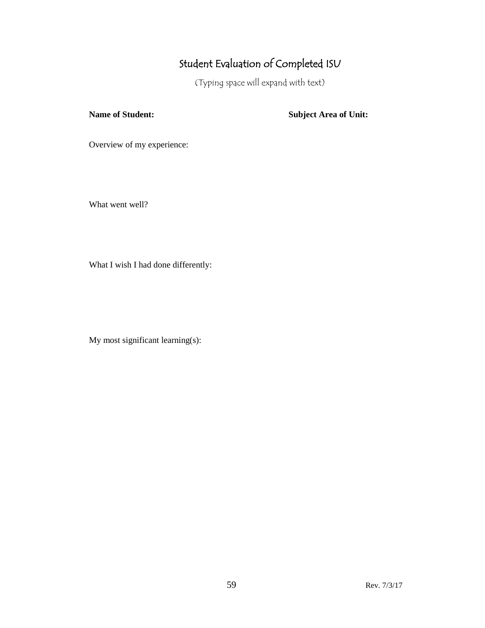# Student Evaluation of Completed ISU

(Typing space will expand with text)

**Name of Student: Subject Area of Unit:** 

Overview of my experience:

What went well?

What I wish I had done differently:

My most significant learning(s):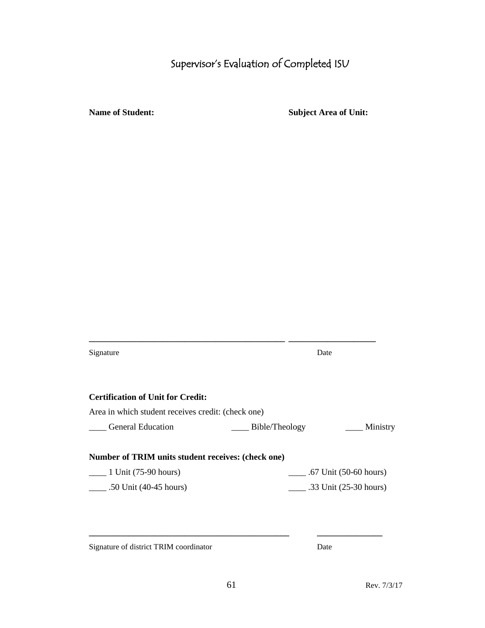# Supervisor's Evaluation of Completed ISU

**Name of Student: Subject Area of Unit:**

| Date           |                                                                                                                                                      |
|----------------|------------------------------------------------------------------------------------------------------------------------------------------------------|
|                |                                                                                                                                                      |
|                |                                                                                                                                                      |
| Bible/Theology | Ministry                                                                                                                                             |
|                |                                                                                                                                                      |
|                | $\frac{1}{2}$ .67 Unit (50-60 hours)                                                                                                                 |
|                | .33 Unit $(25-30 \text{ hours})$                                                                                                                     |
|                |                                                                                                                                                      |
|                |                                                                                                                                                      |
|                | <b>Certification of Unit for Credit:</b><br>Area in which student receives credit: (check one)<br>Number of TRIM units student receives: (check one) |

Signature of district TRIM coordinator Date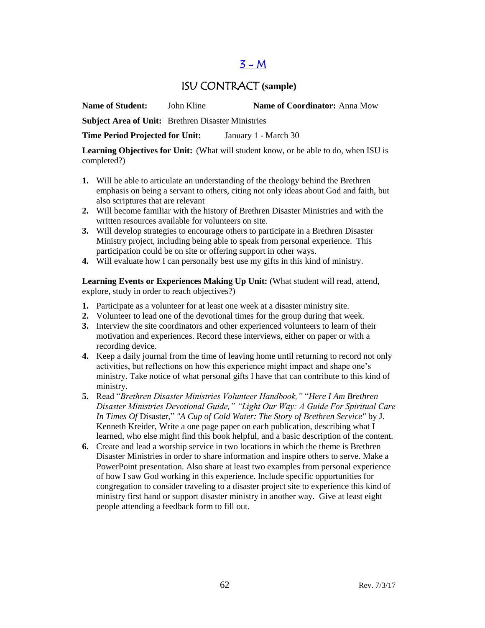### $3 - M$

### ISU CONTRACT **(sample)**

**Name of Student:** John Kline **Name of Coordinator:** Anna Mow

**Subject Area of Unit:** Brethren Disaster Ministries

**Time Period Projected for Unit:** January 1 - March 30

**Learning Objectives for Unit:** (What will student know, or be able to do, when ISU is completed?)

- **1.** Will be able to articulate an understanding of the theology behind the Brethren emphasis on being a servant to others, citing not only ideas about God and faith, but also scriptures that are relevant
- **2.** Will become familiar with the history of Brethren Disaster Ministries and with the written resources available for volunteers on site.
- **3.** Will develop strategies to encourage others to participate in a Brethren Disaster Ministry project, including being able to speak from personal experience. This participation could be on site or offering support in other ways.
- **4.** Will evaluate how I can personally best use my gifts in this kind of ministry.

Learning Events or Experiences Making Up Unit: (What student will read, attend, explore, study in order to reach objectives?)

- **1.** Participate as a volunteer for at least one week at a disaster ministry site.
- **2.** Volunteer to lead one of the devotional times for the group during that week.
- **3.** Interview the site coordinators and other experienced volunteers to learn of their motivation and experiences. Record these interviews, either on paper or with a recording device.
- **4.** Keep a daily journal from the time of leaving home until returning to record not only activities, but reflections on how this experience might impact and shape one's ministry. Take notice of what personal gifts I have that can contribute to this kind of ministry.
- **5.** Read "*Brethren Disaster Ministries Volunteer Handbook,"* "*Here I Am Brethren Disaster Ministries Devotional Guide," "Light Our Way: A Guide For Spiritual Care In Times Of* Disaster," *"A Cup of Cold Water: The Story of Brethren Service"* by J. Kenneth Kreider, Write a one page paper on each publication, describing what I learned, who else might find this book helpful, and a basic description of the content.
- **6.** Create and lead a worship service in two locations in which the theme is Brethren Disaster Ministries in order to share information and inspire others to serve. Make a PowerPoint presentation. Also share at least two examples from personal experience of how I saw God working in this experience. Include specific opportunities for congregation to consider traveling to a disaster project site to experience this kind of ministry first hand or support disaster ministry in another way. Give at least eight people attending a feedback form to fill out.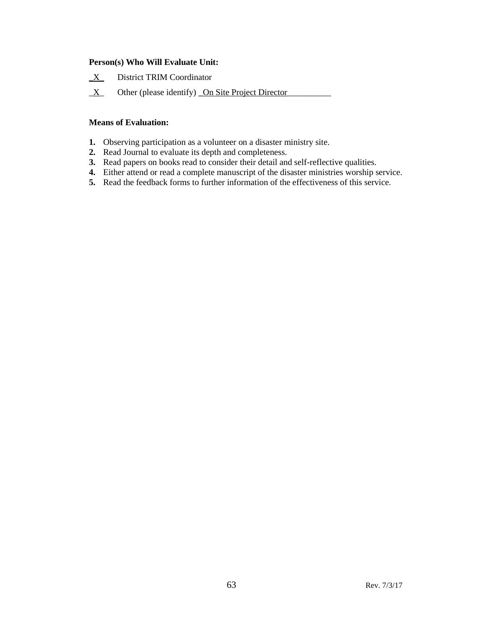#### **Person(s) Who Will Evaluate Unit:**

- **\_**X\_ District TRIM Coordinator
- $\underline{X}$  Other (please identify) On Site Project Director

#### **Means of Evaluation:**

- **1.** Observing participation as a volunteer on a disaster ministry site.
- **2.** Read Journal to evaluate its depth and completeness.
- **3.** Read papers on books read to consider their detail and self-reflective qualities.
- **4.** Either attend or read a complete manuscript of the disaster ministries worship service.
- **5.** Read the feedback forms to further information of the effectiveness of this service.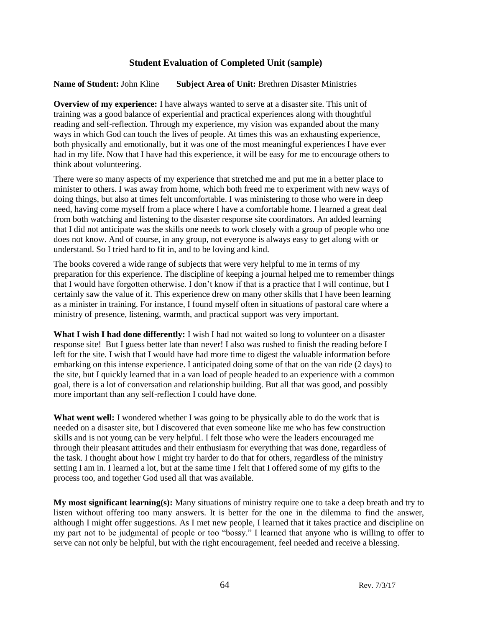#### **Student Evaluation of Completed Unit (sample)**

#### **Name of Student:** John Kline **Subject Area of Unit:** Brethren Disaster Ministries

**Overview of my experience:** I have always wanted to serve at a disaster site. This unit of training was a good balance of experiential and practical experiences along with thoughtful reading and self-reflection. Through my experience, my vision was expanded about the many ways in which God can touch the lives of people. At times this was an exhausting experience, both physically and emotionally, but it was one of the most meaningful experiences I have ever had in my life. Now that I have had this experience, it will be easy for me to encourage others to think about volunteering.

There were so many aspects of my experience that stretched me and put me in a better place to minister to others. I was away from home, which both freed me to experiment with new ways of doing things, but also at times felt uncomfortable. I was ministering to those who were in deep need, having come myself from a place where I have a comfortable home. I learned a great deal from both watching and listening to the disaster response site coordinators. An added learning that I did not anticipate was the skills one needs to work closely with a group of people who one does not know. And of course, in any group, not everyone is always easy to get along with or understand. So I tried hard to fit in, and to be loving and kind.

The books covered a wide range of subjects that were very helpful to me in terms of my preparation for this experience. The discipline of keeping a journal helped me to remember things that I would have forgotten otherwise. I don't know if that is a practice that I will continue, but I certainly saw the value of it. This experience drew on many other skills that I have been learning as a minister in training. For instance, I found myself often in situations of pastoral care where a ministry of presence, listening, warmth, and practical support was very important.

**What I wish I had done differently:** I wish I had not waited so long to volunteer on a disaster response site! But I guess better late than never! I also was rushed to finish the reading before I left for the site. I wish that I would have had more time to digest the valuable information before embarking on this intense experience. I anticipated doing some of that on the van ride (2 days) to the site, but I quickly learned that in a van load of people headed to an experience with a common goal, there is a lot of conversation and relationship building. But all that was good, and possibly more important than any self-reflection I could have done.

**What went well:** I wondered whether I was going to be physically able to do the work that is needed on a disaster site, but I discovered that even someone like me who has few construction skills and is not young can be very helpful. I felt those who were the leaders encouraged me through their pleasant attitudes and their enthusiasm for everything that was done, regardless of the task. I thought about how I might try harder to do that for others, regardless of the ministry setting I am in. I learned a lot, but at the same time I felt that I offered some of my gifts to the process too, and together God used all that was available.

**My most significant learning(s):** Many situations of ministry require one to take a deep breath and try to listen without offering too many answers. It is better for the one in the dilemma to find the answer, although I might offer suggestions. As I met new people, I learned that it takes practice and discipline on my part not to be judgmental of people or too "bossy." I learned that anyone who is willing to offer to serve can not only be helpful, but with the right encouragement, feel needed and receive a blessing.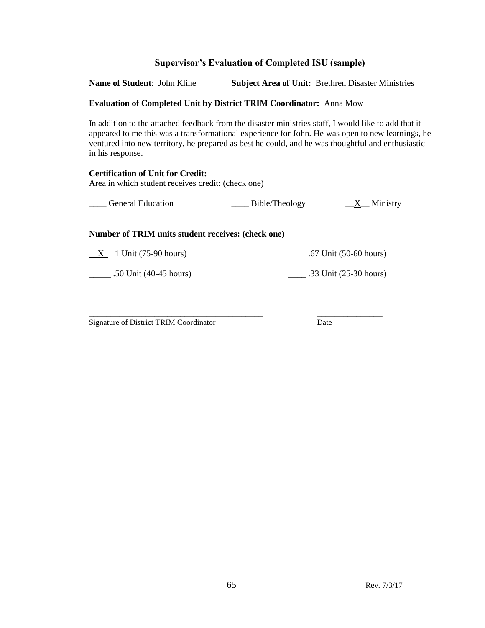### **Supervisor's Evaluation of Completed ISU (sample)**

**Name of Student**: John Kline **Subject Area of Unit:** Brethren Disaster Ministries

#### **Evaluation of Completed Unit by District TRIM Coordinator:** Anna Mow

In addition to the attached feedback from the disaster ministries staff, I would like to add that it appeared to me this was a transformational experience for John. He was open to new learnings, he ventured into new territory, he prepared as best he could, and he was thoughtful and enthusiastic in his response.

### **Certification of Unit for Credit:** Area in which student receives credit: (check one)

| <b>General Education</b> | Bible/Theology | Ministry |
|--------------------------|----------------|----------|
|                          |                |          |

#### **Number of TRIM units student receives: (check one)**

 $\underline{X}$  1 Unit (75-90 hours)  $\underline{X}$  .67 Unit (50-60 hours)

\_\_\_\_\_ .50 Unit (40-45 hours) \_\_\_\_ .33 Unit (25-30 hours)

**\_\_\_\_\_\_\_\_\_\_\_\_\_\_\_\_\_\_\_\_\_\_\_\_\_\_\_\_\_\_\_\_\_\_\_\_\_\_\_\_ \_\_\_\_\_\_\_\_\_\_\_\_\_\_\_** Signature of District TRIM Coordinator Date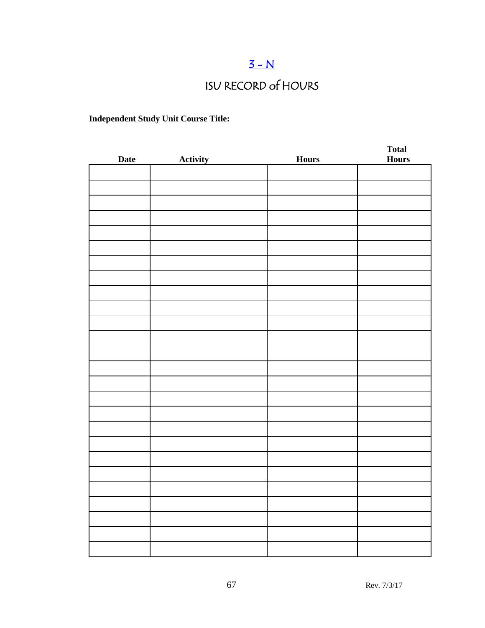# $3-N$

# ISU RECORD of HOURS

### **Independent Study Unit Course Title:**

| <b>Date</b> | <b>Activity</b> | <b>Hours</b> | <b>Total</b><br><b>Hours</b> |
|-------------|-----------------|--------------|------------------------------|
|             |                 |              |                              |
|             |                 |              |                              |
|             |                 |              |                              |
|             |                 |              |                              |
|             |                 |              |                              |
|             |                 |              |                              |
|             |                 |              |                              |
|             |                 |              |                              |
|             |                 |              |                              |
|             |                 |              |                              |
|             |                 |              |                              |
|             |                 |              |                              |
|             |                 |              |                              |
|             |                 |              |                              |
|             |                 |              |                              |
|             |                 |              |                              |
|             |                 |              |                              |
|             |                 |              |                              |
|             |                 |              |                              |
|             |                 |              |                              |
|             |                 |              |                              |
|             |                 |              |                              |
|             |                 |              |                              |
|             |                 |              |                              |
|             |                 |              |                              |
|             |                 |              |                              |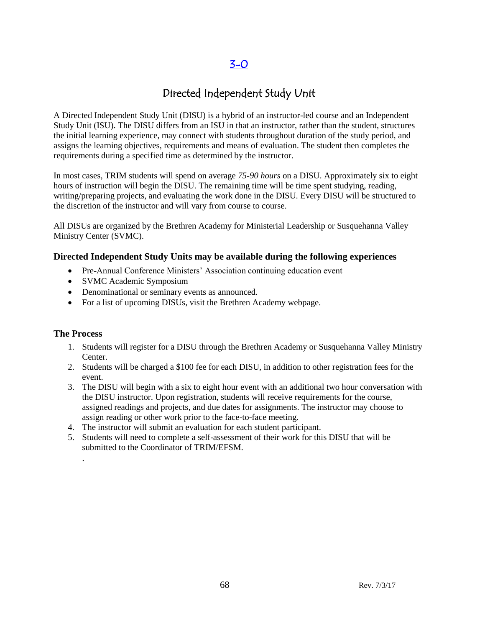### [3-0](#page-2-0)

### Directed Independent Study Unit

A Directed Independent Study Unit (DISU) is a hybrid of an instructor-led course and an Independent Study Unit (ISU). The DISU differs from an ISU in that an instructor, rather than the student, structures the initial learning experience, may connect with students throughout duration of the study period, and assigns the learning objectives, requirements and means of evaluation. The student then completes the requirements during a specified time as determined by the instructor.

In most cases, TRIM students will spend on average *75-90 hours* on a DISU. Approximately six to eight hours of instruction will begin the DISU. The remaining time will be time spent studying, reading, writing/preparing projects, and evaluating the work done in the DISU. Every DISU will be structured to the discretion of the instructor and will vary from course to course.

All DISUs are organized by the Brethren Academy for Ministerial Leadership or Susquehanna Valley Ministry Center (SVMC).

#### **Directed Independent Study Units may be available during the following experiences**

- Pre-Annual Conference Ministers' Association continuing education event
- SVMC Academic Symposium
- Denominational or seminary events as announced.
- For a list of upcoming DISUs, visit the Brethren Academy webpage.

#### **The Process**

.

- 1. Students will register for a DISU through the Brethren Academy or Susquehanna Valley Ministry Center.
- 2. Students will be charged a \$100 fee for each DISU, in addition to other registration fees for the event.
- 3. The DISU will begin with a six to eight hour event with an additional two hour conversation with the DISU instructor. Upon registration, students will receive requirements for the course, assigned readings and projects, and due dates for assignments. The instructor may choose to assign reading or other work prior to the face-to-face meeting.
- 4. The instructor will submit an evaluation for each student participant.
- 5. Students will need to complete a self-assessment of their work for this DISU that will be submitted to the Coordinator of TRIM/EFSM.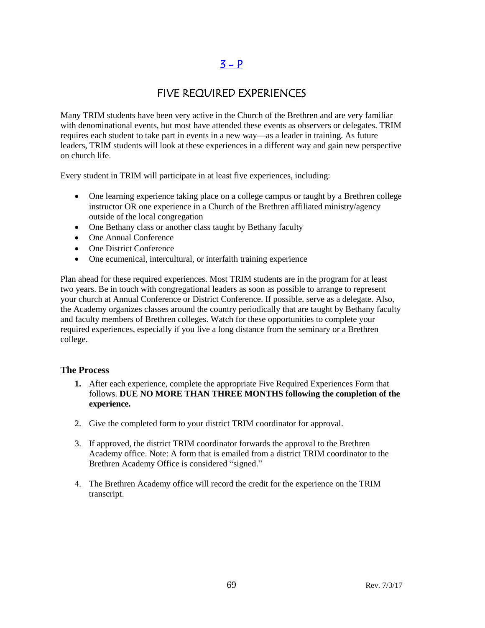### $3 - P$

### FIVE REQUIRED EXPERIENCES

Many TRIM students have been very active in the Church of the Brethren and are very familiar with denominational events, but most have attended these events as observers or delegates. TRIM requires each student to take part in events in a new way—as a leader in training. As future leaders, TRIM students will look at these experiences in a different way and gain new perspective on church life.

Every student in TRIM will participate in at least five experiences, including:

- One learning experience taking place on a college campus or taught by a Brethren college instructor OR one experience in a Church of the Brethren affiliated ministry/agency outside of the local congregation
- One Bethany class or another class taught by Bethany faculty
- One Annual Conference
- One District Conference
- One ecumenical, intercultural, or interfaith training experience

Plan ahead for these required experiences. Most TRIM students are in the program for at least two years. Be in touch with congregational leaders as soon as possible to arrange to represent your church at Annual Conference or District Conference. If possible, serve as a delegate. Also, the Academy organizes classes around the country periodically that are taught by Bethany faculty and faculty members of Brethren colleges. Watch for these opportunities to complete your required experiences, especially if you live a long distance from the seminary or a Brethren college.

### **The Process**

- **1.** After each experience, complete the appropriate Five Required Experiences Form that follows. **DUE NO MORE THAN THREE MONTHS following the completion of the experience.**
- 2. Give the completed form to your district TRIM coordinator for approval.
- 3. If approved, the district TRIM coordinator forwards the approval to the Brethren Academy office. Note: A form that is emailed from a district TRIM coordinator to the Brethren Academy Office is considered "signed."
- 4. The Brethren Academy office will record the credit for the experience on the TRIM transcript.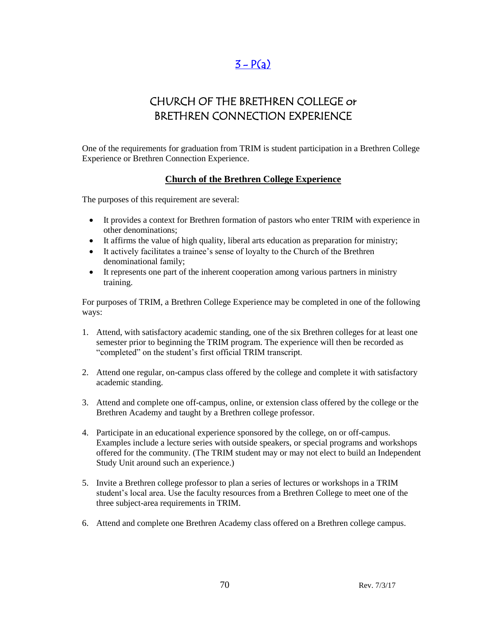### $3 - P(a)$  $3 - P(a)$

### CHURCH OF THE BRETHREN COLLEGE or BRETHREN CONNECTION EXPERIENCE

One of the requirements for graduation from TRIM is student participation in a Brethren College Experience or Brethren Connection Experience.

### **Church of the Brethren College Experience**

The purposes of this requirement are several:

- It provides a context for Brethren formation of pastors who enter TRIM with experience in other denominations;
- It affirms the value of high quality, liberal arts education as preparation for ministry;
- It actively facilitates a trainee's sense of loyalty to the Church of the Brethren denominational family;
- It represents one part of the inherent cooperation among various partners in ministry training.

For purposes of TRIM, a Brethren College Experience may be completed in one of the following ways:

- 1. Attend, with satisfactory academic standing, one of the six Brethren colleges for at least one semester prior to beginning the TRIM program. The experience will then be recorded as "completed" on the student's first official TRIM transcript.
- 2. Attend one regular, on-campus class offered by the college and complete it with satisfactory academic standing.
- 3. Attend and complete one off-campus, online, or extension class offered by the college or the Brethren Academy and taught by a Brethren college professor.
- 4. Participate in an educational experience sponsored by the college, on or off-campus. Examples include a lecture series with outside speakers, or special programs and workshops offered for the community. (The TRIM student may or may not elect to build an Independent Study Unit around such an experience.)
- 5. Invite a Brethren college professor to plan a series of lectures or workshops in a TRIM student's local area. Use the faculty resources from a Brethren College to meet one of the three subject-area requirements in TRIM.
- 6. Attend and complete one Brethren Academy class offered on a Brethren college campus.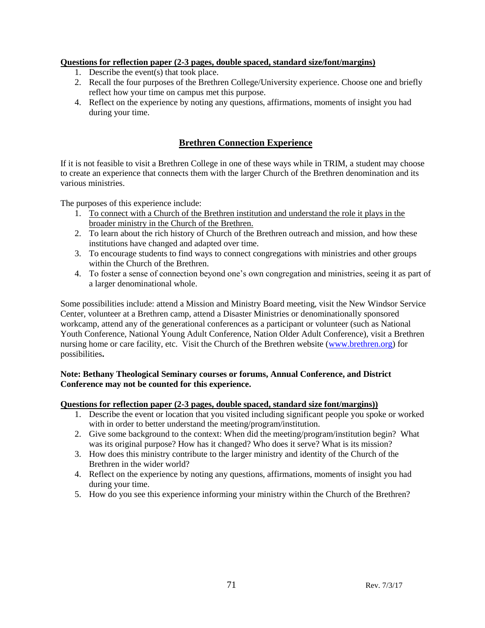#### **Questions for reflection paper (2-3 pages, double spaced, standard size/font/margins)**

- 1. Describe the event(s) that took place.
- 2. Recall the four purposes of the Brethren College/University experience. Choose one and briefly reflect how your time on campus met this purpose.
- 4. Reflect on the experience by noting any questions, affirmations, moments of insight you had during your time.

### **Brethren Connection Experience**

If it is not feasible to visit a Brethren College in one of these ways while in TRIM, a student may choose to create an experience that connects them with the larger Church of the Brethren denomination and its various ministries.

The purposes of this experience include:

- 1. To connect with a Church of the Brethren institution and understand the role it plays in the broader ministry in the Church of the Brethren.
- 2. To learn about the rich history of Church of the Brethren outreach and mission, and how these institutions have changed and adapted over time.
- 3. To encourage students to find ways to connect congregations with ministries and other groups within the Church of the Brethren.
- 4. To foster a sense of connection beyond one's own congregation and ministries, seeing it as part of a larger denominational whole.

Some possibilities include: attend a Mission and Ministry Board meeting, visit the New Windsor Service Center, volunteer at a Brethren camp, attend a Disaster Ministries or denominationally sponsored workcamp, attend any of the generational conferences as a participant or volunteer (such as National Youth Conference, National Young Adult Conference, Nation Older Adult Conference), visit a Brethren nursing home or care facility, etc. Visit the Church of the Brethren website [\(www.brethren.org\)](http://www.brethren.org/) for possibilities**.** 

#### **Note: Bethany Theological Seminary courses or forums, Annual Conference, and District Conference may not be counted for this experience.**

#### **Questions for reflection paper (2-3 pages, double spaced, standard size font/margins))**

- 1. Describe the event or location that you visited including significant people you spoke or worked with in order to better understand the meeting/program/institution.
- 2. Give some background to the context: When did the meeting/program/institution begin? What was its original purpose? How has it changed? Who does it serve? What is its mission?
- 3. How does this ministry contribute to the larger ministry and identity of the Church of the Brethren in the wider world?
- 4. Reflect on the experience by noting any questions, affirmations, moments of insight you had during your time.
- 5. How do you see this experience informing your ministry within the Church of the Brethren?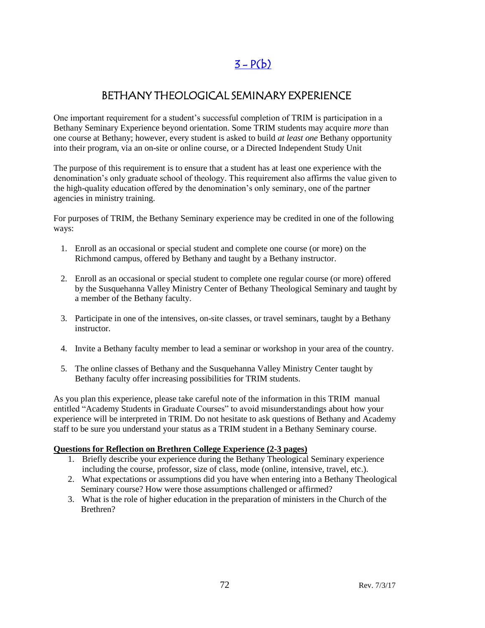### $3 - P(b)$

### BETHANY THEOLOGICAL SEMINARY EXPERIENCE

One important requirement for a student's successful completion of TRIM is participation in a Bethany Seminary Experience beyond orientation. Some TRIM students may acquire *more* than one course at Bethany; however, every student is asked to build *at least one* Bethany opportunity into their program, via an on-site or online course, or a Directed Independent Study Unit

The purpose of this requirement is to ensure that a student has at least one experience with the denomination's only graduate school of theology. This requirement also affirms the value given to the high-quality education offered by the denomination's only seminary, one of the partner agencies in ministry training.

For purposes of TRIM, the Bethany Seminary experience may be credited in one of the following ways:

- 1. Enroll as an occasional or special student and complete one course (or more) on the Richmond campus, offered by Bethany and taught by a Bethany instructor.
- 2. Enroll as an occasional or special student to complete one regular course (or more) offered by the Susquehanna Valley Ministry Center of Bethany Theological Seminary and taught by a member of the Bethany faculty.
- 3. Participate in one of the intensives, on-site classes, or travel seminars, taught by a Bethany instructor.
- 4. Invite a Bethany faculty member to lead a seminar or workshop in your area of the country.
- 5. The online classes of Bethany and the Susquehanna Valley Ministry Center taught by Bethany faculty offer increasing possibilities for TRIM students.

As you plan this experience, please take careful note of the information in this TRIM manual entitled "Academy Students in Graduate Courses" to avoid misunderstandings about how your experience will be interpreted in TRIM. Do not hesitate to ask questions of Bethany and Academy staff to be sure you understand your status as a TRIM student in a Bethany Seminary course.

#### **Questions for Reflection on Brethren College Experience (2-3 pages)**

- 1. Briefly describe your experience during the Bethany Theological Seminary experience including the course, professor, size of class, mode (online, intensive, travel, etc.).
- 2. What expectations or assumptions did you have when entering into a Bethany Theological Seminary course? How were those assumptions challenged or affirmed?
- 3. What is the role of higher education in the preparation of ministers in the Church of the Brethren?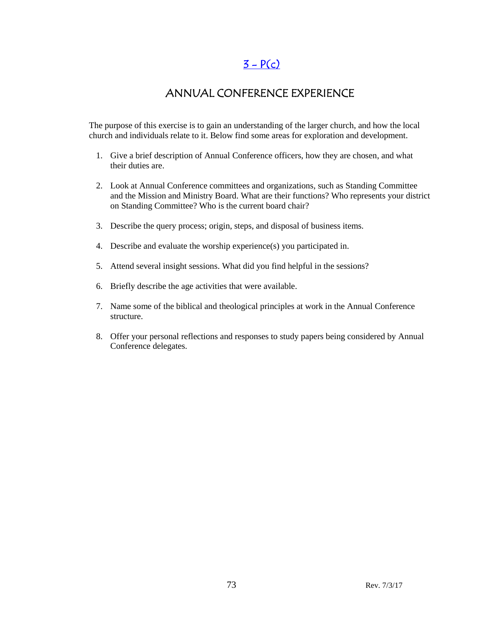### $3 - P(c)$

### ANNUAL CONFERENCE EXPERIENCE

The purpose of this exercise is to gain an understanding of the larger church, and how the local church and individuals relate to it. Below find some areas for exploration and development.

- 1. Give a brief description of Annual Conference officers, how they are chosen, and what their duties are.
- 2. Look at Annual Conference committees and organizations, such as Standing Committee and the Mission and Ministry Board. What are their functions? Who represents your district on Standing Committee? Who is the current board chair?
- 3. Describe the query process; origin, steps, and disposal of business items.
- 4. Describe and evaluate the worship experience(s) you participated in.
- 5. Attend several insight sessions. What did you find helpful in the sessions?
- 6. Briefly describe the age activities that were available.
- 7. Name some of the biblical and theological principles at work in the Annual Conference structure.
- 8. Offer your personal reflections and responses to study papers being considered by Annual Conference delegates.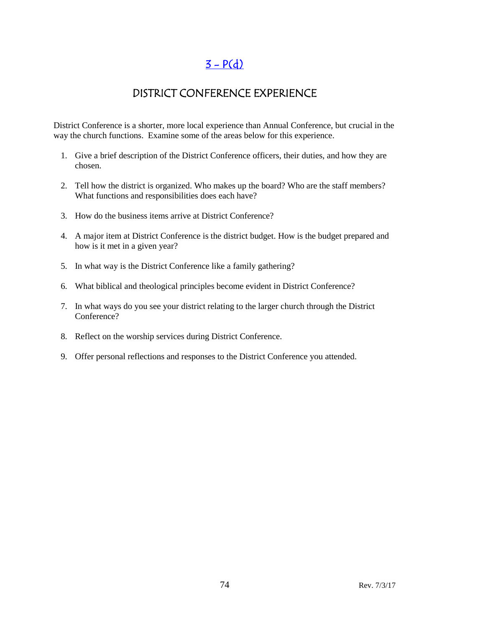# $3 - P(d)$

## DISTRICT CONFERENCE EXPERIENCE

District Conference is a shorter, more local experience than Annual Conference, but crucial in the way the church functions. Examine some of the areas below for this experience.

- 1. Give a brief description of the District Conference officers, their duties, and how they are chosen.
- 2. Tell how the district is organized. Who makes up the board? Who are the staff members? What functions and responsibilities does each have?
- 3. How do the business items arrive at District Conference?
- 4. A major item at District Conference is the district budget. How is the budget prepared and how is it met in a given year?
- 5. In what way is the District Conference like a family gathering?
- 6. What biblical and theological principles become evident in District Conference?
- 7. In what ways do you see your district relating to the larger church through the District Conference?
- 8. Reflect on the worship services during District Conference.
- 9. Offer personal reflections and responses to the District Conference you attended.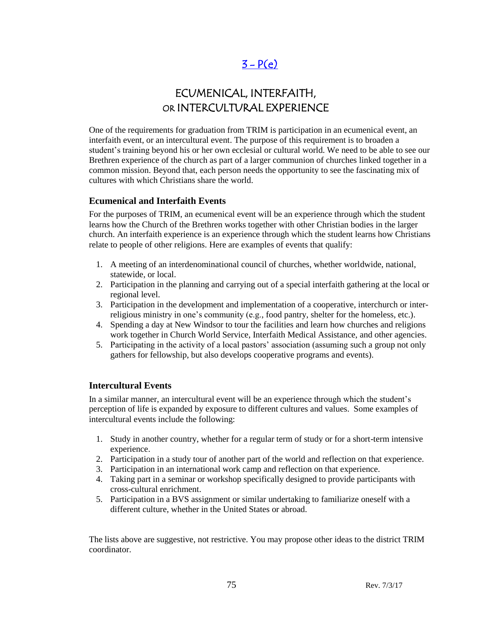## $3 - P(e)$

# ECUMENICAL, INTERFAITH, OR INTERCULTURAL EXPERIENCE

One of the requirements for graduation from TRIM is participation in an ecumenical event, an interfaith event, or an intercultural event. The purpose of this requirement is to broaden a student's training beyond his or her own ecclesial or cultural world. We need to be able to see our Brethren experience of the church as part of a larger communion of churches linked together in a common mission. Beyond that, each person needs the opportunity to see the fascinating mix of cultures with which Christians share the world.

#### **Ecumenical and Interfaith Events**

For the purposes of TRIM, an ecumenical event will be an experience through which the student learns how the Church of the Brethren works together with other Christian bodies in the larger church. An interfaith experience is an experience through which the student learns how Christians relate to people of other religions. Here are examples of events that qualify:

- 1. A meeting of an interdenominational council of churches, whether worldwide, national, statewide, or local.
- 2. Participation in the planning and carrying out of a special interfaith gathering at the local or regional level.
- 3. Participation in the development and implementation of a cooperative, interchurch or interreligious ministry in one's community (e.g., food pantry, shelter for the homeless, etc.).
- 4. Spending a day at New Windsor to tour the facilities and learn how churches and religions work together in Church World Service, Interfaith Medical Assistance, and other agencies.
- 5. Participating in the activity of a local pastors' association (assuming such a group not only gathers for fellowship, but also develops cooperative programs and events).

### **Intercultural Events**

In a similar manner, an intercultural event will be an experience through which the student's perception of life is expanded by exposure to different cultures and values. Some examples of intercultural events include the following:

- 1. Study in another country, whether for a regular term of study or for a short-term intensive experience.
- 2. Participation in a study tour of another part of the world and reflection on that experience.
- 3. Participation in an international work camp and reflection on that experience.
- 4. Taking part in a seminar or workshop specifically designed to provide participants with cross-cultural enrichment.
- 5. Participation in a BVS assignment or similar undertaking to familiarize oneself with a different culture, whether in the United States or abroad.

The lists above are suggestive, not restrictive. You may propose other ideas to the district TRIM coordinator.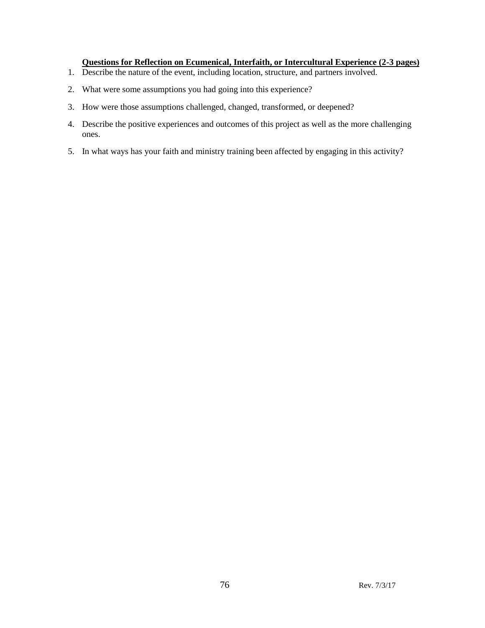#### **Questions for Reflection on Ecumenical, Interfaith, or Intercultural Experience (2-3 pages)**

- 1. Describe the nature of the event, including location, structure, and partners involved.
- 2. What were some assumptions you had going into this experience?
- 3. How were those assumptions challenged, changed, transformed, or deepened?
- 4. Describe the positive experiences and outcomes of this project as well as the more challenging ones.
- 5. In what ways has your faith and ministry training been affected by engaging in this activity?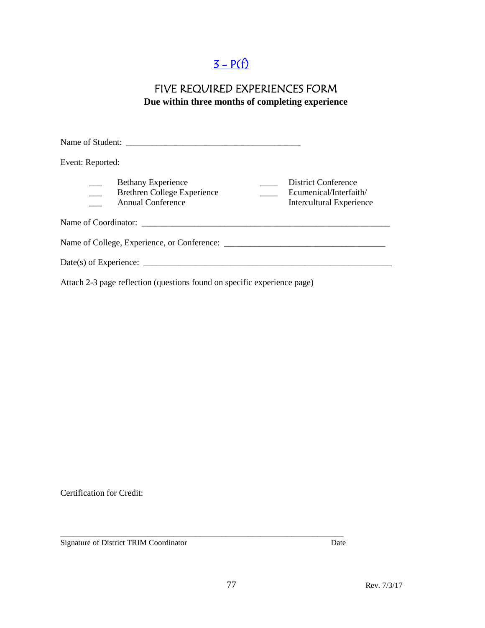# $3 - P(f)$

### FIVE REQUIRED EXPERIENCES FORM **Due within three months of completing experience**

| Event: Reported:                                                                            |                                                                           |
|---------------------------------------------------------------------------------------------|---------------------------------------------------------------------------|
| <b>Bethany Experience</b><br><b>Brethren College Experience</b><br><b>Annual Conference</b> | District Conference<br>Ecumenical/Interfaith/<br>Intercultural Experience |
|                                                                                             |                                                                           |
|                                                                                             |                                                                           |
|                                                                                             |                                                                           |
|                                                                                             |                                                                           |

Attach 2-3 page reflection (questions found on specific experience page)

Certification for Credit:

Signature of District TRIM Coordinator Date

\_\_\_\_\_\_\_\_\_\_\_\_\_\_\_\_\_\_\_\_\_\_\_\_\_\_\_\_\_\_\_\_\_\_\_\_\_\_\_\_\_\_\_\_\_\_\_\_\_\_\_\_\_\_\_\_\_\_\_\_\_\_\_\_\_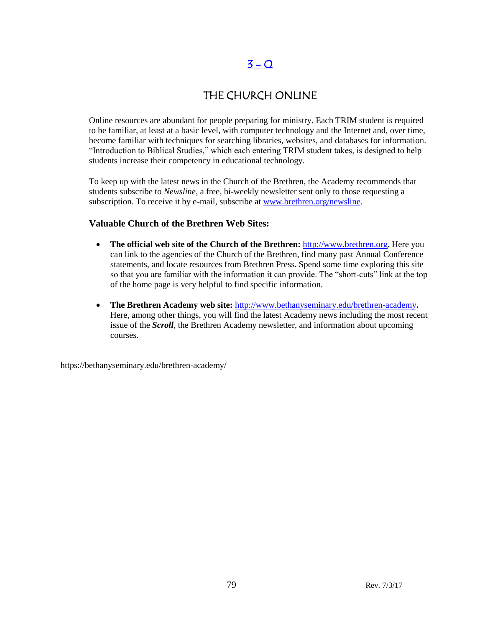## $3 - Q$

## THE CHURCH ONLINE

Online resources are abundant for people preparing for ministry. Each TRIM student is required to be familiar, at least at a basic level, with computer technology and the Internet and, over time, become familiar with techniques for searching libraries, websites, and databases for information. "Introduction to Biblical Studies," which each entering TRIM student takes, is designed to help students increase their competency in educational technology.

To keep up with the latest news in the Church of the Brethren, the Academy recommends that students subscribe to *Newsline*, a free, bi-weekly newsletter sent only to those requesting a subscription. To receive it by e-mail, subscribe at [www.brethren.org/newsline.](http://www.brethren.org/newsline)

### **Valuable Church of the Brethren Web Sites:**

- **The official web site of the Church of the Brethren:** [http://www.brethren.org](http://www.brethren.org/)**.** Here you can link to the agencies of the Church of the Brethren, find many past Annual Conference statements, and locate resources from Brethren Press. Spend some time exploring this site so that you are familiar with the information it can provide. The "short-cuts" link at the top of the home page is very helpful to find specific information.
- **The Brethren Academy web site:** <http://www.bethanyseminary.edu/brethren-academy>**.**  Here, among other things, you will find the latest Academy news including the most recent issue of the *Scroll*, the Brethren Academy newsletter, and information about upcoming courses.

https://bethanyseminary.edu/brethren-academy/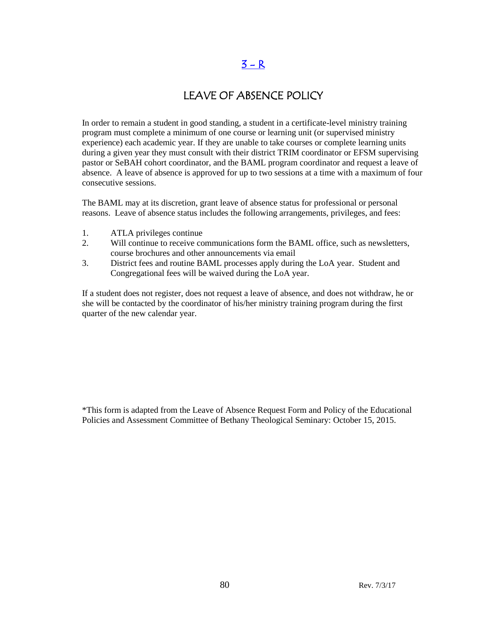### $3 - R$

### LEAVE OF ABSENCE POLICY

In order to remain a student in good standing, a student in a certificate-level ministry training program must complete a minimum of one course or learning unit (or supervised ministry experience) each academic year. If they are unable to take courses or complete learning units during a given year they must consult with their district TRIM coordinator or EFSM supervising pastor or SeBAH cohort coordinator, and the BAML program coordinator and request a leave of absence. A leave of absence is approved for up to two sessions at a time with a maximum of four consecutive sessions.

The BAML may at its discretion, grant leave of absence status for professional or personal reasons. Leave of absence status includes the following arrangements, privileges, and fees:

- 1. ATLA privileges continue
- 2. Will continue to receive communications form the BAML office, such as newsletters, course brochures and other announcements via email
- 3. District fees and routine BAML processes apply during the LoA year. Student and Congregational fees will be waived during the LoA year.

If a student does not register, does not request a leave of absence, and does not withdraw, he or she will be contacted by the coordinator of his/her ministry training program during the first quarter of the new calendar year.

\*This form is adapted from the Leave of Absence Request Form and Policy of the Educational Policies and Assessment Committee of Bethany Theological Seminary: October 15, 2015.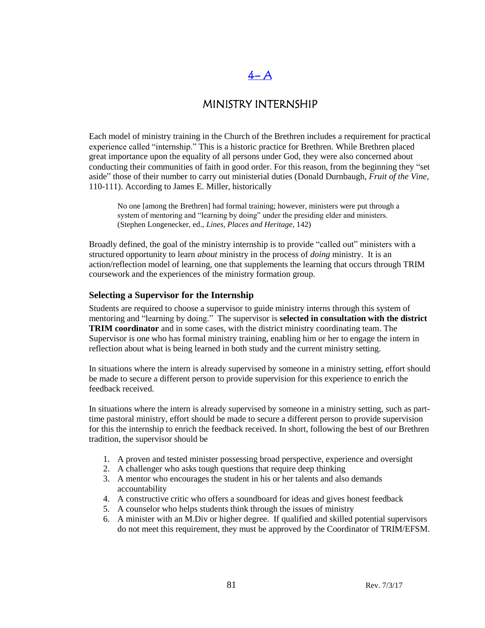### $4 - A$

### MINISTRY INTERNSHIP

Each model of ministry training in the Church of the Brethren includes a requirement for practical experience called "internship." This is a historic practice for Brethren. While Brethren placed great importance upon the equality of all persons under God, they were also concerned about conducting their communities of faith in good order. For this reason, from the beginning they "set aside" those of their number to carry out ministerial duties (Donald Durnbaugh, *Fruit of the Vine*, 110-111). According to James E. Miller, historically

No one [among the Brethren] had formal training; however, ministers were put through a system of mentoring and "learning by doing" under the presiding elder and ministers. (Stephen Longenecker, ed., *Lines, Places and Heritage*, 142)

Broadly defined, the goal of the ministry internship is to provide "called out" ministers with a structured opportunity to learn *about* ministry in the process of *doing* ministry. It is an action/reflection model of learning, one that supplements the learning that occurs through TRIM coursework and the experiences of the ministry formation group.

#### **Selecting a Supervisor for the Internship**

Students are required to choose a supervisor to guide ministry interns through this system of mentoring and "learning by doing." The supervisor is **selected in consultation with the district TRIM coordinator** and in some cases, with the district ministry coordinating team. The Supervisor is one who has formal ministry training, enabling him or her to engage the intern in reflection about what is being learned in both study and the current ministry setting.

In situations where the intern is already supervised by someone in a ministry setting, effort should be made to secure a different person to provide supervision for this experience to enrich the feedback received.

In situations where the intern is already supervised by someone in a ministry setting, such as parttime pastoral ministry, effort should be made to secure a different person to provide supervision for this the internship to enrich the feedback received. In short, following the best of our Brethren tradition, the supervisor should be

- 1. A proven and tested minister possessing broad perspective, experience and oversight
- 2. A challenger who asks tough questions that require deep thinking
- 3. A mentor who encourages the student in his or her talents and also demands accountability
- 4. A constructive critic who offers a soundboard for ideas and gives honest feedback
- 5. A counselor who helps students think through the issues of ministry
- 6. A minister with an M.Div or higher degree. If qualified and skilled potential supervisors do not meet this requirement, they must be approved by the Coordinator of TRIM/EFSM.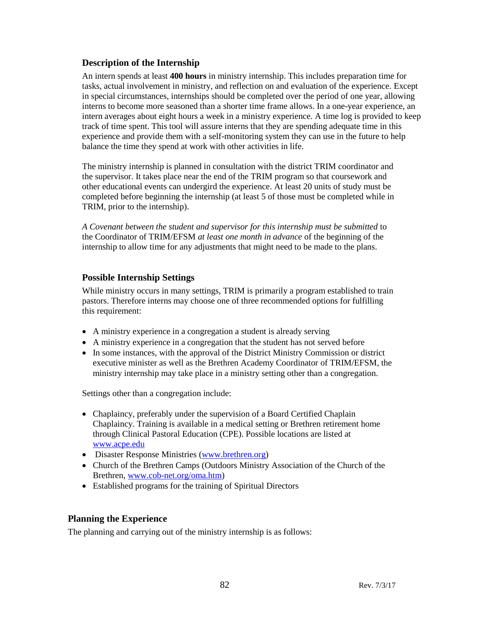### **Description of the Internship**

An intern spends at least **400 hours** in ministry internship. This includes preparation time for tasks, actual involvement in ministry, and reflection on and evaluation of the experience. Except in special circumstances, internships should be completed over the period of one year, allowing interns to become more seasoned than a shorter time frame allows. In a one-year experience, an intern averages about eight hours a week in a ministry experience. A time log is provided to keep track of time spent. This tool will assure interns that they are spending adequate time in this experience and provide them with a self-monitoring system they can use in the future to help balance the time they spend at work with other activities in life.

The ministry internship is planned in consultation with the district TRIM coordinator and the supervisor. It takes place near the end of the TRIM program so that coursework and other educational events can undergird the experience. At least 20 units of study must be completed before beginning the internship (at least 5 of those must be completed while in TRIM, prior to the internship).

*A Covenant between the student and supervisor for this internship must be submitted* to the Coordinator of TRIM/EFSM *at least one month in advance* of the beginning of the internship to allow time for any adjustments that might need to be made to the plans.

### **Possible Internship Settings**

While ministry occurs in many settings, TRIM is primarily a program established to train pastors. Therefore interns may choose one of three recommended options for fulfilling this requirement:

- A ministry experience in a congregation a student is already serving
- A ministry experience in a congregation that the student has not served before
- In some instances, with the approval of the District Ministry Commission or district executive minister as well as the Brethren Academy Coordinator of TRIM/EFSM, the ministry internship may take place in a ministry setting other than a congregation.

Settings other than a congregation include:

- Chaplaincy, preferably under the supervision of a Board Certified Chaplain Chaplaincy. Training is available in a medical setting or Brethren retirement home through Clinical Pastoral Education (CPE). Possible locations are listed at [www.acpe.edu](http://www.acpe.edu/)
- Disaster Response Ministries [\(www.brethren.org\)](http://www.brethren.org/)
- Church of the Brethren Camps (Outdoors Ministry Association of the Church of the Brethren, [www.cob-net.org/oma.htm\)](http://www.cob-net.org/oma.htm)
- Established programs for the training of Spiritual Directors

### **Planning the Experience**

The planning and carrying out of the ministry internship is as follows: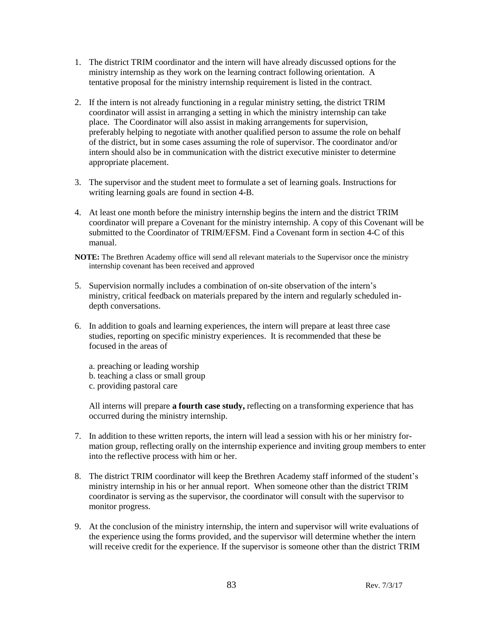- 1. The district TRIM coordinator and the intern will have already discussed options for the ministry internship as they work on the learning contract following orientation. A tentative proposal for the ministry internship requirement is listed in the contract.
- 2. If the intern is not already functioning in a regular ministry setting, the district TRIM coordinator will assist in arranging a setting in which the ministry internship can take place. The Coordinator will also assist in making arrangements for supervision, preferably helping to negotiate with another qualified person to assume the role on behalf of the district, but in some cases assuming the role of supervisor. The coordinator and/or intern should also be in communication with the district executive minister to determine appropriate placement.
- 3. The supervisor and the student meet to formulate a set of learning goals. Instructions for writing learning goals are found in section 4-B.
- 4. At least one month before the ministry internship begins the intern and the district TRIM coordinator will prepare a Covenant for the ministry internship. A copy of this Covenant will be submitted to the Coordinator of TRIM/EFSM. Find a Covenant form in section 4-C of this manual.
- **NOTE:** The Brethren Academy office will send all relevant materials to the Supervisor once the ministry internship covenant has been received and approved
- 5. Supervision normally includes a combination of on-site observation of the intern's ministry, critical feedback on materials prepared by the intern and regularly scheduled indepth conversations.
- 6. In addition to goals and learning experiences, the intern will prepare at least three case studies, reporting on specific ministry experiences. It is recommended that these be focused in the areas of
	- a. preaching or leading worship
	- b. teaching a class or small group
	- c. providing pastoral care

All interns will prepare **a fourth case study,** reflecting on a transforming experience that has occurred during the ministry internship.

- 7. In addition to these written reports, the intern will lead a session with his or her ministry formation group, reflecting orally on the internship experience and inviting group members to enter into the reflective process with him or her.
- 8. The district TRIM coordinator will keep the Brethren Academy staff informed of the student's ministry internship in his or her annual report. When someone other than the district TRIM coordinator is serving as the supervisor, the coordinator will consult with the supervisor to monitor progress.
- 9. At the conclusion of the ministry internship, the intern and supervisor will write evaluations of the experience using the forms provided, and the supervisor will determine whether the intern will receive credit for the experience. If the supervisor is someone other than the district TRIM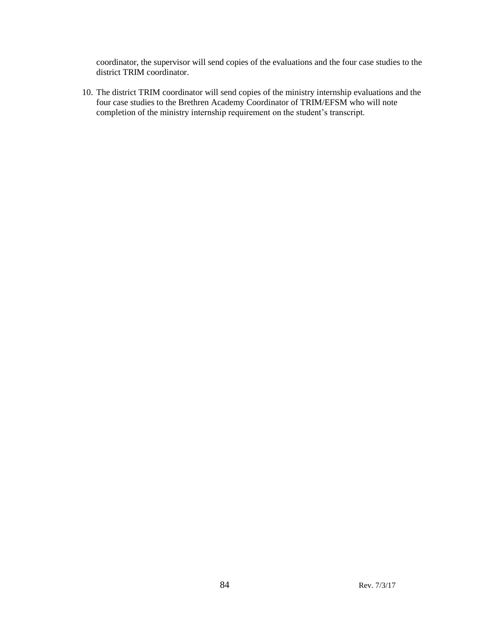coordinator, the supervisor will send copies of the evaluations and the four case studies to the district TRIM coordinator.

10. The district TRIM coordinator will send copies of the ministry internship evaluations and the four case studies to the Brethren Academy Coordinator of TRIM/EFSM who will note completion of the ministry internship requirement on the student's transcript.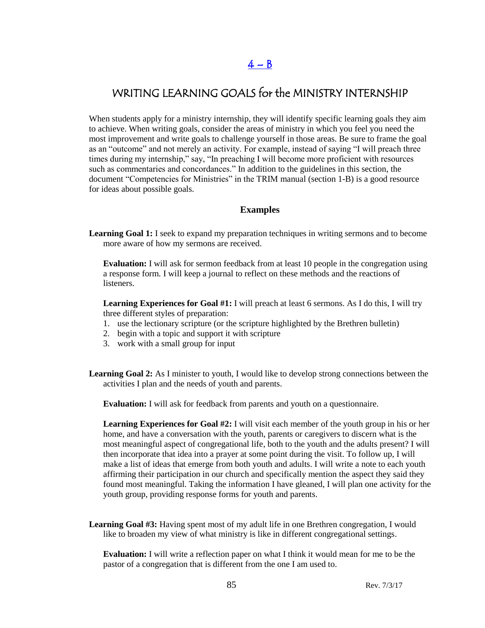# WRITING LEARNING GOALS for the MINISTRY INTERNSHIP

When students apply for a ministry internship, they will identify specific learning goals they aim to achieve. When writing goals, consider the areas of ministry in which you feel you need the most improvement and write goals to challenge yourself in those areas. Be sure to frame the goal as an "outcome" and not merely an activity. For example, instead of saying "I will preach three times during my internship," say, "In preaching I will become more proficient with resources such as commentaries and concordances." In addition to the guidelines in this section, the document "Competencies for Ministries" in the TRIM manual (section 1-B) is a good resource for ideas about possible goals.

#### **Examples**

**Learning Goal 1:** I seek to expand my preparation techniques in writing sermons and to become more aware of how my sermons are received.

**Evaluation:** I will ask for sermon feedback from at least 10 people in the congregation using a response form. I will keep a journal to reflect on these methods and the reactions of listeners.

**Learning Experiences for Goal #1:** I will preach at least 6 sermons. As I do this, I will try three different styles of preparation:

- 1. use the lectionary scripture (or the scripture highlighted by the Brethren bulletin)
- 2. begin with a topic and support it with scripture
- 3. work with a small group for input
- **Learning Goal 2:** As I minister to youth, I would like to develop strong connections between the activities I plan and the needs of youth and parents.

**Evaluation:** I will ask for feedback from parents and youth on a questionnaire.

**Learning Experiences for Goal #2:** I will visit each member of the youth group in his or her home, and have a conversation with the youth, parents or caregivers to discern what is the most meaningful aspect of congregational life, both to the youth and the adults present? I will then incorporate that idea into a prayer at some point during the visit. To follow up, I will make a list of ideas that emerge from both youth and adults. I will write a note to each youth affirming their participation in our church and specifically mention the aspect they said they found most meaningful. Taking the information I have gleaned, I will plan one activity for the youth group, providing response forms for youth and parents.

**Learning Goal #3:** Having spent most of my adult life in one Brethren congregation, I would like to broaden my view of what ministry is like in different congregational settings.

**Evaluation:** I will write a reflection paper on what I think it would mean for me to be the pastor of a congregation that is different from the one I am used to.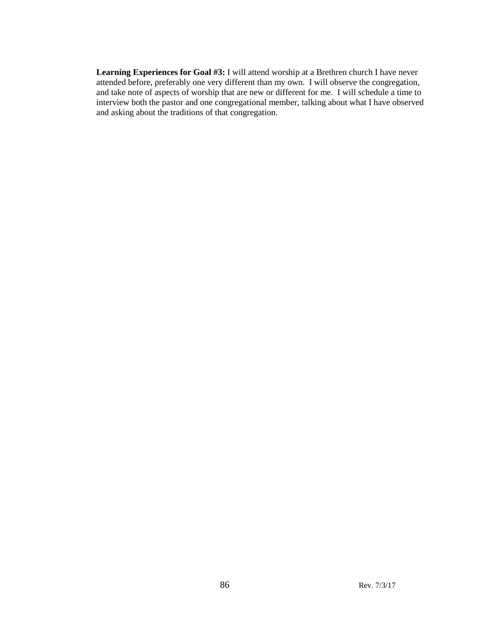**Learning Experiences for Goal #3:** I will attend worship at a Brethren church I have never attended before, preferably one very different than my own. I will observe the congregation, and take note of aspects of worship that are new or different for me. I will schedule a time to interview both the pastor and one congregational member, talking about what I have observed and asking about the traditions of that congregation.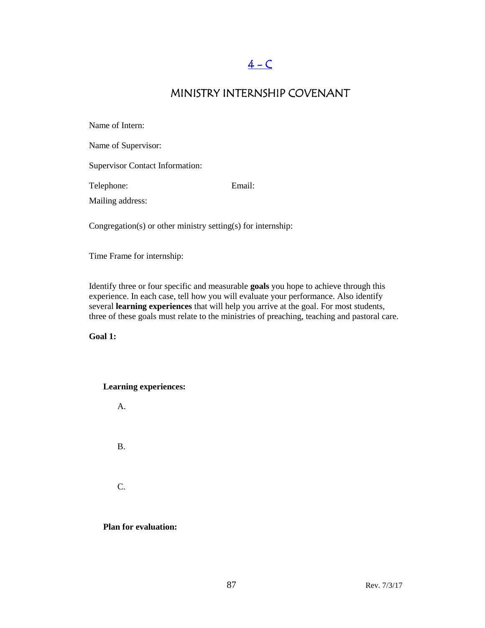# $4 - C$

### MINISTRY INTERNSHIP COVENANT

| Name of Intern:                        |        |
|----------------------------------------|--------|
| Name of Supervisor:                    |        |
| <b>Supervisor Contact Information:</b> |        |
| Telephone:                             | Email: |
| Mailing address:                       |        |
|                                        |        |

Congregation(s) or other ministry setting(s) for internship:

Time Frame for internship:

Identify three or four specific and measurable **goals** you hope to achieve through this experience. In each case, tell how you will evaluate your performance. Also identify several **learning experiences** that will help you arrive at the goal. For most students, three of these goals must relate to the ministries of preaching, teaching and pastoral care.

**Goal 1:**

#### **Learning experiences:**



**Plan for evaluation:**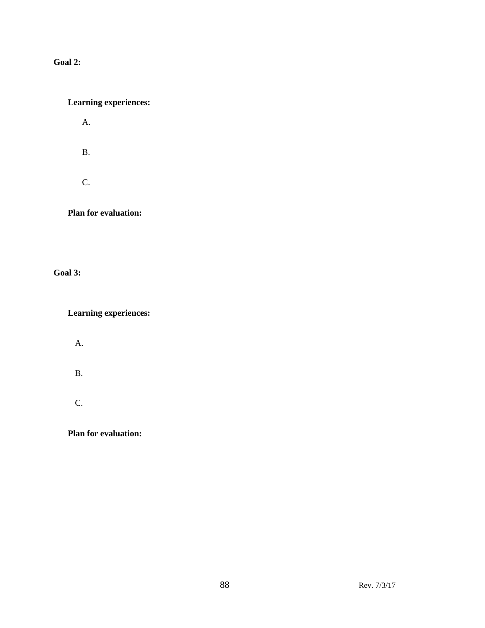### **Goal 2:**

### **Learning experiences:**

A.

B.

C.

**Plan for evaluation:**

**Goal 3:**

**Learning experiences:**

A.

B.

C.

**Plan for evaluation:**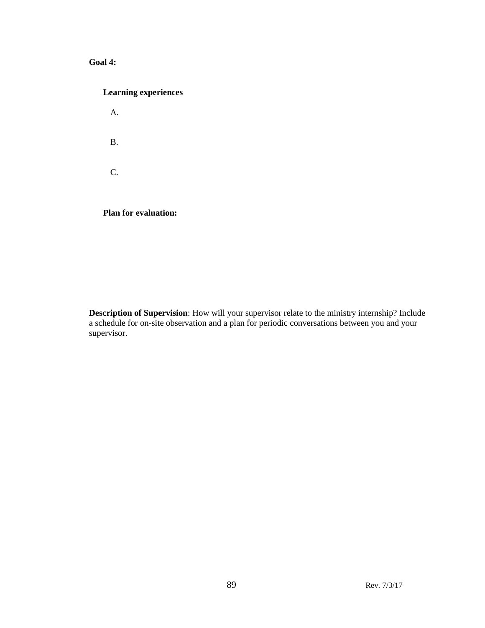### **Goal 4:**

| <b>Learning experiences</b> |  |  |
|-----------------------------|--|--|
| А.                          |  |  |
| <b>B.</b>                   |  |  |
| $\mathsf{C}$                |  |  |
| <b>Plan for evaluation:</b> |  |  |

**Description of Supervision**: How will your supervisor relate to the ministry internship? Include a schedule for on-site observation and a plan for periodic conversations between you and your supervisor.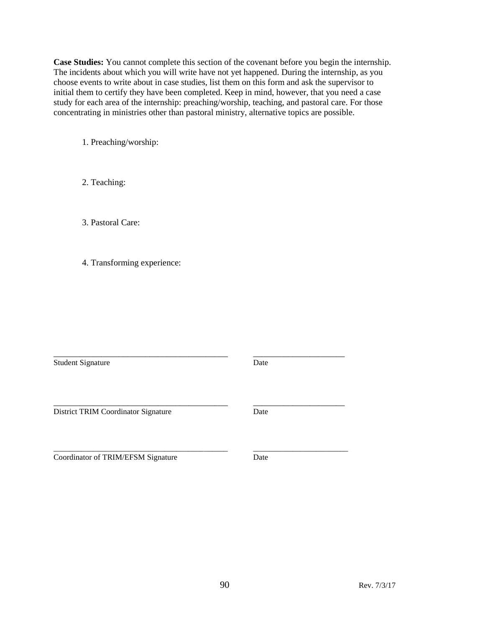**Case Studies:** You cannot complete this section of the covenant before you begin the internship. The incidents about which you will write have not yet happened. During the internship, as you choose events to write about in case studies, list them on this form and ask the supervisor to initial them to certify they have been completed. Keep in mind, however, that you need a case study for each area of the internship: preaching/worship, teaching, and pastoral care. For those concentrating in ministries other than pastoral ministry, alternative topics are possible.

1. Preaching/worship:

2. Teaching:

3. Pastoral Care:

4. Transforming experience:

Student Signature Date

\_\_\_\_\_\_\_\_\_\_\_\_\_\_\_\_\_\_\_\_\_\_\_\_\_\_\_\_\_\_\_\_\_\_\_\_\_\_\_\_ \_\_\_\_\_\_\_\_\_\_\_\_\_\_\_\_\_\_\_\_\_

District TRIM Coordinator Signature Date

Coordinator of TRIM/EFSM Signature Date

\_\_\_\_\_\_\_\_\_\_\_\_\_\_\_\_\_\_\_\_\_\_\_\_\_\_\_\_\_\_\_\_\_\_\_\_\_\_\_\_ \_\_\_\_\_\_\_\_\_\_\_\_\_\_\_\_\_\_\_\_\_

\_\_\_\_\_\_\_\_\_\_\_\_\_\_\_\_\_\_\_\_\_\_\_\_\_\_\_\_\_\_\_\_\_\_\_\_\_\_\_\_\_\_\_\_ \_\_\_\_\_\_\_\_\_\_\_\_\_\_\_\_\_\_\_\_\_\_\_\_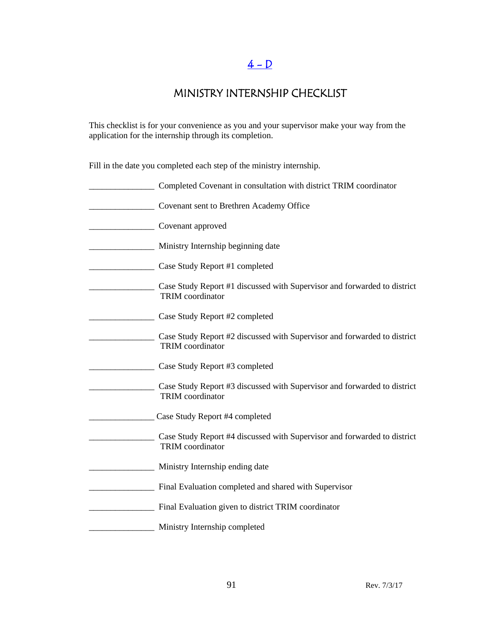# $4 - D$

# MINISTRY INTERNSHIP CHECKLIST

This checklist is for your convenience as you and your supervisor make your way from the application for the internship through its completion.

Fill in the date you completed each step of the ministry internship.

| Completed Covenant in consultation with district TRIM coordinator                                   |
|-----------------------------------------------------------------------------------------------------|
| Covenant sent to Brethren Academy Office                                                            |
| Covenant approved                                                                                   |
| Ministry Internship beginning date                                                                  |
| Case Study Report #1 completed                                                                      |
| Case Study Report #1 discussed with Supervisor and forwarded to district<br><b>TRIM</b> coordinator |
| Case Study Report #2 completed                                                                      |
| Case Study Report #2 discussed with Supervisor and forwarded to district<br><b>TRIM</b> coordinator |
| Case Study Report #3 completed                                                                      |
| Case Study Report #3 discussed with Supervisor and forwarded to district<br><b>TRIM</b> coordinator |
| Case Study Report #4 completed                                                                      |
| Case Study Report #4 discussed with Supervisor and forwarded to district<br><b>TRIM</b> coordinator |
| Ministry Internship ending date                                                                     |
| Final Evaluation completed and shared with Supervisor                                               |
| Final Evaluation given to district TRIM coordinator                                                 |
| Ministry Internship completed                                                                       |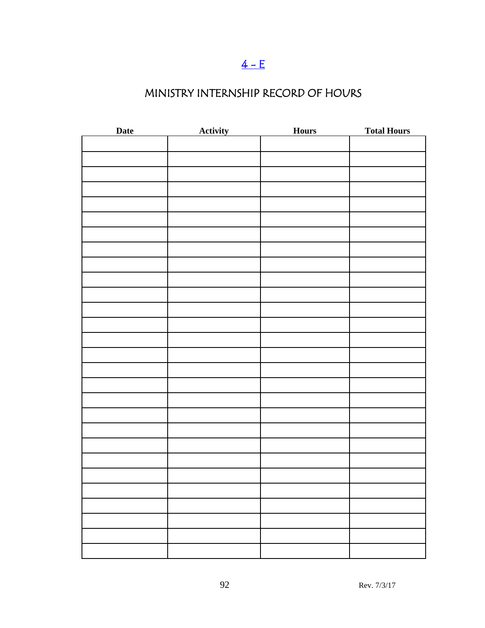# $4 - E$

# MINISTRY INTERNSHIP RECORD OF HOURS

| Date | <b>Activity</b> | <b>Hours</b> | <b>Total Hours</b> |
|------|-----------------|--------------|--------------------|
|      |                 |              |                    |
|      |                 |              |                    |
|      |                 |              |                    |
|      |                 |              |                    |
|      |                 |              |                    |
|      |                 |              |                    |
|      |                 |              |                    |
|      |                 |              |                    |
|      |                 |              |                    |
|      |                 |              |                    |
|      |                 |              |                    |
|      |                 |              |                    |
|      |                 |              |                    |
|      |                 |              |                    |
|      |                 |              |                    |
|      |                 |              |                    |
|      |                 |              |                    |
|      |                 |              |                    |
|      |                 |              |                    |
|      |                 |              |                    |
|      |                 |              |                    |
|      |                 |              |                    |
|      |                 |              |                    |
|      |                 |              |                    |
|      |                 |              |                    |
|      |                 |              |                    |
|      |                 |              |                    |
|      |                 |              |                    |
|      |                 |              |                    |
|      |                 |              |                    |
|      |                 |              |                    |
|      |                 |              |                    |
|      |                 |              |                    |
|      |                 |              |                    |
|      |                 |              |                    |
|      |                 |              |                    |
|      |                 |              |                    |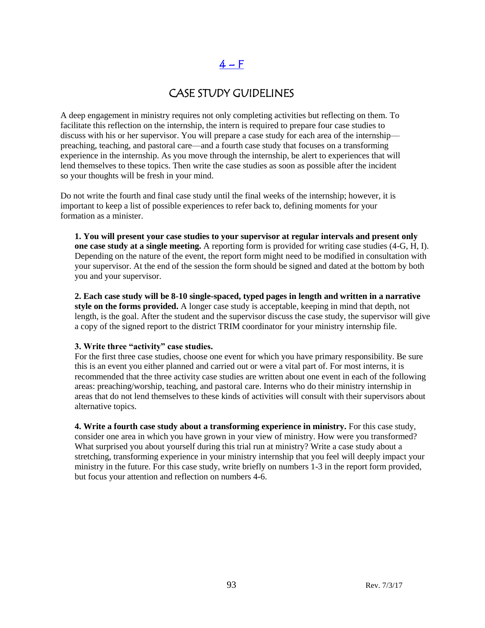# $4-F$

## CASE STUDY GUIDELINES

A deep engagement in ministry requires not only completing activities but reflecting on them. To facilitate this reflection on the internship, the intern is required to prepare four case studies to discuss with his or her supervisor. You will prepare a case study for each area of the internship preaching, teaching, and pastoral care—and a fourth case study that focuses on a transforming experience in the internship. As you move through the internship, be alert to experiences that will lend themselves to these topics. Then write the case studies as soon as possible after the incident so your thoughts will be fresh in your mind.

Do not write the fourth and final case study until the final weeks of the internship; however, it is important to keep a list of possible experiences to refer back to, defining moments for your formation as a minister.

**1. You will present your case studies to your supervisor at regular intervals and present only one case study at a single meeting.** A reporting form is provided for writing case studies (4-G, H, I). Depending on the nature of the event, the report form might need to be modified in consultation with your supervisor. At the end of the session the form should be signed and dated at the bottom by both you and your supervisor.

**2. Each case study will be 8-10 single-spaced, typed pages in length and written in a narrative style on the forms provided.** A longer case study is acceptable, keeping in mind that depth, not length, is the goal. After the student and the supervisor discuss the case study, the supervisor will give a copy of the signed report to the district TRIM coordinator for your ministry internship file.

#### **3. Write three "activity" case studies.**

For the first three case studies, choose one event for which you have primary responsibility. Be sure this is an event you either planned and carried out or were a vital part of. For most interns, it is recommended that the three activity case studies are written about one event in each of the following areas: preaching/worship, teaching, and pastoral care. Interns who do their ministry internship in areas that do not lend themselves to these kinds of activities will consult with their supervisors about alternative topics.

**4. Write a fourth case study about a transforming experience in ministry.** For this case study, consider one area in which you have grown in your view of ministry. How were you transformed? What surprised you about yourself during this trial run at ministry? Write a case study about a stretching, transforming experience in your ministry internship that you feel will deeply impact your ministry in the future. For this case study, write briefly on numbers 1-3 in the report form provided, but focus your attention and reflection on numbers 4-6.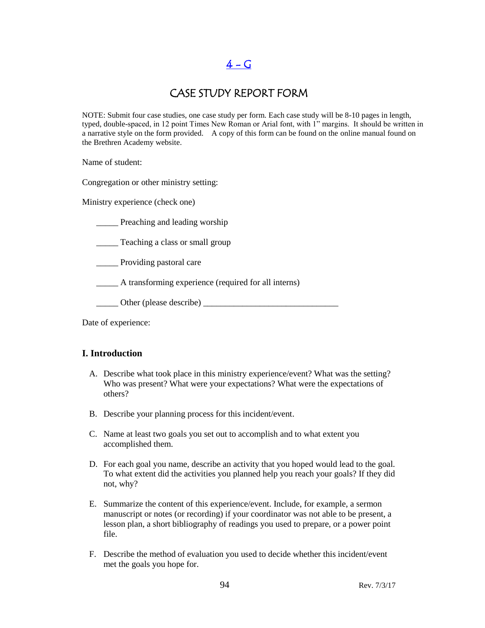## $4 - G$

### CASE STUDY REPORT FORM

NOTE: Submit four case studies, one case study per form. Each case study will be 8-10 pages in length, typed, double-spaced, in 12 point Times New Roman or Arial font, with 1" margins. It should be written in a narrative style on the form provided. A copy of this form can be found on the online manual found on the Brethren Academy website.

Name of student:

Congregation or other ministry setting:

Ministry experience (check one)

**EXECUTE:** Preaching and leading worship

\_\_\_\_\_ Teaching a class or small group

\_\_\_\_\_ Providing pastoral care

\_\_\_\_\_ A transforming experience (required for all interns)

\_\_\_\_\_ Other (please describe) \_\_\_\_\_\_\_\_\_\_\_\_\_\_\_\_\_\_\_\_\_\_\_\_\_\_\_\_\_\_\_

Date of experience:

### **I. Introduction**

- A. Describe what took place in this ministry experience/event? What was the setting? Who was present? What were your expectations? What were the expectations of others?
- B. Describe your planning process for this incident/event.
- C. Name at least two goals you set out to accomplish and to what extent you accomplished them.
- D. For each goal you name, describe an activity that you hoped would lead to the goal. To what extent did the activities you planned help you reach your goals? If they did not, why?
- E. Summarize the content of this experience/event. Include, for example, a sermon manuscript or notes (or recording) if your coordinator was not able to be present, a lesson plan, a short bibliography of readings you used to prepare, or a power point file.
- F. Describe the method of evaluation you used to decide whether this incident/event met the goals you hope for.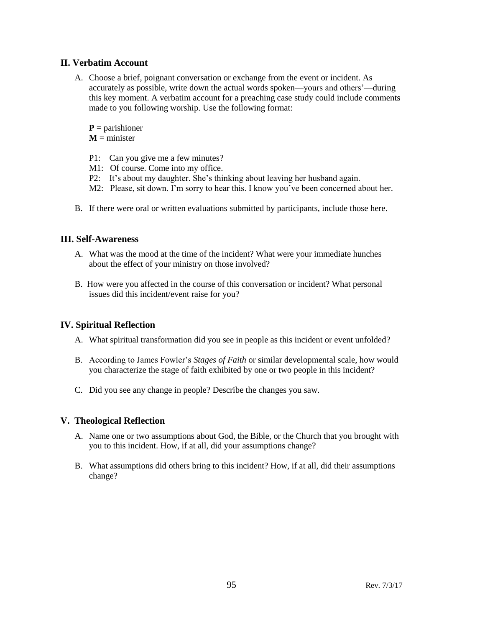### **II. Verbatim Account**

A. Choose a brief, poignant conversation or exchange from the event or incident. As accurately as possible, write down the actual words spoken—yours and others'—during this key moment. A verbatim account for a preaching case study could include comments made to you following worship. Use the following format:

**P =** parishioner

 $M =$  minister

- P1: Can you give me a few minutes?
- M1: Of course. Come into my office.
- P2: It's about my daughter. She's thinking about leaving her husband again.
- M2: Please, sit down. I'm sorry to hear this. I know you've been concerned about her.
- B. If there were oral or written evaluations submitted by participants, include those here.

### **III. Self-Awareness**

- A. What was the mood at the time of the incident? What were your immediate hunches about the effect of your ministry on those involved?
- B. How were you affected in the course of this conversation or incident? What personal issues did this incident/event raise for you?

### **IV. Spiritual Reflection**

- A. What spiritual transformation did you see in people as this incident or event unfolded?
- B. According to James Fowler's *Stages of Faith* or similar developmental scale, how would you characterize the stage of faith exhibited by one or two people in this incident?
- C. Did you see any change in people? Describe the changes you saw.

### **V. Theological Reflection**

- A. Name one or two assumptions about God, the Bible, or the Church that you brought with you to this incident. How, if at all, did your assumptions change?
- B. What assumptions did others bring to this incident? How, if at all, did their assumptions change?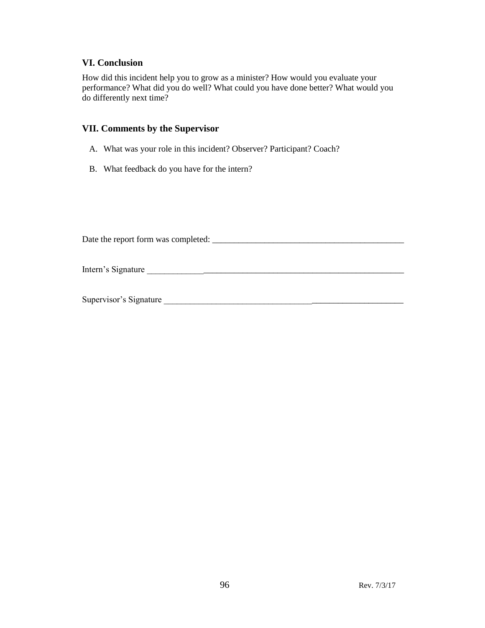#### **VI. Conclusion**

How did this incident help you to grow as a minister? How would you evaluate your performance? What did you do well? What could you have done better? What would you do differently next time?

#### **VII. Comments by the Supervisor**

- A. What was your role in this incident? Observer? Participant? Coach?
- B. What feedback do you have for the intern?

Date the report form was completed: \_\_\_\_\_\_\_\_\_\_\_\_\_\_\_\_\_\_\_\_\_\_\_\_\_\_\_\_\_\_\_\_\_\_\_\_\_\_\_\_\_\_\_\_

Intern's Signature \_\_\_\_\_\_\_\_\_\_\_\_\_\_\_\_\_\_\_\_\_\_\_\_\_\_\_\_\_\_\_\_\_\_\_\_\_\_\_\_\_\_\_\_\_\_\_\_\_\_\_\_\_\_\_\_\_\_\_

Supervisor's Signature \_\_\_\_\_\_\_\_\_\_\_\_\_\_\_\_\_\_\_\_\_\_\_\_\_\_\_\_\_\_\_\_\_\_\_\_\_\_\_\_\_\_\_\_\_\_\_\_\_\_\_\_\_\_\_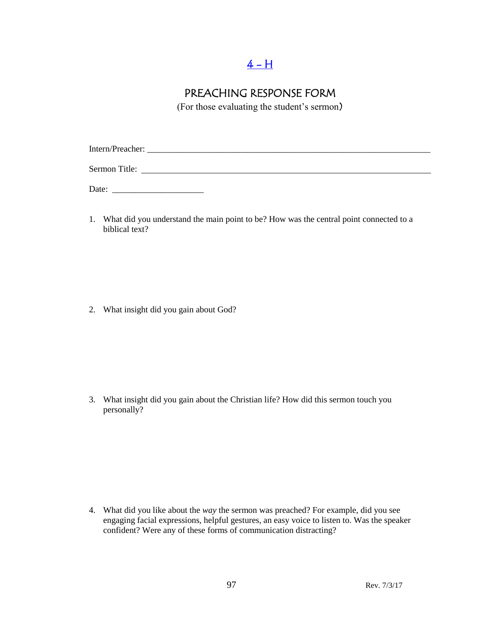# $4 - H$

# PREACHING RESPONSE FORM

(For those evaluating the student's sermon)

Intern/Preacher: \_\_\_\_\_\_\_\_\_\_\_\_\_\_\_\_\_\_\_\_\_\_\_\_\_\_\_\_\_\_\_\_\_\_\_\_\_\_\_\_\_\_\_\_\_\_\_\_\_\_\_\_\_\_\_\_\_\_\_\_\_\_\_\_\_ Sermon Title:

Date: \_\_\_\_\_\_\_\_\_\_\_\_\_\_\_\_\_\_\_\_\_

1. What did you understand the main point to be? How was the central point connected to a biblical text?

2. What insight did you gain about God?

3. What insight did you gain about the Christian life? How did this sermon touch you personally?

4. What did you like about the *way* the sermon was preached? For example, did you see engaging facial expressions, helpful gestures, an easy voice to listen to. Was the speaker confident? Were any of these forms of communication distracting?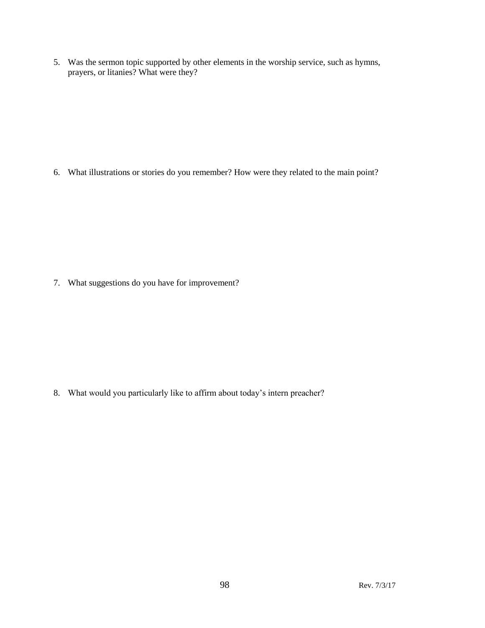5. Was the sermon topic supported by other elements in the worship service, such as hymns, prayers, or litanies? What were they?

6. What illustrations or stories do you remember? How were they related to the main point?

7. What suggestions do you have for improvement?

8. What would you particularly like to affirm about today's intern preacher?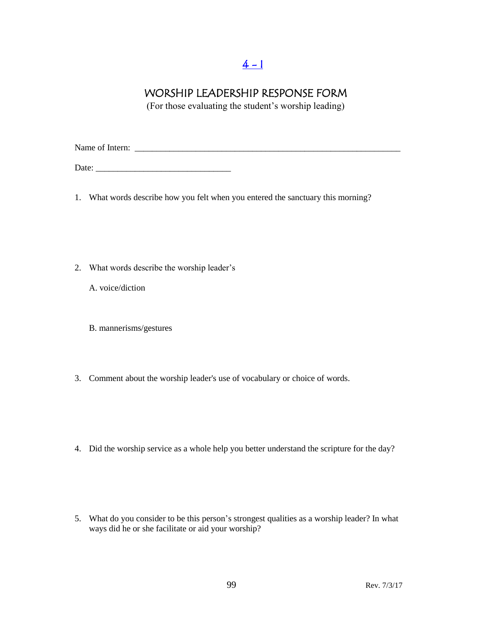# $4 - 1$

## WORSHIP LEADERSHIP RESPONSE FORM

(For those evaluating the student's worship leading)

Name of Intern: \_\_\_\_\_\_\_\_\_\_\_\_\_\_\_\_\_\_\_\_\_\_\_\_\_\_\_\_\_\_\_\_\_\_\_\_\_\_\_\_\_\_\_\_\_\_\_\_\_\_\_\_\_\_\_\_\_\_\_\_\_

Date: \_\_\_\_\_\_\_\_\_\_\_\_\_\_\_\_\_\_\_\_\_\_\_\_\_\_\_\_\_\_\_

- 1. What words describe how you felt when you entered the sanctuary this morning?
- 2. What words describe the worship leader's
	- A. voice/diction
	- B. mannerisms/gestures
- 3. Comment about the worship leader's use of vocabulary or choice of words.
- 4. Did the worship service as a whole help you better understand the scripture for the day?
- 5. What do you consider to be this person's strongest qualities as a worship leader? In what ways did he or she facilitate or aid your worship?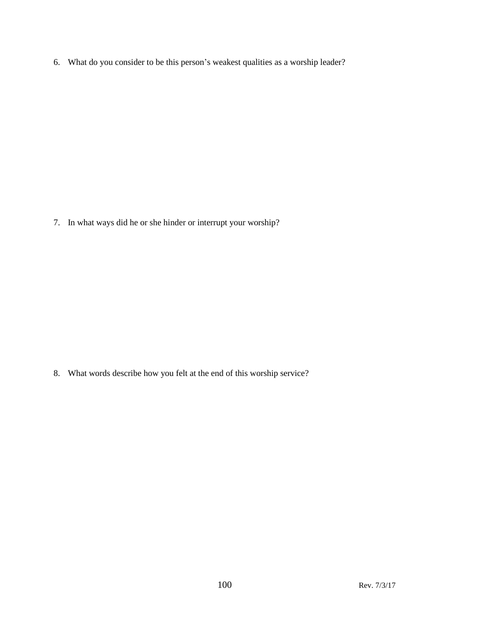6. What do you consider to be this person's weakest qualities as a worship leader?

7. In what ways did he or she hinder or interrupt your worship?

8. What words describe how you felt at the end of this worship service?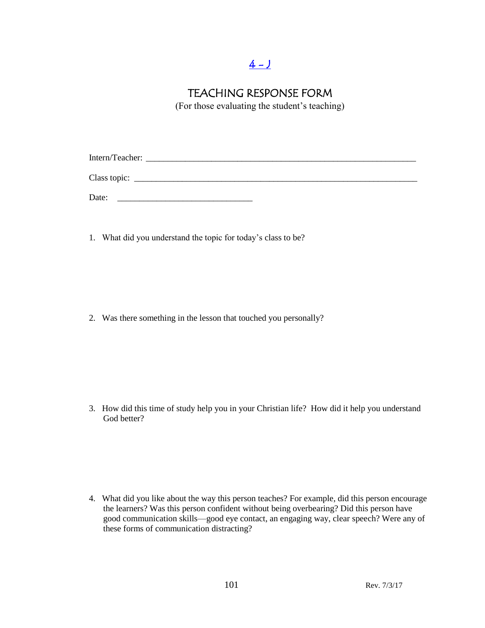# $4 - 1$

## TEACHING RESPONSE FORM

(For those evaluating the student's teaching)

Intern/Teacher: Class topic: \_\_\_\_\_\_\_\_\_\_\_\_\_\_\_\_\_\_\_\_\_\_\_\_\_\_\_\_\_\_\_\_\_\_\_\_\_\_\_\_\_\_\_\_\_\_\_\_\_\_\_\_\_\_\_\_\_\_\_\_\_\_\_\_\_

Date:

1. What did you understand the topic for today's class to be?

2. Was there something in the lesson that touched you personally?

3. How did this time of study help you in your Christian life? How did it help you understand God better?

4. What did you like about the way this person teaches? For example, did this person encourage the learners? Was this person confident without being overbearing? Did this person have good communication skills—good eye contact, an engaging way, clear speech? Were any of these forms of communication distracting?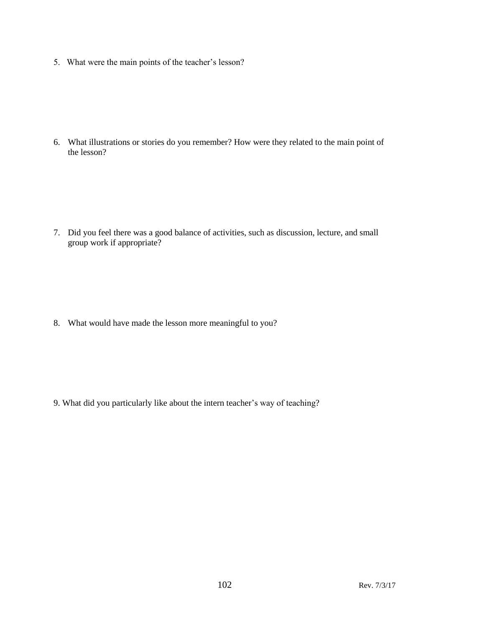5. What were the main points of the teacher's lesson?

6. What illustrations or stories do you remember? How were they related to the main point of the lesson?

7. Did you feel there was a good balance of activities, such as discussion, lecture, and small group work if appropriate?

8. What would have made the lesson more meaningful to you?

9. What did you particularly like about the intern teacher's way of teaching?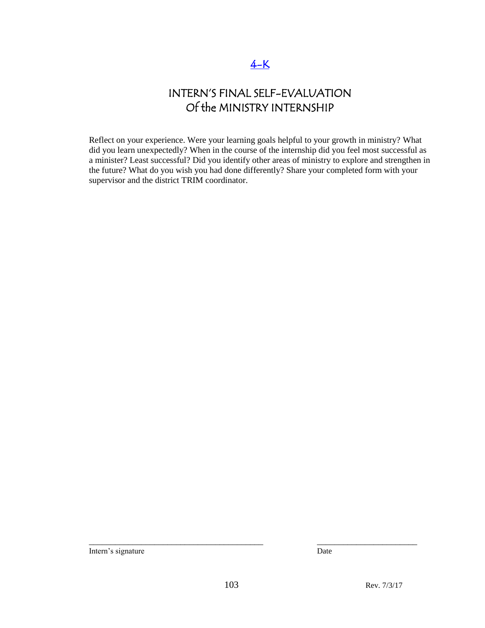## [4-K](#page-3-0)

# INTERN'S FINAL SELF-EVALUATION Of the MINISTRY INTERNSHIP

Reflect on your experience. Were your learning goals helpful to your growth in ministry? What did you learn unexpectedly? When in the course of the internship did you feel most successful as a minister? Least successful? Did you identify other areas of ministry to explore and strengthen in the future? What do you wish you had done differently? Share your completed form with your supervisor and the district TRIM coordinator.

Intern's signature Date

\_\_\_\_\_\_\_\_\_\_\_\_\_\_\_\_\_\_\_\_\_\_\_\_\_\_\_\_\_\_\_\_\_\_\_\_\_\_\_\_ \_\_\_\_\_\_\_\_\_\_\_\_\_\_\_\_\_\_\_\_\_\_\_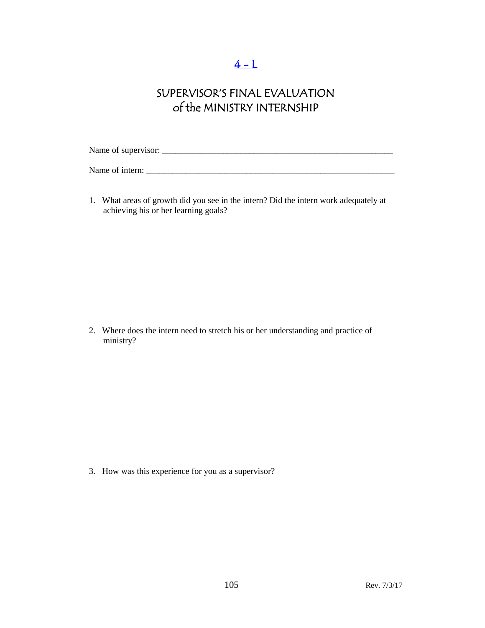# $4 - L$

# SUPERVISOR'S FINAL EVALUATION of the MINISTRY INTERNSHIP

Name of supervisor: \_\_\_\_\_\_\_\_\_\_\_\_\_\_\_\_\_\_\_\_\_\_\_\_\_\_\_\_\_\_\_\_\_\_\_\_\_\_\_\_\_\_\_\_\_\_\_\_\_\_\_\_\_

Name of intern: \_\_\_\_\_\_\_\_\_\_\_\_\_\_\_\_\_\_\_\_\_\_\_\_\_\_\_\_\_\_\_\_\_\_\_\_\_\_\_\_\_\_\_\_\_\_\_\_\_\_\_\_\_\_\_\_\_

1. What areas of growth did you see in the intern? Did the intern work adequately at achieving his or her learning goals?

2. Where does the intern need to stretch his or her understanding and practice of ministry?

3. How was this experience for you as a supervisor?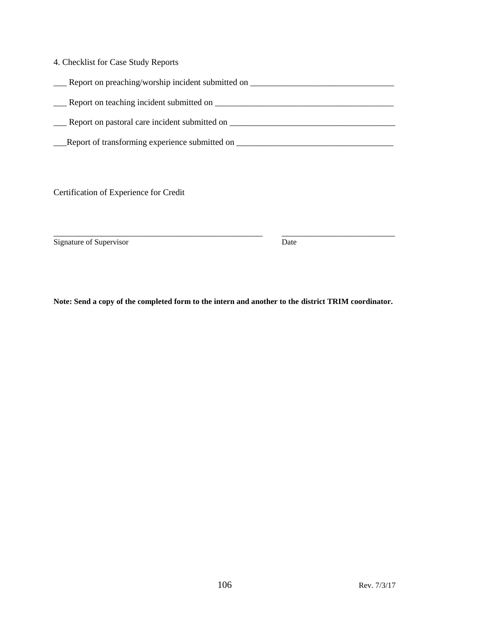| 4. Checklist for Case Study Reports |
|-------------------------------------|
|-------------------------------------|

| Report on preaching/worship incident submitted on |  |
|---------------------------------------------------|--|
| Report on teaching incident submitted on          |  |
| Report on pastoral care incident submitted on     |  |

\_\_\_Report of transforming experience submitted on \_\_\_\_\_\_\_\_\_\_\_\_\_\_\_\_\_\_\_\_\_\_\_\_\_\_\_\_\_\_\_\_\_\_\_\_

Certification of Experience for Credit

Signature of Supervisor Date

**Note: Send a copy of the completed form to the intern and another to the district TRIM coordinator.** 

\_\_\_\_\_\_\_\_\_\_\_\_\_\_\_\_\_\_\_\_\_\_\_\_\_\_\_\_\_\_\_\_\_\_\_\_\_\_\_\_\_\_\_\_\_\_\_\_ \_\_\_\_\_\_\_\_\_\_\_\_\_\_\_\_\_\_\_\_\_\_\_\_\_\_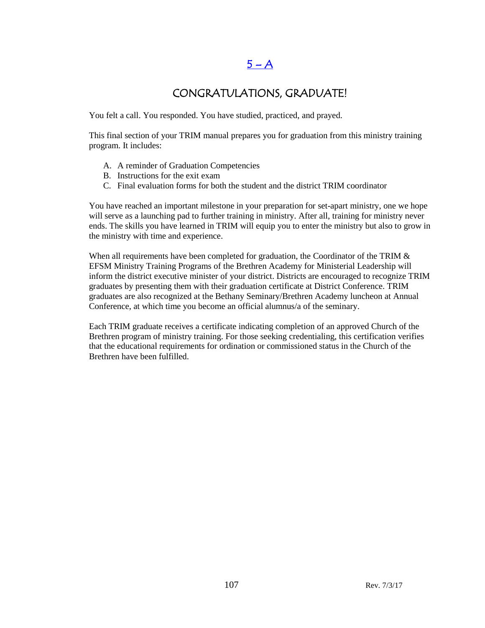## $5 - A$

## CONGRATULATIONS, GRADUATE!

You felt a call. You responded. You have studied, practiced, and prayed.

This final section of your TRIM manual prepares you for graduation from this ministry training program. It includes:

- A. A reminder of Graduation Competencies
- B. Instructions for the exit exam
- C. Final evaluation forms for both the student and the district TRIM coordinator

You have reached an important milestone in your preparation for set-apart ministry, one we hope will serve as a launching pad to further training in ministry. After all, training for ministry never ends. The skills you have learned in TRIM will equip you to enter the ministry but also to grow in the ministry with time and experience.

When all requirements have been completed for graduation, the Coordinator of the TRIM  $&$ EFSM Ministry Training Programs of the Brethren Academy for Ministerial Leadership will inform the district executive minister of your district. Districts are encouraged to recognize TRIM graduates by presenting them with their graduation certificate at District Conference. TRIM graduates are also recognized at the Bethany Seminary/Brethren Academy luncheon at Annual Conference, at which time you become an official alumnus/a of the seminary.

Each TRIM graduate receives a certificate indicating completion of an approved Church of the Brethren program of ministry training. For those seeking credentialing, this certification verifies that the educational requirements for ordination or commissioned status in the Church of the Brethren have been fulfilled.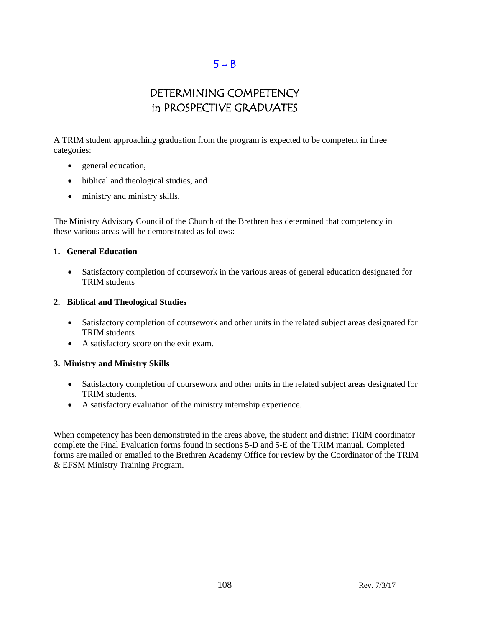# $5 - B$

# DETERMINING COMPETENCY in PROSPECTIVE GRADUATES

A TRIM student approaching graduation from the program is expected to be competent in three categories:

- general education,
- biblical and theological studies, and
- ministry and ministry skills.

The Ministry Advisory Council of the Church of the Brethren has determined that competency in these various areas will be demonstrated as follows:

#### **1. General Education**

 Satisfactory completion of coursework in the various areas of general education designated for TRIM students

#### **2. Biblical and Theological Studies**

- Satisfactory completion of coursework and other units in the related subject areas designated for TRIM students
- A satisfactory score on the exit exam.

### **3. Ministry and Ministry Skills**

- Satisfactory completion of coursework and other units in the related subject areas designated for TRIM students.
- A satisfactory evaluation of the ministry internship experience.

When competency has been demonstrated in the areas above, the student and district TRIM coordinator complete the Final Evaluation forms found in sections 5-D and 5-E of the TRIM manual. Completed forms are mailed or emailed to the Brethren Academy Office for review by the Coordinator of the TRIM & EFSM Ministry Training Program.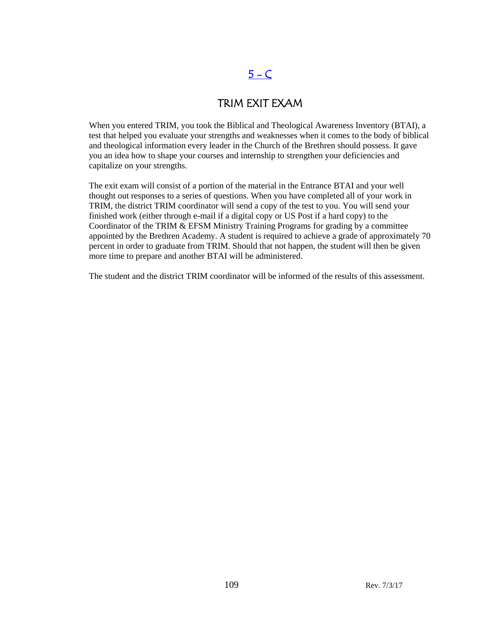# $5 - C$

### TRIM EXIT EXAM

When you entered TRIM, you took the Biblical and Theological Awareness Inventory (BTAI), a test that helped you evaluate your strengths and weaknesses when it comes to the body of biblical and theological information every leader in the Church of the Brethren should possess. It gave you an idea how to shape your courses and internship to strengthen your deficiencies and capitalize on your strengths.

The exit exam will consist of a portion of the material in the Entrance BTAI and your well thought out responses to a series of questions. When you have completed all of your work in TRIM, the district TRIM coordinator will send a copy of the test to you. You will send your finished work (either through e-mail if a digital copy or US Post if a hard copy) to the Coordinator of the TRIM & EFSM Ministry Training Programs for grading by a committee appointed by the Brethren Academy. A student is required to achieve a grade of approximately 70 percent in order to graduate from TRIM. Should that not happen, the student will then be given more time to prepare and another BTAI will be administered.

The student and the district TRIM coordinator will be informed of the results of this assessment.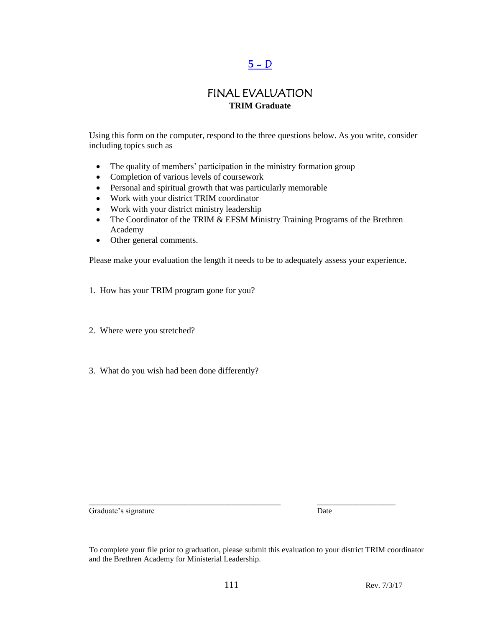# $5 - D$

#### FINAL EVALUATION **TRIM Graduate**

Using this form on the computer, respond to the three questions below. As you write, consider including topics such as

- The quality of members' participation in the ministry formation group
- Completion of various levels of coursework
- Personal and spiritual growth that was particularly memorable
- Work with your district TRIM coordinator
- Work with your district ministry leadership
- The Coordinator of the TRIM & EFSM Ministry Training Programs of the Brethren Academy
- Other general comments.

Please make your evaluation the length it needs to be to adequately assess your experience.

- 1. How has your TRIM program gone for you?
- 2. Where were you stretched?
- 3. What do you wish had been done differently?

Graduate's signature Date

\_\_\_\_\_\_\_\_\_\_\_\_\_\_\_\_\_\_\_\_\_\_\_\_\_\_\_\_\_\_\_\_\_\_\_\_\_\_\_\_\_\_\_\_ \_\_\_\_\_\_\_\_\_\_\_\_\_\_\_\_\_\_

To complete your file prior to graduation, please submit this evaluation to your district TRIM coordinator and the Brethren Academy for Ministerial Leadership.